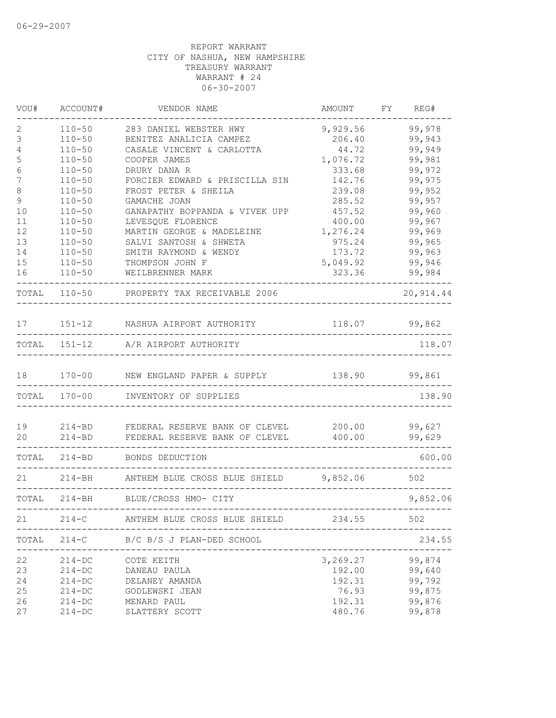| VOU#                   | ACCOUNT#                 | VENDOR NAME                                       | AMOUNT           | FY<br>REG#       |        |
|------------------------|--------------------------|---------------------------------------------------|------------------|------------------|--------|
| 2                      | $110 - 50$               | 283 DANIEL WEBSTER HWY                            | 9,929.56         | 99,978           |        |
| 3                      | $110 - 50$               | BENITEZ ANALICIA CAMPEZ                           | 206.40           | 99,943           |        |
| 4                      | $110 - 50$               | CASALE VINCENT & CARLOTTA                         | 44.72            | 99,949           |        |
| 5                      | $110 - 50$               | COOPER JAMES                                      | 1,076.72         | 99,981           |        |
| 6                      | $110 - 50$               | DRURY DANA R                                      | 333.68           | 99,972           |        |
| 7                      | $110 - 50$               | FORCIER EDWARD & PRISCILLA SIN                    | 142.76           | 99,975           |        |
| $\,8\,$<br>$\mathsf 9$ | $110 - 50$<br>$110 - 50$ | FROST PETER & SHEILA                              | 239.08<br>285.52 | 99,952<br>99,957 |        |
| 10                     | $110 - 50$               | GAMACHE JOAN<br>GANAPATHY BOPPANDA & VIVEK UPP    | 457.52           | 99,960           |        |
| 11                     | $110 - 50$               | LEVESQUE FLORENCE                                 | 400.00           | 99,967           |        |
| 12                     | $110 - 50$               | MARTIN GEORGE & MADELEINE                         | 1,276.24         | 99,969           |        |
| 13                     | $110 - 50$               | SALVI SANTOSH & SHWETA                            | 975.24           | 99,965           |        |
| 14                     | $110 - 50$               | SMITH RAYMOND & WENDY                             | 173.72           | 99,963           |        |
| 15                     | $110 - 50$               | THOMPSON JOHN F                                   | 5,049.92         | 99,946           |        |
| 16                     | $110 - 50$               | WEILBRENNER MARK                                  | 323.36           | 99,984           |        |
| TOTAL                  |                          | 110-50 PROPERTY TAX RECEIVABLE 2006               |                  | 20, 914.44       |        |
| 17                     |                          | 151-12 NASHUA AIRPORT AUTHORITY                   | 118.07           | 99,862           |        |
|                        |                          | TOTAL 151-12 A/R AIRPORT AUTHORITY                |                  |                  | 118.07 |
| 18                     |                          | 170-00 NEW ENGLAND PAPER & SUPPLY 138.90          |                  | 99,861           |        |
|                        |                          | TOTAL 170-00 INVENTORY OF SUPPLIES                |                  |                  | 138.90 |
| 19                     |                          | 214-BD FEDERAL RESERVE BANK OF CLEVEL             | 200.00           | 99,627           |        |
| 20                     |                          | 214-BD FEDERAL RESERVE BANK OF CLEVEL             | 400.00           | 99,629           |        |
| TOTAL                  |                          | 214-BD BONDS DEDUCTION                            |                  |                  | 600.00 |
| 21                     | $214 - BH$               | ANTHEM BLUE CROSS BLUE SHIELD 9,852.06            |                  | 502              |        |
|                        |                          | TOTAL 214-BH BLUE/CROSS HMO- CITY                 |                  | 9,852.06         |        |
| 21                     | $214 - C$                | ----------------<br>ANTHEM BLUE CROSS BLUE SHIELD | 234.55           | 502              |        |
| TOTAL                  | $214 - C$                | B/C B/S J PLAN-DED SCHOOL                         |                  |                  | 234.55 |
| 22                     | $214 - DC$               | COTE KEITH                                        | 3,269.27         | 99,874           |        |
| 23                     | $214 - DC$               | DANEAU PAULA                                      | 192.00           | 99,640           |        |
| 24                     | $214 - DC$               | DELANEY AMANDA                                    | 192.31           | 99,792           |        |
| 25                     | $214 - DC$               | GODLEWSKI JEAN                                    | 76.93            | 99,875           |        |
| 26                     | $214 - DC$               | MENARD PAUL                                       | 192.31           | 99,876           |        |
| 27                     | $214 - DC$               | SLATTERY SCOTT                                    | 480.76           | 99,878           |        |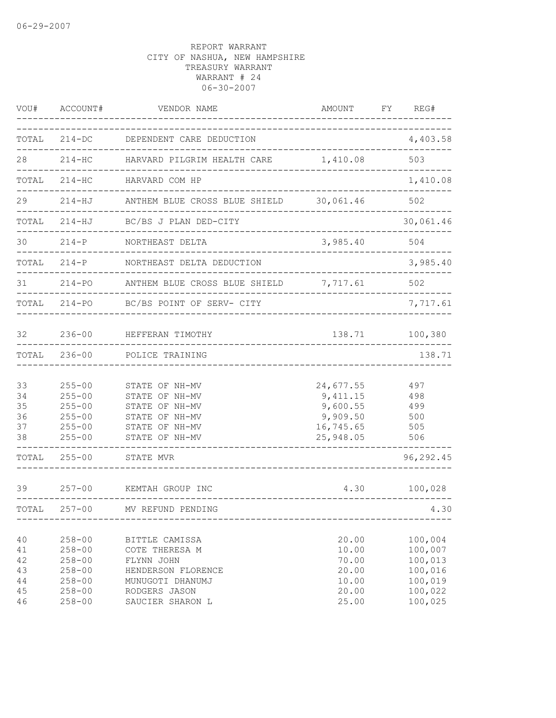| VOU#                                   | ACCOUNT#                                                                                       | VENDOR NAME                                                                                                                   | AMOUNT                                                                   | FY REG#                                                                   |
|----------------------------------------|------------------------------------------------------------------------------------------------|-------------------------------------------------------------------------------------------------------------------------------|--------------------------------------------------------------------------|---------------------------------------------------------------------------|
| TOTAL                                  | $214 - DC$                                                                                     | DEPENDENT CARE DEDUCTION                                                                                                      |                                                                          | 4,403.58                                                                  |
| 28                                     |                                                                                                | 214-HC HARVARD PILGRIM HEALTH CARE 1,410.08                                                                                   |                                                                          | 503                                                                       |
| TOTAL                                  | $214 - HC$                                                                                     | HARVARD COM HP                                                                                                                |                                                                          | 1,410.08                                                                  |
| 29                                     | $214 - HJ$                                                                                     | ANTHEM BLUE CROSS BLUE SHIELD 30,061.46                                                                                       |                                                                          | 502                                                                       |
| TOTAL                                  | $214 - HJ$                                                                                     | BC/BS J PLAN DED-CITY                                                                                                         |                                                                          | 30,061.46                                                                 |
| 30                                     | $214-P$                                                                                        | NORTHEAST DELTA                                                                                                               | 3,985.40                                                                 | 504                                                                       |
| TOTAL                                  | $214-P$                                                                                        | NORTHEAST DELTA DEDUCTION                                                                                                     |                                                                          | 3,985.40                                                                  |
| 31                                     | $214 - PO$                                                                                     | ANTHEM BLUE CROSS BLUE SHIELD                                                                                                 | 7,717.61                                                                 | 502                                                                       |
| TOTAL                                  | 214-PO                                                                                         | BC/BS POINT OF SERV- CITY                                                                                                     |                                                                          | 7,717.61                                                                  |
| 32                                     | $236 - 00$                                                                                     | HEFFERAN TIMOTHY                                                                                                              | 138.71                                                                   | 100,380                                                                   |
| TOTAL                                  | $236 - 00$                                                                                     | POLICE TRAINING                                                                                                               |                                                                          | 138.71                                                                    |
| 33<br>34<br>35<br>36<br>37<br>38       | $255 - 00$<br>$255 - 00$<br>$255 - 00$<br>$255 - 00$<br>$255 - 00$<br>$255 - 00$               | STATE OF NH-MV<br>STATE OF NH-MV<br>STATE OF NH-MV<br>STATE OF NH-MV<br>STATE OF NH-MV<br>STATE OF NH-MV                      | 24,677.55<br>9, 411.15<br>9,600.55<br>9,909.50<br>16,745.65<br>25,948.05 | 497<br>498<br>499<br>500<br>505<br>506                                    |
| TOTAL                                  | $255 - 00$                                                                                     | STATE MVR                                                                                                                     |                                                                          | 96,292.45                                                                 |
| 39                                     | $257 - 00$                                                                                     | KEMTAH GROUP INC                                                                                                              | 4.30                                                                     | 100,028                                                                   |
| TOTAL                                  | $257 - 00$                                                                                     | MV REFUND PENDING                                                                                                             |                                                                          | 4.30                                                                      |
| 40<br>41<br>42<br>43<br>44<br>45<br>46 | $258 - 00$<br>$258 - 00$<br>$258 - 00$<br>$258 - 00$<br>$258 - 00$<br>$258 - 00$<br>$258 - 00$ | BITTLE CAMISSA<br>COTE THERESA M<br>FLYNN JOHN<br>HENDERSON FLORENCE<br>MUNUGOTI DHANUMJ<br>RODGERS JASON<br>SAUCIER SHARON L | 20.00<br>10.00<br>70.00<br>20.00<br>10.00<br>20.00<br>25.00              | 100,004<br>100,007<br>100,013<br>100,016<br>100,019<br>100,022<br>100,025 |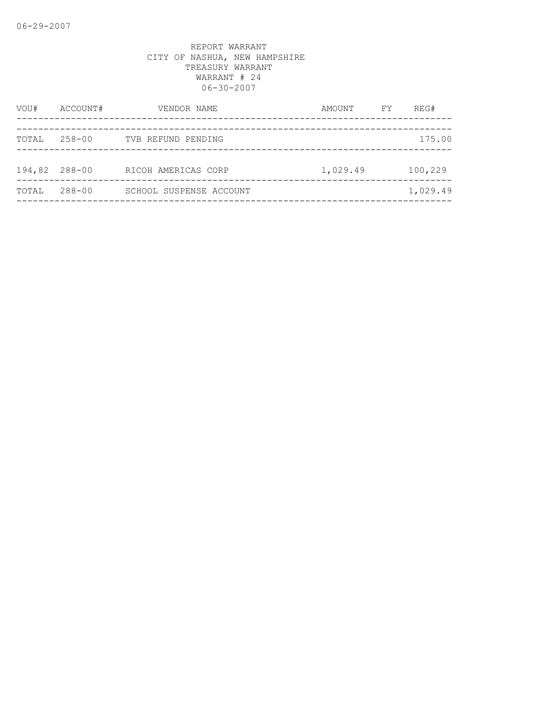| 258-00<br>TOTAL | TVB REFUND PENDING      |          | 175.00   |
|-----------------|-------------------------|----------|----------|
| 194,82 288-00   | RICOH AMERICAS CORP     | 1,029.49 | 100,229  |
| 288-00<br>TOTAL | SCHOOL SUSPENSE ACCOUNT |          | 1,029.49 |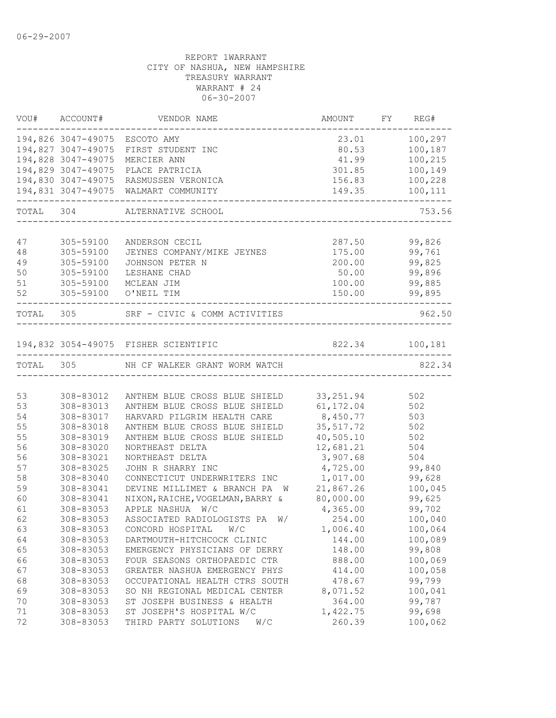|           | VOU# ACCOUNT#                 | VENDOR NAME                             | AMOUNT                                  | FY REG# |
|-----------|-------------------------------|-----------------------------------------|-----------------------------------------|---------|
|           | 194,826 3047-49075 ESCOTO AMY |                                         | 23.01                                   | 100,297 |
|           | 194,827 3047-49075            | FIRST STUDENT INC                       | 80.53                                   | 100,187 |
|           | 194,828 3047-49075            | MERCIER ANN                             | 41.99                                   | 100,215 |
|           | 194,829 3047-49075            | PLACE PATRICIA                          | 301.85                                  | 100,149 |
|           |                               | 194,830 3047-49075 RASMUSSEN VERONICA   | 156.83                                  | 100,228 |
|           |                               | 194,831 3047-49075 WALMART COMMUNITY    | 149.35<br>_____________________________ | 100,111 |
|           |                               | TOTAL 304 ALTERNATIVE SCHOOL            | ________________________                | 753.56  |
|           |                               |                                         |                                         |         |
| 47        | 305-59100                     | ANDERSON CECIL                          | 287.50                                  | 99,826  |
| 48        | 305-59100                     | JEYNES COMPANY/MIKE JEYNES              | 175.00                                  | 99,761  |
| 49        | 305-59100                     | JOHNSON PETER N                         | 200.00                                  | 99,825  |
| 50        | 305-59100                     | LESHANE CHAD                            | 50.00                                   | 99,896  |
| 51        | 305-59100                     | MCLEAN JIM                              | 100.00                                  | 99,885  |
| 52        | 305-59100                     | O'NEIL TIM                              | 150.00                                  | 99,895  |
| TOTAL 305 |                               | SRF - CIVIC & COMM ACTIVITIES           | _______________                         | 962.50  |
|           |                               | 194,832 3054-49075 FISHER SCIENTIFIC    | 822.34 100,181                          |         |
|           |                               | TOTAL 305 NH CF WALKER GRANT WORM WATCH |                                         | 822.34  |
|           |                               |                                         |                                         |         |
| 53        | 308-83012                     | ANTHEM BLUE CROSS BLUE SHIELD           | 33, 251.94                              | 502     |
| 53        | 308-83013                     | ANTHEM BLUE CROSS BLUE SHIELD 61,172.04 |                                         | 502     |
| 54        | 308-83017                     | HARVARD PILGRIM HEALTH CARE             | 8,450.77                                | 503     |
| 55        | 308-83018                     | ANTHEM BLUE CROSS BLUE SHIELD           | 35, 517.72                              | 502     |
| 55        | 308-83019                     | ANTHEM BLUE CROSS BLUE SHIELD           | 40,505.10                               | 502     |
| 56        | 308-83020                     | NORTHEAST DELTA                         | 12,681.21                               | 504     |
| 56        | 308-83021                     | NORTHEAST DELTA                         | 3,907.68                                | 504     |
| 57        | 308-83025                     | JOHN R SHARRY INC                       | 4,725.00                                | 99,840  |
| 58        | 308-83040                     | CONNECTICUT UNDERWRITERS INC            | 1,017.00                                | 99,628  |
| 59        | 308-83041                     | DEVINE MILLIMET & BRANCH PA W           | 21,867.26                               | 100,045 |
| 60        | 308-83041                     | NIXON, RAICHE, VOGELMAN, BARRY &        | 80,000.00                               | 99,625  |
| 61        | 308-83053                     | APPLE NASHUA W/C                        | 4,365.00                                | 99,702  |
| 62        | 308-83053                     | ASSOCIATED RADIOLOGISTS PA W/           | 254.00                                  | 100,040 |
| 63        | 308-83053                     | CONCORD HOSPITAL<br>W/C                 | 1,006.40                                | 100,064 |
| 64        | 308-83053                     | DARTMOUTH-HITCHCOCK CLINIC              | 144.00                                  | 100,089 |
| 65        | 308-83053                     | EMERGENCY PHYSICIANS OF DERRY           | 148.00                                  | 99,808  |
| 66        | 308-83053                     | FOUR SEASONS ORTHOPAEDIC CTR            | 888.00                                  | 100,069 |
| 67        | 308-83053                     | GREATER NASHUA EMERGENCY PHYS           | 414.00                                  | 100,058 |
| 68        | 308-83053                     | OCCUPATIONAL HEALTH CTRS SOUTH          | 478.67                                  | 99,799  |
| 69        | 308-83053                     | SO NH REGIONAL MEDICAL CENTER           | 8,071.52                                | 100,041 |
| 70        | 308-83053                     | ST JOSEPH BUSINESS & HEALTH             | 364.00                                  | 99,787  |
| 71        | 308-83053                     | ST JOSEPH'S HOSPITAL W/C                | 1,422.75                                | 99,698  |
| 72        | 308-83053                     | THIRD PARTY SOLUTIONS<br>W/C            | 260.39                                  | 100,062 |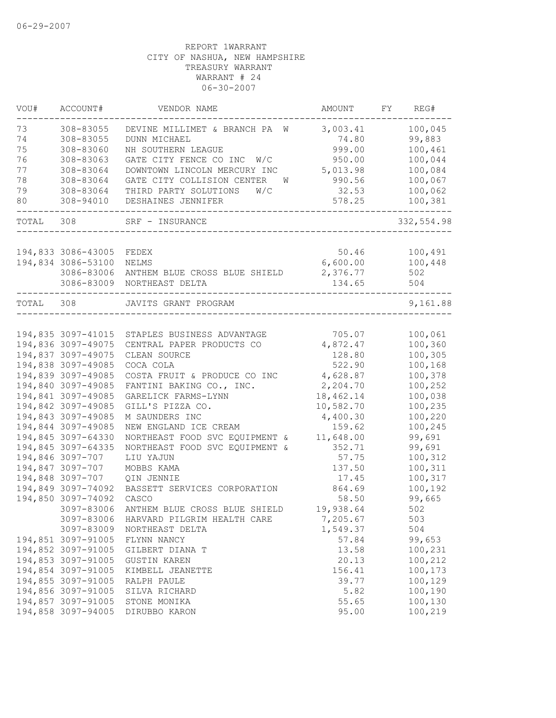| VOU#  | ACCOUNT#           | VENDOR NAME                     | AMOUNT    | FY | REG#       |
|-------|--------------------|---------------------------------|-----------|----|------------|
| 73    | 308-83055          | DEVINE MILLIMET & BRANCH PA W   | 3,003.41  |    | 100,045    |
| 74    | 308-83055          | DUNN MICHAEL                    | 74.80     |    | 99,883     |
| 75    | 308-83060          | NH SOUTHERN LEAGUE              | 999.00    |    | 100,461    |
| 76    | 308-83063          | GATE CITY FENCE CO INC<br>W/C   | 950.00    |    | 100,044    |
| 77    | 308-83064          | DOWNTOWN LINCOLN MERCURY INC    | 5,013.98  |    | 100,084    |
| 78    | 308-83064          | GATE CITY COLLISION CENTER<br>W | 990.56    |    | 100,067    |
| 79    | 308-83064          | THIRD PARTY SOLUTIONS<br>W/C    | 32.53     |    | 100,062    |
| 80    | 308-94010          | DESHAINES JENNIFER              | 578.25    |    | 100,381    |
| TOTAL | 308                | SRF - INSURANCE                 |           |    | 332,554.98 |
|       |                    |                                 |           |    |            |
|       | 194,833 3086-43005 | FEDEX                           | 50.46     |    | 100,491    |
|       | 194,834 3086-53100 | NELMS                           | 6,600.00  |    | 100,448    |
|       | 3086-83006         | ANTHEM BLUE CROSS BLUE SHIELD   | 2,376.77  |    | 502        |
|       | 3086-83009         | NORTHEAST DELTA                 | 134.65    |    | 504        |
| TOTAL | 308                | JAVITS GRANT PROGRAM            |           |    | 9,161.88   |
|       |                    |                                 |           |    |            |
|       | 194,835 3097-41015 | STAPLES BUSINESS ADVANTAGE      | 705.07    |    | 100,061    |
|       | 194,836 3097-49075 | CENTRAL PAPER PRODUCTS CO       | 4,872.47  |    | 100,360    |
|       | 194,837 3097-49075 | CLEAN SOURCE                    | 128.80    |    | 100,305    |
|       | 194,838 3097-49085 | COCA COLA                       | 522.90    |    | 100,168    |
|       | 194,839 3097-49085 | COSTA FRUIT & PRODUCE CO INC    | 4,628.87  |    | 100,378    |
|       | 194,840 3097-49085 | FANTINI BAKING CO., INC.        | 2,204.70  |    | 100,252    |
|       | 194,841 3097-49085 | GARELICK FARMS-LYNN             | 18,462.14 |    | 100,038    |
|       | 194,842 3097-49085 | GILL'S PIZZA CO.                | 10,582.70 |    | 100,235    |
|       | 194,843 3097-49085 | M SAUNDERS INC                  | 4,400.30  |    | 100,220    |
|       | 194,844 3097-49085 | NEW ENGLAND ICE CREAM           | 159.62    |    | 100,245    |
|       | 194,845 3097-64330 | NORTHEAST FOOD SVC EQUIPMENT &  | 11,648.00 |    | 99,691     |
|       | 194,845 3097-64335 | NORTHEAST FOOD SVC EQUIPMENT &  | 352.71    |    | 99,691     |
|       | 194,846 3097-707   | LIU YAJUN                       | 57.75     |    | 100,312    |
|       | 194,847 3097-707   | MOBBS KAMA                      | 137.50    |    | 100,311    |
|       | 194,848 3097-707   | QIN JENNIE                      | 17.45     |    | 100,317    |
|       | 194,849 3097-74092 | BASSETT SERVICES CORPORATION    | 864.69    |    | 100,192    |
|       | 194,850 3097-74092 | CASCO                           | 58.50     |    | 99,665     |
|       | 3097-83006         | ANTHEM BLUE CROSS BLUE SHIELD   | 19,938.64 |    | 502        |
|       | 3097-83006         | HARVARD PILGRIM HEALTH CARE     | 7,205.67  |    | 503        |
|       | 3097-83009         | NORTHEAST DELTA                 | 1,549.37  |    | 504        |
|       | 194,851 3097-91005 | FLYNN NANCY                     | 57.84     |    | 99,653     |
|       | 194,852 3097-91005 | GILBERT DIANA T                 | 13.58     |    | 100,231    |
|       | 194,853 3097-91005 | <b>GUSTIN KAREN</b>             | 20.13     |    | 100,212    |
|       | 194,854 3097-91005 | KIMBELL JEANETTE                | 156.41    |    | 100,173    |
|       | 194,855 3097-91005 | RALPH PAULE                     | 39.77     |    | 100,129    |
|       | 194,856 3097-91005 | SILVA RICHARD                   | 5.82      |    | 100,190    |
|       | 194,857 3097-91005 | STONE MONIKA                    | 55.65     |    | 100,130    |
|       | 194,858 3097-94005 | DIRUBBO KARON                   | 95.00     |    | 100,219    |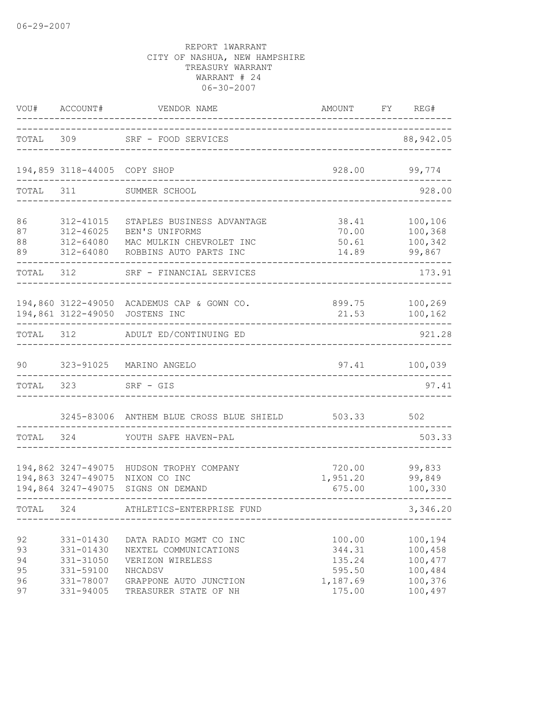|                                  | VOU# ACCOUNT#                                                              | VENDOR NAME                                                                                                                       | AMOUNT FY REG#                                             |                                                                |
|----------------------------------|----------------------------------------------------------------------------|-----------------------------------------------------------------------------------------------------------------------------------|------------------------------------------------------------|----------------------------------------------------------------|
|                                  |                                                                            | TOTAL 309 SRF - FOOD SERVICES                                                                                                     |                                                            | 88, 942.05                                                     |
|                                  | 194,859 3118-44005 COPY SHOP                                               |                                                                                                                                   | 928.00                                                     | 99,774                                                         |
| TOTAL                            | 311                                                                        | SUMMER SCHOOL                                                                                                                     |                                                            | 928.00                                                         |
| 86<br>87<br>88<br>89             | 312-41015<br>312-46025<br>312-64080<br>312-64080                           | STAPLES BUSINESS ADVANTAGE<br>BEN'S UNIFORMS<br>MAC MULKIN CHEVROLET INC<br>ROBBINS AUTO PARTS INC                                | 38.41<br>70.00<br>50.61<br>14.89                           | 100,106<br>100,368<br>100,342<br>99,867                        |
|                                  | TOTAL 312                                                                  | SRF - FINANCIAL SERVICES                                                                                                          |                                                            | 173.91                                                         |
|                                  |                                                                            | 194,860 3122-49050 ACADEMUS CAP & GOWN CO.<br>194,861 3122-49050 JOSTENS INC                                                      | 899.75<br>21.53                                            | 100,269<br>100,162                                             |
| TOTAL 312                        |                                                                            | ADULT ED/CONTINUING ED                                                                                                            |                                                            | 921.28                                                         |
| 90                               |                                                                            | 323-91025 MARINO ANGELO                                                                                                           | 97.41                                                      | 100,039                                                        |
| TOTAL                            | 323                                                                        | SRF - GIS                                                                                                                         |                                                            | 97.41                                                          |
|                                  |                                                                            | 3245-83006 ANTHEM BLUE CROSS BLUE SHIELD                                                                                          | 503.33                                                     | 502                                                            |
| TOTAL 324                        |                                                                            | YOUTH SAFE HAVEN-PAL                                                                                                              |                                                            | 503.33                                                         |
|                                  |                                                                            | 194,862 3247-49075 HUDSON TROPHY COMPANY<br>194,863 3247-49075 NIXON CO INC<br>194,864 3247-49075 SIGNS ON DEMAND                 | 720.00<br>1,951.20<br>675.00                               | 99,833<br>99,849<br>100,330                                    |
| TOTAL 324                        |                                                                            | ATHLETICS-ENTERPRISE FUND                                                                                                         |                                                            | 3,346.20                                                       |
| 92<br>93<br>94<br>95<br>96<br>97 | 331-01430<br>331-01430<br>331-31050<br>331-59100<br>331-78007<br>331-94005 | DATA RADIO MGMT CO INC<br>NEXTEL COMMUNICATIONS<br>VERIZON WIRELESS<br>NHCADSV<br>GRAPPONE AUTO JUNCTION<br>TREASURER STATE OF NH | 100.00<br>344.31<br>135.24<br>595.50<br>1,187.69<br>175.00 | 100,194<br>100,458<br>100,477<br>100,484<br>100,376<br>100,497 |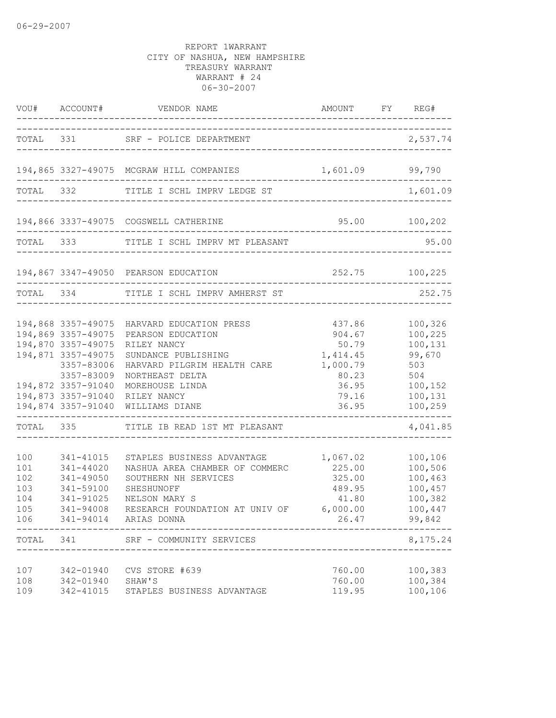|                                               | VOU# ACCOUNT#                                                                                                                                                | VENDOR NAME                                                                                                                                                                                                 | AMOUNT                                                                                                         | FY REG#                                                                                |
|-----------------------------------------------|--------------------------------------------------------------------------------------------------------------------------------------------------------------|-------------------------------------------------------------------------------------------------------------------------------------------------------------------------------------------------------------|----------------------------------------------------------------------------------------------------------------|----------------------------------------------------------------------------------------|
|                                               |                                                                                                                                                              | TOTAL 331 SRF - POLICE DEPARTMENT                                                                                                                                                                           |                                                                                                                | 2,537.74                                                                               |
|                                               |                                                                                                                                                              | 194,865 3327-49075 MCGRAW HILL COMPANIES                                                                                                                                                                    | 1,601.09                                                                                                       | 99,790                                                                                 |
|                                               |                                                                                                                                                              | TOTAL 332 TITLE I SCHL IMPRV LEDGE ST                                                                                                                                                                       |                                                                                                                | 1,601.09                                                                               |
|                                               |                                                                                                                                                              | 194,866 3337-49075 COGSWELL CATHERINE                                                                                                                                                                       | $95.00$ 100,202                                                                                                |                                                                                        |
|                                               |                                                                                                                                                              | TOTAL 333 TITLE I SCHL IMPRV MT PLEASANT                                                                                                                                                                    |                                                                                                                | 95.00                                                                                  |
|                                               |                                                                                                                                                              | 194,867 3347-49050 PEARSON EDUCATION                                                                                                                                                                        |                                                                                                                | 252.75 100,225                                                                         |
| TOTAL 334                                     |                                                                                                                                                              | TITLE I SCHL IMPRV AMHERST ST                                                                                                                                                                               |                                                                                                                | 252.75                                                                                 |
|                                               | 194,869 3357-49075<br>194,870 3357-49075<br>194,871 3357-49075<br>3357-83006<br>3357-83009<br>194,872 3357-91040<br>194,873 3357-91040<br>194,874 3357-91040 | 194,868 3357-49075 HARVARD EDUCATION PRESS<br>PEARSON EDUCATION<br>RILEY NANCY<br>SUNDANCE PUBLISHING<br>HARVARD PILGRIM HEALTH CARE<br>NORTHEAST DELTA<br>MOREHOUSE LINDA<br>RILEY NANCY<br>WILLIAMS DIANE | 437.86<br>904.67<br>50.79<br>1,414.45<br>1,000.79<br>80.23<br>36.95<br>79.16<br>36.95<br>--------------------- | 100,326<br>100,225<br>100,131<br>99,670<br>503<br>504<br>100,152<br>100,131<br>100,259 |
|                                               |                                                                                                                                                              | TOTAL 335 TITLE IB READ 1ST MT PLEASANT                                                                                                                                                                     |                                                                                                                | 4,041.85                                                                               |
| 100<br>101<br>102<br>103<br>104<br>105<br>106 | 341-41015<br>341-44020<br>341-49050<br>341-59100<br>341-91025<br>$341 - 94008$                                                                               | STAPLES BUSINESS ADVANTAGE<br>NASHUA AREA CHAMBER OF COMMERC<br>SOUTHERN NH SERVICES<br>SHESHUNOFF<br>NELSON MARY S<br>RESEARCH FOUNDATION AT UNIV OF<br>341-94014 ARIAS DONNA                              | 1,067.02<br>225.00<br>325.00<br>489.95<br>41.80<br>6,000.00<br>26.47                                           | 100,106<br>100,506<br>100,463<br>100,457<br>100,382<br>100,447<br>99,842               |
| TOTAL                                         | 341                                                                                                                                                          | SRF - COMMUNITY SERVICES                                                                                                                                                                                    |                                                                                                                | 8,175.24                                                                               |
| 107<br>108<br>109                             | 342-01940<br>342-01940<br>342-41015                                                                                                                          | CVS STORE #639<br>SHAW'S<br>STAPLES BUSINESS ADVANTAGE                                                                                                                                                      | 760.00<br>760.00<br>119.95                                                                                     | 100,383<br>100,384<br>100,106                                                          |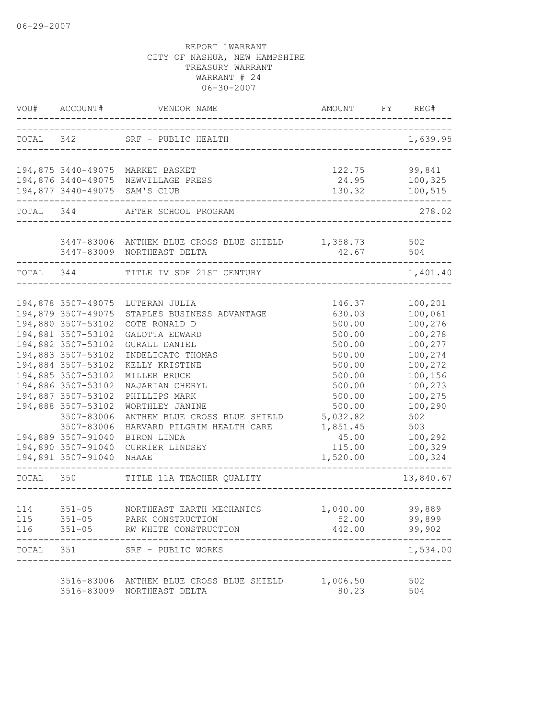|           | VOU# ACCOUNT#                            | VENDOR NAME                                       | AMOUNT                                          | FY REG#            |
|-----------|------------------------------------------|---------------------------------------------------|-------------------------------------------------|--------------------|
|           |                                          | TOTAL 342 SRF - PUBLIC HEALTH                     |                                                 | 1,639.95           |
|           |                                          |                                                   | ----------------------------------              |                    |
|           |                                          | 194,875 3440-49075 MARKET BASKET                  | 122.75                                          | 99,841             |
|           |                                          | 194,876 3440-49075 NEWVILLAGE PRESS               | 24.95                                           | 100,325            |
|           |                                          | 194,877 3440-49075 SAM'S CLUB                     | 130.32<br>------------------------------------- | 100,515            |
|           |                                          | TOTAL 344 AFTER SCHOOL PROGRAM                    |                                                 | 278.02             |
|           |                                          | 3447-83006 ANTHEM BLUE CROSS BLUE SHIELD 1,358.73 |                                                 | 502                |
|           |                                          | 3447-83009 NORTHEAST DELTA                        | 42.67 504                                       |                    |
| TOTAL 344 |                                          | TITLE IV SDF 21ST CENTURY                         |                                                 | 1,401.40           |
|           |                                          |                                                   |                                                 |                    |
|           | 194,878 3507-49075                       | LUTERAN JULIA                                     | 146.37                                          | 100,201            |
|           | 194,879 3507-49075                       | STAPLES BUSINESS ADVANTAGE                        | 630.03                                          | 100,061            |
|           | 194,880 3507-53102                       | COTE RONALD D                                     | 500.00                                          | 100,276            |
|           | 194,881 3507-53102                       | GALOTTA EDWARD                                    | 500.00                                          | 100,278            |
|           | 194,882 3507-53102                       | GURALL DANIEL                                     | 500.00                                          | 100,277            |
|           | 194,883 3507-53102                       | INDELICATO THOMAS                                 | 500.00                                          | 100,274            |
|           | 194,884 3507-53102                       | KELLY KRISTINE                                    | 500.00                                          | 100,272            |
|           | 194,885 3507-53102                       | MILLER BRUCE                                      | 500.00                                          | 100,156            |
|           | 194,886 3507-53102                       | NAJARIAN CHERYL                                   | 500.00                                          | 100,273            |
|           | 194,887 3507-53102                       | PHILLIPS MARK                                     | 500.00                                          | 100,275            |
|           | 194,888 3507-53102                       | WORTHLEY JANINE                                   | 500.00                                          | 100,290            |
|           | 3507-83006                               | ANTHEM BLUE CROSS BLUE SHIELD                     | 5,032.82                                        | 502                |
|           | 3507-83006                               |                                                   | 1,851.45                                        | 503                |
|           |                                          | HARVARD PILGRIM HEALTH CARE                       |                                                 |                    |
|           | 194,889 3507-91040                       | BIRON LINDA                                       | 45.00                                           | 100,292            |
|           | 194,890 3507-91040<br>194,891 3507-91040 | CURRIER LINDSEY<br>NHAAE                          | 115.00<br>1,520.00                              | 100,329<br>100,324 |
| TOTAL 350 |                                          | TITLE 11A TEACHER QUALITY                         |                                                 | 13,840.67          |
|           |                                          |                                                   |                                                 |                    |
| 114       |                                          | 351-05 NORTHEAST EARTH MECHANICS 1,040.00         |                                                 | 99,889             |
| 115       | $351 - 05$                               | PARK CONSTRUCTION                                 | 52.00                                           | 99,899             |
| 116       |                                          | 351-05 RW WHITE CONSTRUCTION                      | 442.00                                          | 99,902             |
| TOTAL 351 |                                          | SRF - PUBLIC WORKS                                |                                                 | 1,534.00           |
|           |                                          | 3516-83006 ANTHEM BLUE CROSS BLUE SHIELD          | 1,006.50                                        |                    |
|           |                                          | 3516-83009 NORTHEAST DELTA                        | 80.23                                           | 502<br>504         |
|           |                                          |                                                   |                                                 |                    |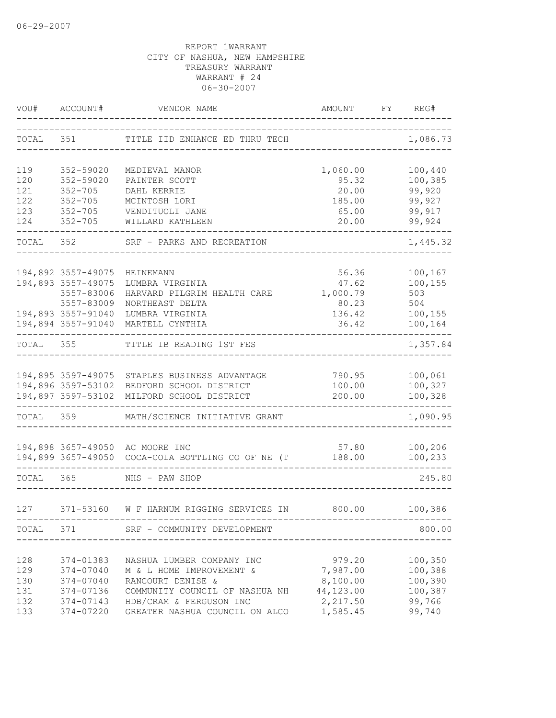|           | VOU# ACCOUNT#      | VENDOR NAME                                                | AMOUNT    | ------------- | FY REG#  |
|-----------|--------------------|------------------------------------------------------------|-----------|---------------|----------|
| TOTAL 351 |                    | TITLE IID ENHANCE ED THRU TECH                             |           |               | 1,086.73 |
| 119       | 352-59020          | MEDIEVAL MANOR                                             | 1,060.00  |               | 100,440  |
| 120       | 352-59020          | PAINTER SCOTT                                              | 95.32     |               | 100,385  |
| 121       | $352 - 705$        | DAHL KERRIE                                                | 20.00     |               | 99,920   |
| 122       | $352 - 705$        | MCINTOSH LORI                                              | 185.00    |               | 99,927   |
| 123       |                    | 352-705 VENDITUOLI JANE                                    | 65.00     |               | 99,917   |
| 124       |                    | 352-705 WILLARD KATHLEEN                                   | 20.00     |               | 99,924   |
|           |                    | TOTAL 352 SRF - PARKS AND RECREATION                       |           |               | 1,445.32 |
|           | 194,892 3557-49075 | HEINEMANN                                                  | 56.36     |               | 100,167  |
|           | 194,893 3557-49075 | LUMBRA VIRGINIA                                            | 47.62     |               | 100,155  |
|           | 3557-83006         | HARVARD PILGRIM HEALTH CARE                                | 1,000.79  |               | 503      |
|           | 3557-83009         | NORTHEAST DELTA                                            | 80.23     |               | 504      |
|           | 194,893 3557-91040 | LUMBRA VIRGINIA                                            | 136.42    |               | 100,155  |
|           |                    | 194,894 3557-91040 MARTELL CYNTHIA                         | 36.42     |               | 100,164  |
| TOTAL 355 |                    | ------------------------------<br>TITLE IB READING 1ST FES |           |               | 1,357.84 |
|           |                    |                                                            |           |               |          |
|           |                    | 194,895 3597-49075 STAPLES BUSINESS ADVANTAGE              | 790.95    |               | 100,061  |
|           |                    | 194,896 3597-53102 BEDFORD SCHOOL DISTRICT                 | 100.00    |               | 100,327  |
|           |                    | 194,897 3597-53102 MILFORD SCHOOL DISTRICT                 | 200.00    |               | 100,328  |
| TOTAL 359 |                    | MATH/SCIENCE INITIATIVE GRANT                              |           |               | 1,090.95 |
|           |                    | 194,898 3657-49050 AC MOORE INC                            | 57.80     |               | 100,206  |
|           |                    | 194,899 3657-49050 COCA-COLA BOTTLING CO OF NE (T          | 188.00    |               | 100,233  |
| TOTAL 365 |                    | -----------------------<br>NHS - PAW SHOP                  |           |               | 245.80   |
| 127       |                    | 371-53160 W F HARNUM RIGGING SERVICES IN 800.00            |           |               | 100,386  |
|           |                    |                                                            |           |               |          |
|           |                    | TOTAL 371 SRF - COMMUNITY DEVELOPMENT<br>--------------    |           |               | 800.00   |
| 128       | 374-01383          | NASHUA LUMBER COMPANY INC                                  | 979.20    |               | 100,350  |
| 129       | 374-07040          | M & L HOME IMPROVEMENT &                                   | 7,987.00  |               | 100,388  |
| 130       | 374-07040          | RANCOURT DENISE &                                          | 8,100.00  |               | 100,390  |
| 131       | 374-07136          | COMMUNITY COUNCIL OF NASHUA NH                             | 44,123.00 |               | 100,387  |
| 132       | 374-07143          | HDB/CRAM & FERGUSON INC                                    | 2,217.50  |               | 99,766   |
| 133       | 374-07220          | GREATER NASHUA COUNCIL ON ALCO                             | 1,585.45  |               | 99,740   |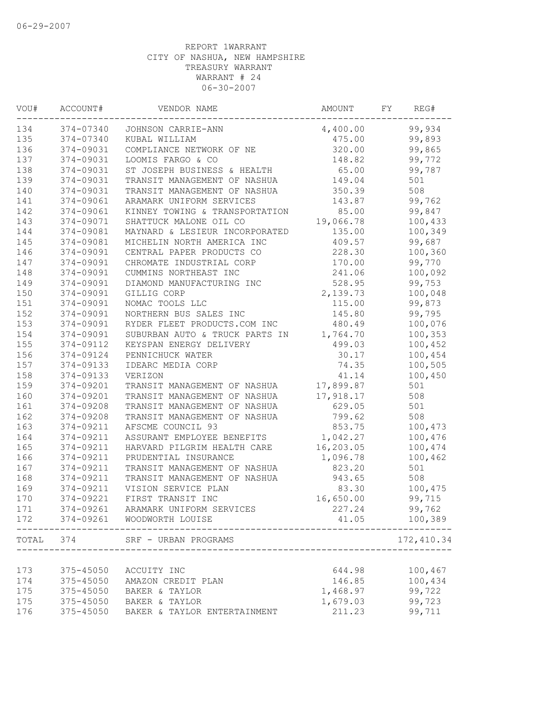| VOU#  | ACCOUNT#  | VENDOR NAME                    | AMOUNT    | FY | REG#        |
|-------|-----------|--------------------------------|-----------|----|-------------|
| 134   | 374-07340 | JOHNSON CARRIE-ANN             | 4,400.00  |    | 99,934      |
| 135   | 374-07340 | KUBAL WILLIAM                  | 475.00    |    | 99,893      |
| 136   | 374-09031 | COMPLIANCE NETWORK OF NE       | 320.00    |    | 99,865      |
| 137   | 374-09031 | LOOMIS FARGO & CO              | 148.82    |    | 99,772      |
| 138   | 374-09031 | ST JOSEPH BUSINESS & HEALTH    | 65.00     |    | 99,787      |
| 139   | 374-09031 | TRANSIT MANAGEMENT OF NASHUA   | 149.04    |    | 501         |
| 140   | 374-09031 | TRANSIT MANAGEMENT OF NASHUA   | 350.39    |    | 508         |
| 141   | 374-09061 | ARAMARK UNIFORM SERVICES       | 143.87    |    | 99,762      |
| 142   | 374-09061 | KINNEY TOWING & TRANSPORTATION | 85.00     |    | 99,847      |
| 143   | 374-09071 | SHATTUCK MALONE OIL CO         | 19,066.78 |    | 100,433     |
| 144   | 374-09081 | MAYNARD & LESIEUR INCORPORATED | 135.00    |    | 100,349     |
| 145   | 374-09081 | MICHELIN NORTH AMERICA INC     | 409.57    |    | 99,687      |
| 146   | 374-09091 | CENTRAL PAPER PRODUCTS CO      | 228.30    |    | 100,360     |
| 147   | 374-09091 | CHROMATE INDUSTRIAL CORP       | 170.00    |    | 99,770      |
| 148   | 374-09091 | CUMMINS NORTHEAST INC          | 241.06    |    | 100,092     |
| 149   | 374-09091 | DIAMOND MANUFACTURING INC      | 528.95    |    | 99,753      |
| 150   | 374-09091 | GILLIG CORP                    | 2,139.73  |    | 100,048     |
| 151   | 374-09091 | NOMAC TOOLS LLC                | 115.00    |    | 99,873      |
| 152   | 374-09091 | NORTHERN BUS SALES INC         | 145.80    |    | 99,795      |
| 153   | 374-09091 | RYDER FLEET PRODUCTS.COM INC   | 480.49    |    | 100,076     |
| 154   | 374-09091 | SUBURBAN AUTO & TRUCK PARTS IN | 1,764.70  |    | 100,353     |
| 155   | 374-09112 | KEYSPAN ENERGY DELIVERY        | 499.03    |    | 100,452     |
| 156   | 374-09124 | PENNICHUCK WATER               | 30.17     |    | 100,454     |
| 157   | 374-09133 | IDEARC MEDIA CORP              | 74.35     |    | 100,505     |
| 158   | 374-09133 | VERIZON                        | 41.14     |    | 100,450     |
| 159   | 374-09201 | TRANSIT MANAGEMENT OF NASHUA   | 17,899.87 |    | 501         |
| 160   | 374-09201 | TRANSIT MANAGEMENT OF NASHUA   | 17,918.17 |    | 508         |
| 161   | 374-09208 | TRANSIT MANAGEMENT OF NASHUA   | 629.05    |    | 501         |
| 162   | 374-09208 | TRANSIT MANAGEMENT OF NASHUA   | 799.62    |    | 508         |
| 163   | 374-09211 | AFSCME COUNCIL 93              | 853.75    |    | 100,473     |
| 164   | 374-09211 | ASSURANT EMPLOYEE BENEFITS     | 1,042.27  |    | 100,476     |
| 165   | 374-09211 | HARVARD PILGRIM HEALTH CARE    | 16,203.05 |    | 100,474     |
| 166   | 374-09211 | PRUDENTIAL INSURANCE           | 1,096.78  |    | 100,462     |
| 167   | 374-09211 | TRANSIT MANAGEMENT OF NASHUA   | 823.20    |    | 501         |
| 168   | 374-09211 | TRANSIT MANAGEMENT OF NASHUA   | 943.65    |    | 508         |
| 169   | 374-09211 | VISION SERVICE PLAN            | 83.30     |    | 100,475     |
| 170   | 374-09221 | FIRST TRANSIT INC              | 16,650.00 |    | 99,715      |
| 171   | 374-09261 | ARAMARK UNIFORM SERVICES       | 227.24    |    | 99,762      |
| 172   | 374-09261 | WOODWORTH LOUISE               | 41.05     |    | 100,389     |
| TOTAL | 374       | SRF - URBAN PROGRAMS           |           |    | 172, 410.34 |
|       |           |                                |           |    |             |
| 173   | 375-45050 | ACCUITY INC                    | 644.98    |    | 100,467     |
| 174   | 375-45050 | AMAZON CREDIT PLAN             | 146.85    |    | 100,434     |
| 175   | 375-45050 | BAKER & TAYLOR                 | 1,468.97  |    | 99,722      |
| 175   | 375-45050 | BAKER & TAYLOR                 | 1,679.03  |    | 99,723      |
| 176   | 375-45050 | BAKER & TAYLOR ENTERTAINMENT   | 211.23    |    | 99,711      |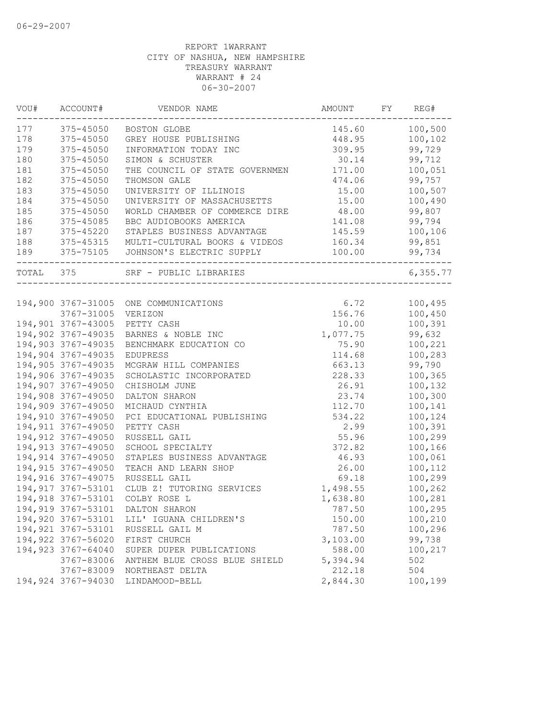| VOU#<br>--------- | ACCOUNT#            | VENDOR NAME                           | AMOUNT   | FY | REG#     |
|-------------------|---------------------|---------------------------------------|----------|----|----------|
| 177               | $375 - 45050$       | BOSTON GLOBE                          | 145.60   |    | 100,500  |
| 178               | 375-45050           | GREY HOUSE PUBLISHING                 | 448.95   |    | 100,102  |
| 179               | 375-45050           | INFORMATION TODAY INC                 | 309.95   |    | 99,729   |
| 180               | 375-45050           | SIMON & SCHUSTER                      | 30.14    |    | 99,712   |
| 181               | 375-45050           | THE COUNCIL OF STATE GOVERNMEN        | 171.00   |    | 100,051  |
| 182               | 375-45050           | THOMSON GALE                          | 474.06   |    | 99,757   |
| 183               | 375-45050           | UNIVERSITY OF ILLINOIS                | 15.00    |    | 100,507  |
| 184               | 375-45050           | UNIVERSITY OF MASSACHUSETTS           | 15.00    |    | 100,490  |
| 185               | 375-45050           | WORLD CHAMBER OF COMMERCE DIRE        | 48.00    |    | 99,807   |
| 186               | 375-45085           | BBC AUDIOBOOKS AMERICA                | 141.08   |    | 99,794   |
| 187               | 375-45220           | STAPLES BUSINESS ADVANTAGE            | 145.59   |    | 100,106  |
| 188               | 375-45315           | MULTI-CULTURAL BOOKS & VIDEOS         | 160.34   |    | 99,851   |
| 189               | 375-75105           | JOHNSON'S ELECTRIC SUPPLY             | 100.00   |    | 99,734   |
| TOTAL 375         |                     | SRF - PUBLIC LIBRARIES                |          |    | 6,355.77 |
|                   |                     |                                       |          |    |          |
|                   |                     | 194,900 3767-31005 ONE COMMUNICATIONS | 6.72     |    | 100,495  |
|                   | 3767-31005          | VERIZON                               | 156.76   |    | 100,450  |
|                   | 194,901 3767-43005  | PETTY CASH                            | 10.00    |    | 100,391  |
|                   | 194,902 3767-49035  | BARNES & NOBLE INC                    | 1,077.75 |    | 99,632   |
|                   | 194,903 3767-49035  | BENCHMARK EDUCATION CO                | 75.90    |    | 100,221  |
|                   | 194,904 3767-49035  | <b>EDUPRESS</b>                       | 114.68   |    | 100,283  |
|                   | 194,905 3767-49035  | MCGRAW HILL COMPANIES                 | 663.13   |    | 99,790   |
|                   | 194,906 3767-49035  | SCHOLASTIC INCORPORATED               | 228.33   |    | 100,365  |
|                   | 194,907 3767-49050  | CHISHOLM JUNE                         | 26.91    |    | 100,132  |
|                   | 194,908 3767-49050  | DALTON SHARON                         | 23.74    |    | 100,300  |
|                   | 194,909 3767-49050  | MICHAUD CYNTHIA                       | 112.70   |    | 100,141  |
|                   | 194,910 3767-49050  | PCI EDUCATIONAL PUBLISHING            | 534.22   |    | 100,124  |
|                   | 194, 911 3767-49050 | PETTY CASH                            | 2.99     |    | 100,391  |
|                   | 194,912 3767-49050  | RUSSELL GAIL                          | 55.96    |    | 100,299  |
|                   | 194,913 3767-49050  | SCHOOL SPECIALTY                      | 372.82   |    | 100,166  |
|                   | 194,914 3767-49050  | STAPLES BUSINESS ADVANTAGE            | 46.93    |    | 100,061  |
|                   | 194,915 3767-49050  | TEACH AND LEARN SHOP                  | 26.00    |    | 100,112  |
|                   | 194,916 3767-49075  | RUSSELL GAIL                          | 69.18    |    | 100,299  |
|                   | 194, 917 3767-53101 | CLUB Z! TUTORING SERVICES             | 1,498.55 |    | 100,262  |
|                   | 194,918 3767-53101  | COLBY ROSE L                          | 1,638.80 |    | 100,281  |
|                   | 194,919 3767-53101  | DALTON SHARON                         | 787.50   |    | 100,295  |
|                   | 194,920 3767-53101  | LIL' IGUANA CHILDREN'S                | 150.00   |    | 100,210  |
|                   | 194, 921 3767-53101 | RUSSELL GAIL M                        | 787.50   |    | 100,296  |
|                   | 194,922 3767-56020  | FIRST CHURCH                          | 3,103.00 |    | 99,738   |
|                   | 194,923 3767-64040  | SUPER DUPER PUBLICATIONS              | 588.00   |    | 100,217  |
|                   | 3767-83006          | ANTHEM BLUE CROSS BLUE SHIELD         | 5,394.94 |    | 502      |
|                   | 3767-83009          | NORTHEAST DELTA                       | 212.18   |    | 504      |
|                   | 194,924 3767-94030  | LINDAMOOD-BELL                        | 2,844.30 |    | 100,199  |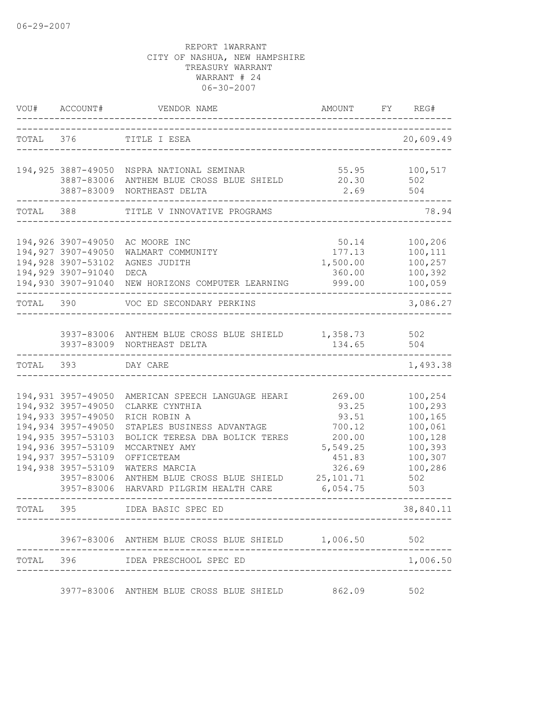| VOU#      | ACCOUNT#                 | VENDOR NAME                                                  | AMOUNT                 | FY | REG#          |
|-----------|--------------------------|--------------------------------------------------------------|------------------------|----|---------------|
|           | TOTAL 376                | TITLE I ESEA                                                 |                        |    | 20,609.49     |
|           |                          |                                                              |                        |    |               |
|           |                          | 194,925 3887-49050 NSPRA NATIONAL SEMINAR                    |                        |    | 55.95 100,517 |
|           | 3887-83006               | ANTHEM BLUE CROSS BLUE SHIELD                                | 20.30                  |    | 502           |
|           | 3887-83009               | NORTHEAST DELTA                                              | 2.69                   |    | 504           |
| TOTAL 388 |                          | TITLE V INNOVATIVE PROGRAMS                                  |                        |    | 78.94         |
|           |                          |                                                              |                        |    |               |
|           | 194,926 3907-49050       | AC MOORE INC                                                 | 50.14                  |    | 100,206       |
|           | 194,927 3907-49050       | WALMART COMMUNITY                                            | 177.13                 |    | 100,111       |
|           | 194,928 3907-53102       | AGNES JUDITH                                                 | 1,500.00               |    | 100,257       |
|           | 194,929 3907-91040       | DECA                                                         | 360.00                 |    | 100,392       |
|           | 194,930 3907-91040       | NEW HORIZONS COMPUTER LEARNING                               | 999.00                 |    | 100,059       |
| TOTAL     | 390                      | VOC ED SECONDARY PERKINS                                     |                        |    | 3,086.27      |
|           |                          |                                                              |                        |    |               |
|           |                          | 3937-83006 ANTHEM BLUE CROSS BLUE SHIELD 1,358.73            |                        |    | 502           |
|           |                          | 3937-83009 NORTHEAST DELTA                                   | 134.65                 |    | 504           |
| TOTAL     | 393                      | DAY CARE                                                     |                        |    | 1,493.38      |
|           |                          |                                                              |                        |    |               |
|           | 194,931 3957-49050       | AMERICAN SPEECH LANGUAGE HEARI                               | 269.00                 |    | 100,254       |
|           | 194,932 3957-49050       | CLARKE CYNTHIA                                               | 93.25                  |    | 100,293       |
|           | 194,933 3957-49050       | RICH ROBIN A                                                 | 93.51                  |    | 100,165       |
|           | 194,934 3957-49050       | STAPLES BUSINESS ADVANTAGE                                   | 700.12                 |    | 100,061       |
|           | 194,935 3957-53103       | BOLICK TERESA DBA BOLICK TERES                               | 200.00                 |    | 100,128       |
|           | 194,936 3957-53109       | MCCARTNEY AMY                                                | 5,549.25               |    | 100,393       |
|           | 194,937 3957-53109       | OFFICETEAM                                                   | 451.83                 |    | 100,307       |
|           | 194,938 3957-53109       | WATERS MARCIA                                                | 326.69                 |    | 100,286       |
|           | 3957-83006<br>3957-83006 | ANTHEM BLUE CROSS BLUE SHIELD<br>HARVARD PILGRIM HEALTH CARE | 25, 101.71<br>6,054.75 |    | 502<br>503    |
| TOTAL 395 |                          |                                                              |                        |    |               |
|           |                          | IDEA BASIC SPEC ED                                           |                        |    | 38,840.11     |
|           |                          | 3967-83006 ANTHEM BLUE CROSS BLUE SHIELD 1,006.50            |                        |    | 502           |
|           |                          | TOTAL 396 IDEA PRESCHOOL SPEC ED                             |                        |    | 1,006.50      |
|           |                          |                                                              |                        |    |               |
|           |                          | 3977-83006 ANTHEM BLUE CROSS BLUE SHIELD                     | 862.09                 |    | 502           |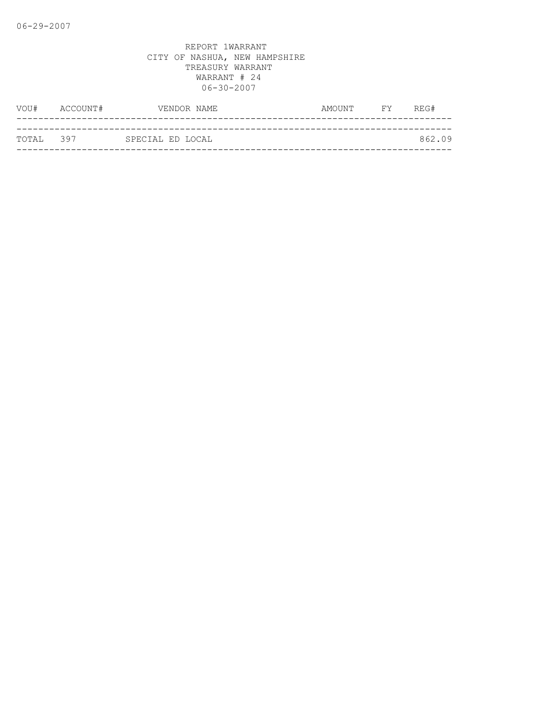| VOU#      | ACCOUNT# | VENDOR NAME      | AMOUNT | <b>FY</b> | REG#   |
|-----------|----------|------------------|--------|-----------|--------|
|           |          |                  |        |           |        |
| TOTAL 397 |          | SPECIAL ED LOCAL |        |           | 862.09 |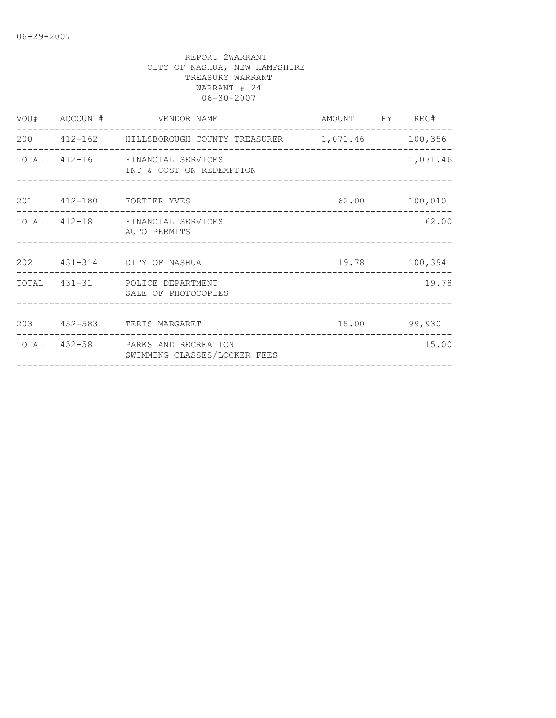|  | VOU# ACCOUNT# VENDOR NAME                                         | AMOUNT FY REG# |          |
|--|-------------------------------------------------------------------|----------------|----------|
|  | 200  412-162  HILLSBOROUGH COUNTY TREASURER  1,071.46  100,356    |                |          |
|  | TOTAL 412-16 FINANCIAL SERVICES<br>INT & COST ON REDEMPTION       |                | 1,071.46 |
|  | 201  412-180  FORTIER YVES                                        | 62.00 100,010  |          |
|  | TOTAL 412-18 FINANCIAL SERVICES<br>AUTO PERMITS                   |                | 62.00    |
|  | 202 431-314 CITY OF NASHUA                                        | 19.78 100,394  |          |
|  | TOTAL 431-31 POLICE DEPARTMENT<br>SALE OF PHOTOCOPIES             |                | 19.78    |
|  | 203 452-583 TERIS MARGARET                                        | $15.00$ 99,930 |          |
|  | TOTAL 452-58 PARKS AND RECREATION<br>SWIMMING CLASSES/LOCKER FEES |                | 15.00    |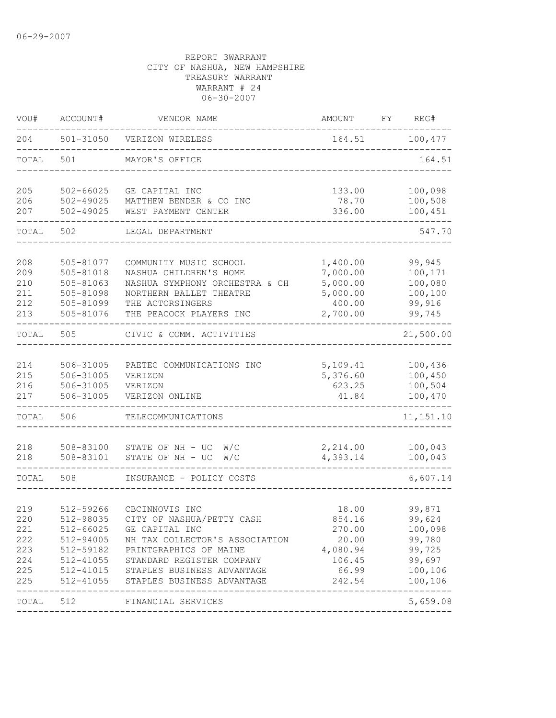| ACCOUNT#      | VENDOR NAME                                                                                                                                                                            | AMOUNT                                                                                                                                                                                                                                                                                                                                                                                                                         | FY                                                                                                                                                  | REG#               |
|---------------|----------------------------------------------------------------------------------------------------------------------------------------------------------------------------------------|--------------------------------------------------------------------------------------------------------------------------------------------------------------------------------------------------------------------------------------------------------------------------------------------------------------------------------------------------------------------------------------------------------------------------------|-----------------------------------------------------------------------------------------------------------------------------------------------------|--------------------|
| 501-31050     | VERIZON WIRELESS                                                                                                                                                                       | 164.51                                                                                                                                                                                                                                                                                                                                                                                                                         |                                                                                                                                                     | 100,477            |
| 501           | MAYOR'S OFFICE                                                                                                                                                                         |                                                                                                                                                                                                                                                                                                                                                                                                                                |                                                                                                                                                     | 164.51             |
| $502 - 66025$ | GE CAPITAL INC                                                                                                                                                                         | 133.00                                                                                                                                                                                                                                                                                                                                                                                                                         |                                                                                                                                                     | 100,098<br>100,508 |
| $502 - 49025$ | WEST PAYMENT CENTER                                                                                                                                                                    | 336.00                                                                                                                                                                                                                                                                                                                                                                                                                         |                                                                                                                                                     | 100,451            |
| 502           | LEGAL DEPARTMENT                                                                                                                                                                       |                                                                                                                                                                                                                                                                                                                                                                                                                                |                                                                                                                                                     | 547.70             |
| 505-81077     | COMMUNITY MUSIC SCHOOL                                                                                                                                                                 | 1,400.00                                                                                                                                                                                                                                                                                                                                                                                                                       |                                                                                                                                                     | 99,945             |
|               |                                                                                                                                                                                        |                                                                                                                                                                                                                                                                                                                                                                                                                                |                                                                                                                                                     | 100,171<br>100,080 |
|               |                                                                                                                                                                                        |                                                                                                                                                                                                                                                                                                                                                                                                                                |                                                                                                                                                     | 100,100            |
|               |                                                                                                                                                                                        |                                                                                                                                                                                                                                                                                                                                                                                                                                |                                                                                                                                                     | 99,916             |
| 505-81076     | THE PEACOCK PLAYERS INC                                                                                                                                                                | 2,700.00                                                                                                                                                                                                                                                                                                                                                                                                                       |                                                                                                                                                     | 99,745             |
| 505           | CIVIC & COMM. ACTIVITIES                                                                                                                                                               |                                                                                                                                                                                                                                                                                                                                                                                                                                |                                                                                                                                                     | 21,500.00          |
|               |                                                                                                                                                                                        |                                                                                                                                                                                                                                                                                                                                                                                                                                |                                                                                                                                                     |                    |
|               |                                                                                                                                                                                        |                                                                                                                                                                                                                                                                                                                                                                                                                                |                                                                                                                                                     | 100,436<br>100,450 |
|               |                                                                                                                                                                                        |                                                                                                                                                                                                                                                                                                                                                                                                                                |                                                                                                                                                     | 100,504            |
| 506-31005     | VERIZON ONLINE                                                                                                                                                                         | 41.84                                                                                                                                                                                                                                                                                                                                                                                                                          |                                                                                                                                                     | 100,470            |
| 506           | TELECOMMUNICATIONS                                                                                                                                                                     |                                                                                                                                                                                                                                                                                                                                                                                                                                |                                                                                                                                                     | 11, 151.10         |
|               |                                                                                                                                                                                        |                                                                                                                                                                                                                                                                                                                                                                                                                                |                                                                                                                                                     |                    |
| 508-83101     | STATE OF NH - UC<br>W/C                                                                                                                                                                | 4,393.14                                                                                                                                                                                                                                                                                                                                                                                                                       |                                                                                                                                                     | 100,043<br>100,043 |
| 508           | INSURANCE - POLICY COSTS                                                                                                                                                               |                                                                                                                                                                                                                                                                                                                                                                                                                                |                                                                                                                                                     | 6,607.14           |
|               |                                                                                                                                                                                        |                                                                                                                                                                                                                                                                                                                                                                                                                                |                                                                                                                                                     |                    |
|               |                                                                                                                                                                                        |                                                                                                                                                                                                                                                                                                                                                                                                                                |                                                                                                                                                     | 99,871             |
|               |                                                                                                                                                                                        |                                                                                                                                                                                                                                                                                                                                                                                                                                |                                                                                                                                                     | 99,624<br>100,098  |
|               |                                                                                                                                                                                        |                                                                                                                                                                                                                                                                                                                                                                                                                                |                                                                                                                                                     | 99,780             |
|               |                                                                                                                                                                                        |                                                                                                                                                                                                                                                                                                                                                                                                                                |                                                                                                                                                     | 99,725             |
| 512-41055     |                                                                                                                                                                                        | 106.45                                                                                                                                                                                                                                                                                                                                                                                                                         |                                                                                                                                                     | 99,697             |
| 512-41015     |                                                                                                                                                                                        | 66.99                                                                                                                                                                                                                                                                                                                                                                                                                          |                                                                                                                                                     | 100,106            |
| 512-41055     | STAPLES BUSINESS ADVANTAGE                                                                                                                                                             | 242.54                                                                                                                                                                                                                                                                                                                                                                                                                         |                                                                                                                                                     | 100,106            |
| 512           |                                                                                                                                                                                        |                                                                                                                                                                                                                                                                                                                                                                                                                                |                                                                                                                                                     | 5,659.08           |
|               | $502 - 49025$<br>505-81018<br>505-81063<br>505-81098<br>505-81099<br>506-31005<br>506-31005<br>506-31005<br>508-83100<br>512-59266<br>512-98035<br>512-66025<br>512-94005<br>512-59182 | MATTHEW BENDER & CO INC<br>NASHUA CHILDREN'S HOME<br>NASHUA SYMPHONY ORCHESTRA & CH<br>NORTHERN BALLET THEATRE<br>THE ACTORSINGERS<br>PAETEC COMMUNICATIONS INC<br>VERIZON<br>VERIZON<br>STATE OF NH - UC<br>W/C<br>CBCINNOVIS INC<br>CITY OF NASHUA/PETTY CASH<br>GE CAPITAL INC<br>NH TAX COLLECTOR'S ASSOCIATION<br>PRINTGRAPHICS OF MAINE<br>STANDARD REGISTER COMPANY<br>STAPLES BUSINESS ADVANTAGE<br>FINANCIAL SERVICES | 78.70<br>7,000.00<br>5,000.00<br>5,000.00<br>400.00<br>5,109.41<br>5,376.60<br>623.25<br>2,214.00<br>18.00<br>854.16<br>270.00<br>20.00<br>4,080.94 |                    |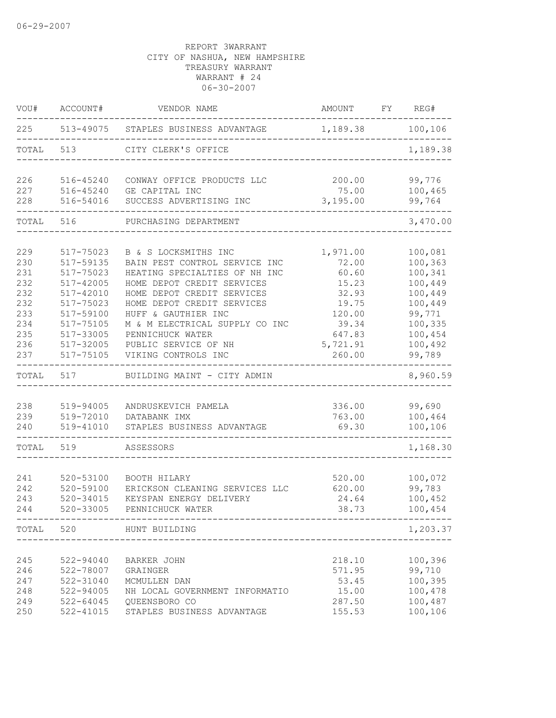| VOU#  | ACCOUNT#      | VENDOR NAME                          | AMOUNT   | FY | REG#     |
|-------|---------------|--------------------------------------|----------|----|----------|
| 225   |               | 513-49075 STAPLES BUSINESS ADVANTAGE | 1,189.38 |    | 100,106  |
| TOTAL | 513           | CITY CLERK'S OFFICE                  |          |    | 1,189.38 |
| 226   | 516-45240     | CONWAY OFFICE PRODUCTS LLC           | 200.00   |    | 99,776   |
| 227   | 516-45240     | GE CAPITAL INC                       | 75.00    |    | 100,465  |
| 228   | 516-54016     | SUCCESS ADVERTISING INC              | 3,195.00 |    | 99,764   |
| TOTAL | 516           | PURCHASING DEPARTMENT                |          |    | 3,470.00 |
|       |               |                                      |          |    |          |
| 229   | 517-75023     | B & S LOCKSMITHS INC                 | 1,971.00 |    | 100,081  |
| 230   | 517-59135     | BAIN PEST CONTROL SERVICE INC        | 72.00    |    | 100,363  |
| 231   | 517-75023     | HEATING SPECIALTIES OF NH INC        | 60.60    |    | 100,341  |
| 232   | 517-42005     | HOME DEPOT CREDIT SERVICES           | 15.23    |    | 100,449  |
| 232   | 517-42010     | HOME DEPOT CREDIT SERVICES           | 32.93    |    | 100,449  |
| 232   | 517-75023     | HOME DEPOT CREDIT SERVICES           | 19.75    |    | 100,449  |
| 233   | 517-59100     | HUFF & GAUTHIER INC                  | 120.00   |    | 99,771   |
| 234   | 517-75105     | M & M ELECTRICAL SUPPLY CO INC       | 39.34    |    | 100,335  |
| 235   | 517-33005     | PENNICHUCK WATER                     | 647.83   |    | 100,454  |
| 236   | 517-32005     | PUBLIC SERVICE OF NH                 | 5,721.91 |    | 100,492  |
| 237   | 517-75105     | VIKING CONTROLS INC                  | 260.00   |    | 99,789   |
| TOTAL | 517           | BUILDING MAINT - CITY ADMIN          |          |    | 8,960.59 |
|       |               |                                      |          |    |          |
| 238   | 519-94005     | ANDRUSKEVICH PAMELA                  | 336.00   |    | 99,690   |
| 239   | 519-72010     | DATABANK IMX                         | 763.00   |    | 100,464  |
| 240   | 519-41010     | STAPLES BUSINESS ADVANTAGE           | 69.30    |    | 100,106  |
| TOTAL | 519           | ASSESSORS                            |          |    | 1,168.30 |
|       |               |                                      |          |    |          |
| 241   | 520-53100     | BOOTH HILARY                         | 520.00   |    | 100,072  |
| 242   | 520-59100     | ERICKSON CLEANING SERVICES LLC       | 620.00   |    | 99,783   |
| 243   | 520-34015     | KEYSPAN ENERGY DELIVERY              | 24.64    |    | 100,452  |
| 244   | 520-33005     | PENNICHUCK WATER                     | 38.73    |    | 100,454  |
|       |               | TOTAL 520 HUNT BUILDING              |          |    | 1,203.37 |
|       |               |                                      |          |    |          |
| 245   | 522-94040     | <b>BARKER JOHN</b>                   | 218.10   |    | 100,396  |
| 246   | 522-78007     | GRAINGER                             | 571.95   |    | 99,710   |
| 247   | 522-31040     | MCMULLEN DAN                         | 53.45    |    | 100,395  |
| 248   | 522-94005     | NH LOCAL GOVERNMENT INFORMATIO       | 15.00    |    | 100,478  |
| 249   | $522 - 64045$ | QUEENSBORO CO                        | 287.50   |    | 100,487  |
| 250   | 522-41015     | STAPLES BUSINESS ADVANTAGE           | 155.53   |    | 100,106  |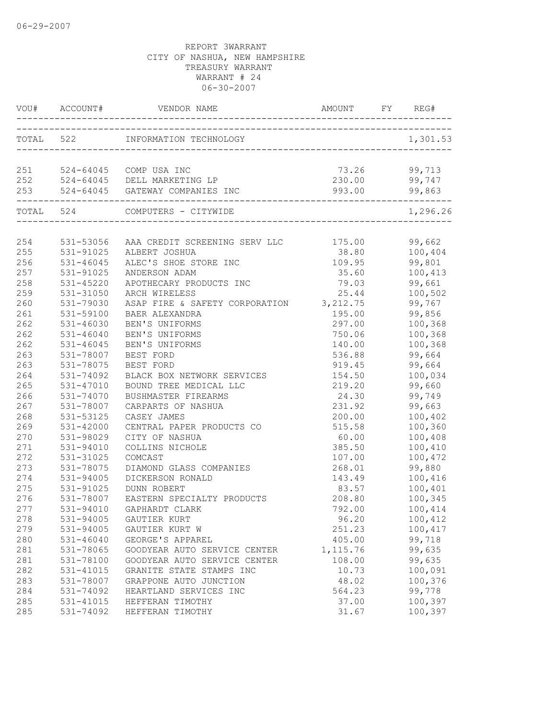|     | VOU# ACCOUNT# | VENDOR NAME                                           | AMOUNT                                | FY<br>REG#    |
|-----|---------------|-------------------------------------------------------|---------------------------------------|---------------|
|     |               | TOTAL 522 INFORMATION TECHNOLOGY                      | 0GY<br>------------------------------ | 1,301.53      |
|     |               | 251 524-64045 COMP USA INC                            | 73.26                                 | 99,713        |
|     |               | 252 524-64045 DELL MARKETING LP                       | 230.00                                | 99,747        |
| 253 |               | 524-64045 GATEWAY COMPANIES INC                       | 993.00                                | 99,863        |
|     |               | ----------------<br>TOTAL 524 COMPUTERS - CITYWIDE    |                                       | 1,296.26      |
|     |               |                                                       |                                       |               |
| 254 |               | 531-53056 AAA CREDIT SCREENING SERV LLC 175.00 99,662 |                                       |               |
| 255 | 531-91025     | ALBERT JOSHUA                                         |                                       | 38.80 100,404 |
| 256 | 531-46045     | ALEC'S SHOE STORE INC                                 | 109.95                                | 99,801        |
| 257 | 531-91025     | ANDERSON ADAM                                         | 35.60                                 | 100,413       |
| 258 | 531-45220     | APOTHECARY PRODUCTS INC                               | 79.03                                 | 99,661        |
| 259 | 531-31050     | ARCH WIRELESS                                         | 25.44                                 | 100,502       |
| 260 | 531-79030     | ASAP FIRE & SAFETY CORPORATION 3, 212.75              |                                       | 99,767        |
| 261 | 531-59100     | BAER ALEXANDRA                                        | 195.00                                | 99,856        |
| 262 | 531-46030     | BEN'S UNIFORMS                                        | 297.00                                | 100,368       |
| 262 | 531-46040     | BEN'S UNIFORMS                                        | 750.06                                | 100,368       |
| 262 | $531 - 46045$ | BEN'S UNIFORMS                                        | 140.00                                | 100,368       |
| 263 | 531-78007     | BEST FORD                                             | 536.88                                | 99,664        |
| 263 | 531-78075     | BEST FORD                                             | 919.45                                | 99,664        |
| 264 | 531-74092     | BLACK BOX NETWORK SERVICES                            | 154.50                                | 100,034       |
| 265 | 531-47010     | BOUND TREE MEDICAL LLC                                | 219.20                                | 99,660        |
| 266 | 531-74070     | BUSHMASTER FIREARMS                                   | 24.30                                 | 99,749        |
| 267 | 531-78007     | CARPARTS OF NASHUA                                    | 231.92                                | 99,663        |
| 268 | 531-53125     | CASEY JAMES                                           | 200.00                                | 100,402       |
| 269 | 531-42000     | CENTRAL PAPER PRODUCTS CO                             | 515.58                                | 100,360       |
| 270 | 531-98029     | CITY OF NASHUA                                        | 60.00                                 | 100,408       |
| 271 | 531-94010     | COLLINS NICHOLE                                       | 385.50                                | 100,410       |
| 272 | 531-31025     | COMCAST                                               | 107.00                                | 100,472       |
| 273 | 531-78075     | DIAMOND GLASS COMPANIES                               | 268.01                                | 99,880        |
| 274 | 531-94005     | DICKERSON RONALD                                      | 143.49                                | 100,416       |
| 275 | 531-91025     | DUNN ROBERT                                           | 83.57                                 | 100,401       |
| 276 | 531-78007     | EASTERN SPECIALTY PRODUCTS                            | 208.80                                | 100,345       |
| 277 |               | 531-94010 GAPHARDT CLARK                              | 792.00                                | 100,414       |
| 278 | 531-94005     | GAUTIER KURT                                          | 96.20                                 | 100,412       |
| 279 | 531-94005     | GAUTIER KURT W                                        | 251.23                                | 100,417       |
| 280 | $531 - 46040$ | GEORGE'S APPAREL                                      | 405.00                                | 99,718        |
| 281 | 531-78065     | GOODYEAR AUTO SERVICE CENTER                          | 1, 115.76                             | 99,635        |
| 281 | 531-78100     | GOODYEAR AUTO SERVICE CENTER                          | 108.00                                | 99,635        |
| 282 | 531-41015     | GRANITE STATE STAMPS INC                              | 10.73                                 | 100,091       |
| 283 | 531-78007     | GRAPPONE AUTO JUNCTION                                | 48.02                                 | 100,376       |
| 284 | 531-74092     | HEARTLAND SERVICES INC                                | 564.23                                | 99,778        |
| 285 | 531-41015     | HEFFERAN TIMOTHY                                      | 37.00                                 | 100,397       |
| 285 | 531-74092     | HEFFERAN TIMOTHY                                      | 31.67                                 | 100,397       |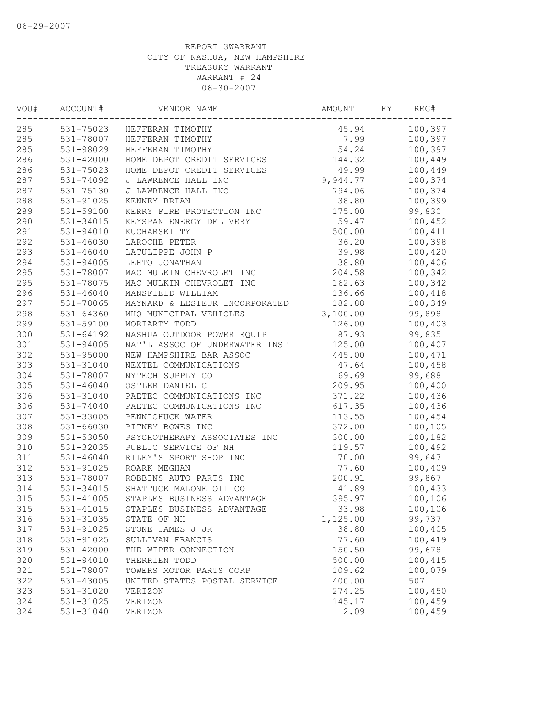| VOU# | ACCOUNT#      | VENDOR NAME                    | AMOUNT   | FY | REG#    |
|------|---------------|--------------------------------|----------|----|---------|
| 285  |               | 531-75023 HEFFERAN TIMOTHY     | 45.94    |    | 100,397 |
| 285  | 531-78007     | HEFFERAN TIMOTHY               | 7.99     |    | 100,397 |
| 285  | 531-98029     | HEFFERAN TIMOTHY               | 54.24    |    | 100,397 |
| 286  | $531 - 42000$ | HOME DEPOT CREDIT SERVICES     | 144.32   |    | 100,449 |
| 286  | 531-75023     | HOME DEPOT CREDIT SERVICES     | 49.99    |    | 100,449 |
| 287  | 531-74092     | J LAWRENCE HALL INC            | 9,944.77 |    | 100,374 |
| 287  | 531-75130     | J LAWRENCE HALL INC            | 794.06   |    | 100,374 |
| 288  | 531-91025     | KENNEY BRIAN                   | 38.80    |    | 100,399 |
| 289  | 531-59100     | KERRY FIRE PROTECTION INC      | 175.00   |    | 99,830  |
| 290  | 531-34015     | KEYSPAN ENERGY DELIVERY        | 59.47    |    | 100,452 |
| 291  | 531-94010     | KUCHARSKI TY                   | 500.00   |    | 100,411 |
| 292  | 531-46030     | LAROCHE PETER                  | 36.20    |    | 100,398 |
| 293  | 531-46040     | LATULIPPE JOHN P               | 39.98    |    | 100,420 |
| 294  | $531 - 94005$ | LEHTO JONATHAN                 | 38.80    |    | 100,406 |
| 295  | 531-78007     | MAC MULKIN CHEVROLET INC       | 204.58   |    | 100,342 |
| 295  | 531-78075     | MAC MULKIN CHEVROLET INC       | 162.63   |    | 100,342 |
| 296  | 531-46040     | MANSFIELD WILLIAM              | 136.66   |    | 100,418 |
| 297  | 531-78065     | MAYNARD & LESIEUR INCORPORATED | 182.88   |    | 100,349 |
| 298  | 531-64360     | MHQ MUNICIPAL VEHICLES         | 3,100.00 |    | 99,898  |
| 299  | 531-59100     | MORIARTY TODD                  | 126.00   |    | 100,403 |
| 300  | $531 - 64192$ | NASHUA OUTDOOR POWER EQUIP     | 87.93    |    | 99,835  |
| 301  | 531-94005     | NAT'L ASSOC OF UNDERWATER INST | 125.00   |    | 100,407 |
| 302  | 531-95000     | NEW HAMPSHIRE BAR ASSOC        | 445.00   |    | 100,471 |
| 303  | 531-31040     | NEXTEL COMMUNICATIONS          | 47.64    |    | 100,458 |
| 304  | 531-78007     | NYTECH SUPPLY CO               | 69.69    |    | 99,688  |
| 305  | 531-46040     | OSTLER DANIEL C                | 209.95   |    | 100,400 |
| 306  | 531-31040     | PAETEC COMMUNICATIONS INC      | 371.22   |    | 100,436 |
| 306  | 531-74040     | PAETEC COMMUNICATIONS INC      | 617.35   |    | 100,436 |
| 307  | 531-33005     | PENNICHUCK WATER               | 113.55   |    | 100,454 |
| 308  | 531-66030     | PITNEY BOWES INC               | 372.00   |    |         |
| 309  | 531-53050     | PSYCHOTHERAPY ASSOCIATES INC   | 300.00   |    | 100,105 |
| 310  | 531-32035     |                                | 119.57   |    | 100,182 |
|      |               | PUBLIC SERVICE OF NH           |          |    | 100,492 |
| 311  | $531 - 46040$ | RILEY'S SPORT SHOP INC         | 70.00    |    | 99,647  |
| 312  | 531-91025     | ROARK MEGHAN                   | 77.60    |    | 100,409 |
| 313  | 531-78007     | ROBBINS AUTO PARTS INC         | 200.91   |    | 99,867  |
| 314  | 531-34015     | SHATTUCK MALONE OIL CO         | 41.89    |    | 100,433 |
| 315  | 531-41005     | STAPLES BUSINESS ADVANTAGE     | 395.97   |    | 100,106 |
| 315  | 531-41015     | STAPLES BUSINESS ADVANTAGE     | 33.98    |    | 100,106 |
| 316  | 531-31035     | STATE OF NH                    | 1,125.00 |    | 99,737  |
| 317  | 531-91025     | STONE JAMES J JR               | 38.80    |    | 100,405 |
| 318  | 531-91025     | SULLIVAN FRANCIS               | 77.60    |    | 100,419 |
| 319  | 531-42000     | THE WIPER CONNECTION           | 150.50   |    | 99,678  |
| 320  | 531-94010     | THERRIEN TODD                  | 500.00   |    | 100,415 |
| 321  | 531-78007     | TOWERS MOTOR PARTS CORP        | 109.62   |    | 100,079 |
| 322  | 531-43005     | UNITED STATES POSTAL SERVICE   | 400.00   |    | 507     |
| 323  | 531-31020     | VERIZON                        | 274.25   |    | 100,450 |
| 324  | 531-31025     | VERIZON                        | 145.17   |    | 100,459 |
| 324  | 531-31040     | VERIZON                        | 2.09     |    | 100,459 |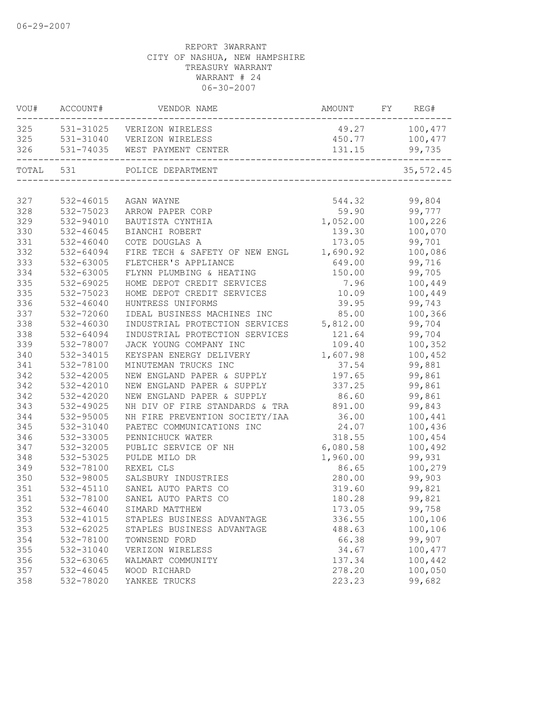| VOU#      | ACCOUNT#  | VENDOR NAME                           | AMOUNT FY REG# |                 |
|-----------|-----------|---------------------------------------|----------------|-----------------|
| 325       |           | 531-31025 VERIZON WIRELESS            | 49.27 100,477  |                 |
|           |           | 325 531-31040 VERIZON WIRELESS        |                | 450.77 100,477  |
|           |           | 326 531-74035 WEST PAYMENT CENTER     | 131.15         | 99,735<br>$---$ |
| TOTAL 531 |           | POLICE DEPARTMENT                     |                | 35,572.45       |
|           |           |                                       |                |                 |
| 327       | 532-46015 | AGAN WAYNE                            | 544.32         | 99,804          |
| 328       | 532-75023 | ARROW PAPER CORP                      | 59.90          | 99,777          |
| 329       | 532-94010 | BAUTISTA CYNTHIA                      | 1,052.00       | 100,226         |
| 330       | 532-46045 | BIANCHI ROBERT                        | 139.30         | 100,070         |
| 331       | 532-46040 | COTE DOUGLAS A                        | 173.05         | 99,701          |
| 332       | 532-64094 | FIRE TECH & SAFETY OF NEW ENGL        | 1,690.92       | 100,086         |
| 333       | 532-63005 | FLETCHER'S APPLIANCE                  | 649.00         | 99,716          |
| 334       | 532-63005 | FLYNN PLUMBING & HEATING              | 150.00         | 99,705          |
| 335       | 532-69025 | HOME DEPOT CREDIT SERVICES            | 7.96           | 100,449         |
| 335       | 532-75023 | HOME DEPOT CREDIT SERVICES            | 10.09          | 100,449         |
| 336       | 532-46040 | HUNTRESS UNIFORMS                     | 39.95          | 99,743          |
| 337       | 532-72060 | IDEAL BUSINESS MACHINES INC           | 85.00          | 100,366         |
| 338       | 532-46030 | INDUSTRIAL PROTECTION SERVICES        | 5,812.00       | 99,704          |
| 338       | 532-64094 | INDUSTRIAL PROTECTION SERVICES        | 121.64         | 99,704          |
| 339       | 532-78007 | JACK YOUNG COMPANY INC                | 109.40         | 100,352         |
| 340       | 532-34015 | KEYSPAN ENERGY DELIVERY               | 1,607.98       | 100,452         |
| 341       | 532-78100 | MINUTEMAN TRUCKS INC                  | 37.54          | 99,881          |
| 342       | 532-42005 | NEW ENGLAND PAPER & SUPPLY            | 197.65         | 99,861          |
| 342       | 532-42010 | NEW ENGLAND PAPER & SUPPLY            | 337.25         | 99,861          |
| 342       | 532-42020 | NEW ENGLAND PAPER & SUPPLY            | 86.60          | 99,861          |
| 343       | 532-49025 | NH DIV OF FIRE STANDARDS & TRA 891.00 |                | 99,843          |
| 344       | 532-95005 | NH FIRE PREVENTION SOCIETY/IAA        | 36.00          | 100,441         |
| 345       | 532-31040 | PAETEC COMMUNICATIONS INC             | 24.07          | 100,436         |
| 346       | 532-33005 | PENNICHUCK WATER                      | 318.55         | 100,454         |
| 347       | 532-32005 | PUBLIC SERVICE OF NH                  | 6,080.58       | 100,492         |
| 348       | 532-53025 | PULDE MILO DR                         | 1,960.00       | 99,931          |
| 349       | 532-78100 | REXEL CLS                             | 86.65          | 100,279         |
| 350       | 532-98005 | SALSBURY INDUSTRIES                   | 280.00         | 99,903          |
| 351       | 532-45110 | SANEL AUTO PARTS CO                   | 319.60         | 99,821          |
| 351       | 532-78100 | SANEL AUTO PARTS CO                   | 180.28         | 99,821          |
| 352       | 532-46040 | SIMARD MATTHEW                        | 173.05         | 99,758          |
| 353       | 532-41015 | STAPLES BUSINESS ADVANTAGE            | 336.55         | 100,106         |
| 353       | 532-62025 | STAPLES BUSINESS ADVANTAGE            | 488.63         | 100,106         |
| 354       | 532-78100 | TOWNSEND FORD                         | 66.38          | 99,907          |
| 355       | 532-31040 | VERIZON WIRELESS                      | 34.67          | 100,477         |
| 356       | 532-63065 | WALMART COMMUNITY                     | 137.34         | 100,442         |
| 357       | 532-46045 | WOOD RICHARD                          | 278.20         | 100,050         |
| 358       | 532-78020 | YANKEE TRUCKS                         | 223.23         | 99,682          |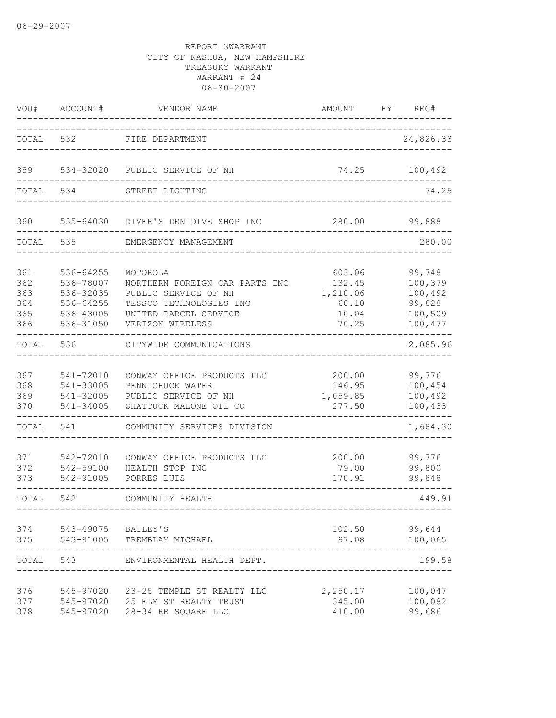| WOU#                                   | ACCOUNT#                                                                   | VENDOR NAME                                                                                                                                | AMOUNT                                                  | FY | REG#                                                         |
|----------------------------------------|----------------------------------------------------------------------------|--------------------------------------------------------------------------------------------------------------------------------------------|---------------------------------------------------------|----|--------------------------------------------------------------|
| TOTAL                                  | 532                                                                        | FIRE DEPARTMENT                                                                                                                            |                                                         |    | 24,826.33                                                    |
| 359                                    | 534-32020                                                                  | PUBLIC SERVICE OF NH                                                                                                                       | 74.25                                                   |    | 100,492                                                      |
| TOTAL                                  | 534                                                                        | STREET LIGHTING                                                                                                                            |                                                         |    | 74.25                                                        |
| 360                                    |                                                                            | 535-64030 DIVER'S DEN DIVE SHOP INC                                                                                                        | 280.00                                                  |    | 99,888                                                       |
| TOTAL                                  | 535                                                                        | EMERGENCY MANAGEMENT                                                                                                                       |                                                         |    | 280.00                                                       |
| 361<br>362<br>363<br>364<br>365<br>366 | 536-64255<br>536-78007<br>536-32035<br>536-64255<br>536-43005<br>536-31050 | MOTOROLA<br>NORTHERN FOREIGN CAR PARTS INC<br>PUBLIC SERVICE OF NH<br>TESSCO TECHNOLOGIES INC<br>UNITED PARCEL SERVICE<br>VERIZON WIRELESS | 603.06<br>132.45<br>1,210.06<br>60.10<br>10.04<br>70.25 |    | 99,748<br>100,379<br>100,492<br>99,828<br>100,509<br>100,477 |
| TOTAL                                  | 536                                                                        | CITYWIDE COMMUNICATIONS                                                                                                                    |                                                         |    | 2,085.96                                                     |
| 367<br>368<br>369<br>370               | 541-72010<br>541-33005<br>541-32005<br>541-34005                           | CONWAY OFFICE PRODUCTS LLC<br>PENNICHUCK WATER<br>PUBLIC SERVICE OF NH<br>SHATTUCK MALONE OIL CO                                           | 200.00<br>146.95<br>1,059.85<br>277.50                  |    | 99,776<br>100,454<br>100,492<br>100,433                      |
| TOTAL                                  | 541                                                                        | COMMUNITY SERVICES DIVISION                                                                                                                |                                                         |    | 1,684.30                                                     |
| 371<br>372<br>373                      | 542-72010<br>542-59100<br>542-91005                                        | CONWAY OFFICE PRODUCTS LLC<br>HEALTH STOP INC<br>PORRES LUIS                                                                               | 200.00<br>79.00<br>170.91                               |    | 99,776<br>99,800<br>99,848                                   |
| TOTAL                                  | 542                                                                        | COMMUNITY HEALTH                                                                                                                           |                                                         |    | 449.91                                                       |
| 374<br>375                             | 543-49075 BAILEY'S<br>543-91005                                            | TREMBLAY MICHAEL                                                                                                                           | 102.50<br>97.08                                         |    | 99,644<br>100,065                                            |
| TOTAL                                  | 543                                                                        | ENVIRONMENTAL HEALTH DEPT.                                                                                                                 |                                                         |    | 199.58                                                       |
| 376<br>377<br>378                      | 545-97020<br>545-97020<br>545-97020                                        | 23-25 TEMPLE ST REALTY LLC<br>25 ELM ST REALTY TRUST<br>28-34 RR SQUARE LLC                                                                | 2,250.17<br>345.00<br>410.00                            |    | 100,047<br>100,082<br>99,686                                 |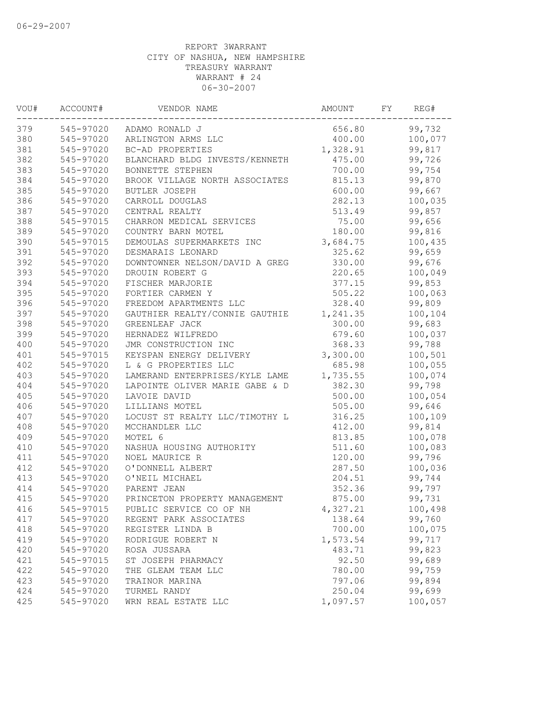| VOU# | ACCOUNT#  | VENDOR NAME                    | AMOUNT   | FY | REG#    |
|------|-----------|--------------------------------|----------|----|---------|
| 379  |           | 545-97020 ADAMO RONALD J       | 656.80   |    | 99,732  |
| 380  | 545-97020 | ARLINGTON ARMS LLC             | 400.00   |    | 100,077 |
| 381  | 545-97020 | BC-AD PROPERTIES               | 1,328.91 |    | 99,817  |
| 382  | 545-97020 | BLANCHARD BLDG INVESTS/KENNETH | 475.00   |    | 99,726  |
| 383  | 545-97020 | BONNETTE STEPHEN               | 700.00   |    | 99,754  |
| 384  | 545-97020 | BROOK VILLAGE NORTH ASSOCIATES | 815.13   |    | 99,870  |
| 385  | 545-97020 | <b>BUTLER JOSEPH</b>           | 600.00   |    | 99,667  |
| 386  | 545-97020 | CARROLL DOUGLAS                | 282.13   |    | 100,035 |
| 387  | 545-97020 | CENTRAL REALTY                 | 513.49   |    | 99,857  |
| 388  | 545-97015 | CHARRON MEDICAL SERVICES       | 75.00    |    | 99,656  |
| 389  | 545-97020 | COUNTRY BARN MOTEL             | 180.00   |    | 99,816  |
| 390  | 545-97015 | DEMOULAS SUPERMARKETS INC      | 3,684.75 |    | 100,435 |
| 391  | 545-97020 | DESMARAIS LEONARD              | 325.62   |    | 99,659  |
| 392  | 545-97020 | DOWNTOWNER NELSON/DAVID A GREG | 330.00   |    | 99,676  |
| 393  | 545-97020 | DROUIN ROBERT G                | 220.65   |    | 100,049 |
| 394  | 545-97020 | FISCHER MARJORIE               | 377.15   |    | 99,853  |
| 395  | 545-97020 | FORTIER CARMEN Y               | 505.22   |    | 100,063 |
| 396  | 545-97020 | FREEDOM APARTMENTS LLC         | 328.40   |    | 99,809  |
| 397  | 545-97020 | GAUTHIER REALTY/CONNIE GAUTHIE | 1,241.35 |    | 100,104 |
| 398  | 545-97020 | GREENLEAF JACK                 | 300.00   |    | 99,683  |
| 399  | 545-97020 | HERNADEZ WILFREDO              | 679.60   |    | 100,037 |
| 400  | 545-97020 | JMR CONSTRUCTION INC           | 368.33   |    | 99,788  |
| 401  | 545-97015 | KEYSPAN ENERGY DELIVERY        | 3,300.00 |    | 100,501 |
| 402  | 545-97020 | L & G PROPERTIES LLC           | 685.98   |    | 100,055 |
| 403  | 545-97020 | LAMERAND ENTERPRISES/KYLE LAME | 1,735.55 |    | 100,074 |
| 404  | 545-97020 | LAPOINTE OLIVER MARIE GABE & D | 382.30   |    | 99,798  |
| 405  | 545-97020 | LAVOIE DAVID                   | 500.00   |    | 100,054 |
| 406  | 545-97020 | LILLIANS MOTEL                 | 505.00   |    | 99,646  |
| 407  | 545-97020 | LOCUST ST REALTY LLC/TIMOTHY L | 316.25   |    | 100,109 |
| 408  | 545-97020 | MCCHANDLER LLC                 | 412.00   |    | 99,814  |
| 409  | 545-97020 | MOTEL 6                        | 813.85   |    | 100,078 |
| 410  | 545-97020 | NASHUA HOUSING AUTHORITY       | 511.60   |    | 100,083 |
| 411  | 545-97020 | NOEL MAURICE R                 | 120.00   |    | 99,796  |
| 412  | 545-97020 | O'DONNELL ALBERT               | 287.50   |    | 100,036 |
| 413  | 545-97020 | O'NEIL MICHAEL                 | 204.51   |    | 99,744  |
| 414  | 545-97020 | PARENT JEAN                    | 352.36   |    | 99,797  |
| 415  | 545-97020 | PRINCETON PROPERTY MANAGEMENT  | 875.00   |    | 99,731  |
| 416  | 545-97015 | PUBLIC SERVICE CO OF NH        | 4,327.21 |    | 100,498 |
| 417  | 545-97020 | REGENT PARK ASSOCIATES         | 138.64   |    | 99,760  |
| 418  | 545-97020 | REGISTER LINDA B               | 700.00   |    | 100,075 |
| 419  | 545-97020 | RODRIGUE ROBERT N              | 1,573.54 |    | 99,717  |
| 420  | 545-97020 | ROSA JUSSARA                   | 483.71   |    | 99,823  |
| 421  | 545-97015 | ST JOSEPH PHARMACY             | 92.50    |    | 99,689  |
| 422  | 545-97020 | THE GLEAM TEAM LLC             | 780.00   |    | 99,759  |
| 423  | 545-97020 | TRAINOR MARINA                 | 797.06   |    | 99,894  |
| 424  | 545-97020 | TURMEL RANDY                   | 250.04   |    | 99,699  |
| 425  | 545-97020 | WRN REAL ESTATE LLC            | 1,097.57 |    | 100,057 |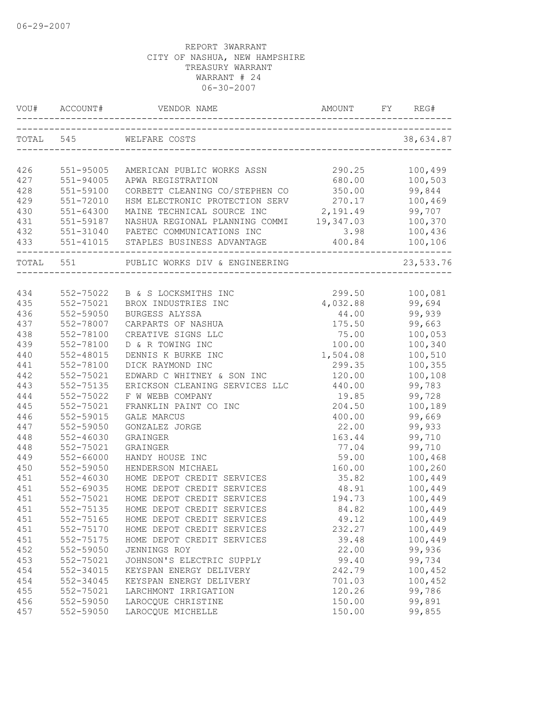| VOU#       | ACCOUNT#               | VENDOR NAME                              | <b>AMOUNT</b>   | REG#              |
|------------|------------------------|------------------------------------------|-----------------|-------------------|
| TOTAL 545  |                        | WELFARE COSTS                            |                 | 38,634.87         |
| 426        | 551-95005              | AMERICAN PUBLIC WORKS ASSN               | 290.25          | 100,499           |
| 427        | 551-94005              | APWA REGISTRATION                        | 680.00          | 100,503           |
| 428        | 551-59100              | CORBETT CLEANING CO/STEPHEN CO           | 350.00          | 99,844            |
| 429        | 551-72010              | HSM ELECTRONIC PROTECTION SERV           | 270.17          | 100,469           |
| 430        | $551 - 64300$          | MAINE TECHNICAL SOURCE INC               | 2,191.49        | 99,707            |
| 431        | 551-59187              | NASHUA REGIONAL PLANNING COMMI 19,347.03 |                 | 100,370           |
| 432        |                        | 551-31040 PAETEC COMMUNICATIONS INC      | 3.98            | 100,436           |
| 433        |                        | 551-41015 STAPLES BUSINESS ADVANTAGE     | 400.84          | 100,106           |
| TOTAL 551  |                        | PUBLIC WORKS DIV & ENGINEERING           |                 | 23,533.76         |
|            |                        |                                          |                 |                   |
| 434        |                        | 552-75022 B & S LOCKSMITHS INC           | 299.50          | 100,081           |
| 435        | 552-75021              | BROX INDUSTRIES INC                      | 4,032.88        | 99,694            |
| 436        | 552-59050              | BURGESS ALYSSA                           | 44.00           | 99,939            |
| 437        | 552-78007              | CARPARTS OF NASHUA                       | 175.50          | 99,663            |
| 438        | 552-78100              | CREATIVE SIGNS LLC                       | 75.00           | 100,053           |
| 439        | 552-78100              | D & R TOWING INC                         | 100.00          | 100,340           |
| 440        | 552-48015              | DENNIS K BURKE INC                       | 1,504.08        | 100,510           |
| 441        | 552-78100              | DICK RAYMOND INC                         | 299.35          | 100,355           |
| 442        | 552-75021              | EDWARD C WHITNEY & SON INC               | 120.00          | 100,108           |
| 443        | 552-75135              | ERICKSON CLEANING SERVICES LLC           | 440.00          | 99,783            |
| 444        | 552-75022              | F W WEBB COMPANY                         | 19.85           | 99,728            |
| 445        | 552-75021              | FRANKLIN PAINT CO INC                    | 204.50          | 100,189<br>99,669 |
| 446<br>447 | 552-59015<br>552-59050 | GALE MARCUS<br>GONZALEZ JORGE            | 400.00<br>22.00 | 99,933            |
| 448        | $552 - 46030$          | GRAINGER                                 | 163.44          | 99,710            |
| 448        | 552-75021              | GRAINGER                                 | 77.04           | 99,710            |
| 449        | 552-66000              | HANDY HOUSE INC                          | 59.00           | 100,468           |
| 450        | 552-59050              | HENDERSON MICHAEL                        | 160.00          | 100,260           |
| 451        | 552-46030              | HOME DEPOT CREDIT SERVICES               | 35.82           | 100,449           |
| 451        | 552-69035              | HOME DEPOT CREDIT SERVICES               | 48.91           | 100,449           |
| 451        | 552-75021              | HOME DEPOT CREDIT SERVICES               | 194.73          | 100,449           |
| 451        | 552-75135              | HOME DEPOT CREDIT SERVICES               | 84.82           | 100,449           |
| 451        | 552-75165              | HOME DEPOT CREDIT SERVICES               | 49.12           | 100,449           |
| 451        | 552-75170              | HOME DEPOT CREDIT SERVICES               | 232.27          | 100,449           |
| 451        | 552-75175              | HOME DEPOT CREDIT SERVICES               | 39.48           | 100,449           |
| 452        | 552-59050              | JENNINGS ROY                             | 22.00           | 99,936            |
| 453        | 552-75021              | JOHNSON'S ELECTRIC SUPPLY                | 99.40           | 99,734            |
| 454        | 552-34015              | KEYSPAN ENERGY DELIVERY                  | 242.79          | 100,452           |
| 454        | 552-34045              | KEYSPAN ENERGY DELIVERY                  | 701.03          | 100,452           |
| 455        | 552-75021              | LARCHMONT IRRIGATION                     | 120.26          | 99,786            |
| 456        | 552-59050              | LAROCQUE CHRISTINE                       | 150.00          | 99,891            |
| 457        | 552-59050              | LAROCQUE MICHELLE                        | 150.00          | 99,855            |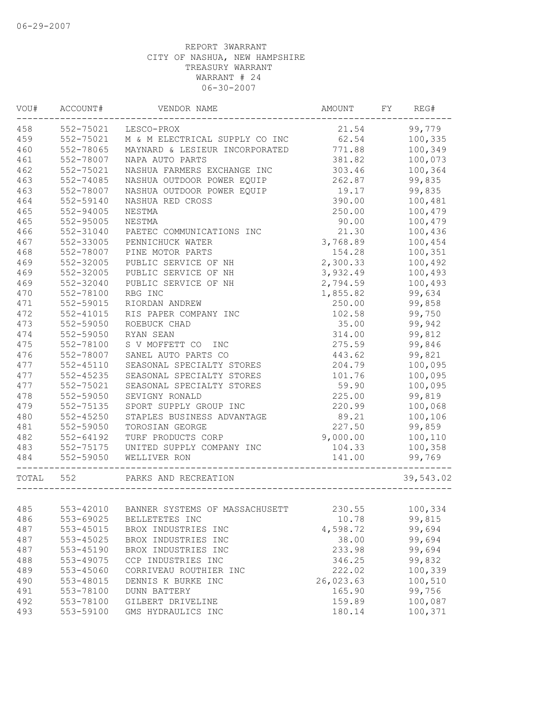| VOU#  | ACCOUNT#      | VENDOR NAME                              | AMOUNT    | FY | REG#              |
|-------|---------------|------------------------------------------|-----------|----|-------------------|
| 458   | 552-75021     | LESCO-PROX                               | 21.54     |    | 99,779            |
| 459   | 552-75021     | M & M ELECTRICAL SUPPLY CO INC           | 62.54     |    | 100,335           |
| 460   | 552-78065     | MAYNARD & LESIEUR INCORPORATED           | 771.88    |    | 100,349           |
| 461   | 552-78007     | NAPA AUTO PARTS                          | 381.82    |    | 100,073           |
| 462   | 552-75021     | NASHUA FARMERS EXCHANGE INC              | 303.46    |    | 100,364           |
| 463   | 552-74085     | NASHUA OUTDOOR POWER EQUIP               | 262.87    |    | 99,835            |
| 463   | 552-78007     | NASHUA OUTDOOR POWER EQUIP               | 19.17     |    | 99,835            |
| 464   | 552-59140     | NASHUA RED CROSS                         | 390.00    |    | 100,481           |
| 465   | 552-94005     | NESTMA                                   | 250.00    |    | 100,479           |
| 465   | 552-95005     | NESTMA                                   | 90.00     |    | 100,479           |
| 466   | 552-31040     | PAETEC COMMUNICATIONS INC                | 21.30     |    | 100,436           |
| 467   | 552-33005     | PENNICHUCK WATER                         | 3,768.89  |    | 100,454           |
| 468   | 552-78007     | PINE MOTOR PARTS                         | 154.28    |    | 100,351           |
| 469   | 552-32005     | PUBLIC SERVICE OF NH                     | 2,300.33  |    | 100,492           |
| 469   | 552-32005     | PUBLIC SERVICE OF NH                     | 3,932.49  |    | 100,493           |
| 469   | 552-32040     | PUBLIC SERVICE OF NH                     | 2,794.59  |    | 100,493           |
| 470   | 552-78100     | RBG INC                                  | 1,855.82  |    | 99,634            |
| 471   | 552-59015     | RIORDAN ANDREW                           | 250.00    |    | 99,858            |
| 472   | 552-41015     | RIS PAPER COMPANY INC                    | 102.58    |    | 99,750            |
| 473   | 552-59050     | ROEBUCK CHAD                             | 35.00     |    | 99,942            |
| 474   | 552-59050     | RYAN SEAN                                | 314.00    |    | 99,812            |
| 475   | 552-78100     | S V MOFFETT CO<br>INC                    | 275.59    |    | 99,846            |
| 476   | 552-78007     | SANEL AUTO PARTS CO                      | 443.62    |    | 99,821            |
| 477   | 552-45110     | SEASONAL SPECIALTY STORES                | 204.79    |    | 100,095           |
| 477   | 552-45235     | SEASONAL SPECIALTY STORES                | 101.76    |    | 100,095           |
| 477   | 552-75021     | SEASONAL SPECIALTY STORES                | 59.90     |    | 100,095           |
| 478   | 552-59050     | SEVIGNY RONALD                           | 225.00    |    | 99,819            |
| 479   | 552-75135     | SPORT SUPPLY GROUP INC                   | 220.99    |    | 100,068           |
| 480   | $552 - 45250$ | STAPLES BUSINESS ADVANTAGE               | 89.21     |    | 100,106           |
| 481   | 552-59050     | TOROSIAN GEORGE                          | 227.50    |    | 99,859            |
| 482   | 552-64192     | TURF PRODUCTS CORP                       | 9,000.00  |    | 100,110           |
| 483   | 552-75175     | UNITED SUPPLY COMPANY INC                | 104.33    |    |                   |
| 484   |               | WELLIVER RON                             | 141.00    |    | 100,358<br>99,769 |
|       | 552-59050     |                                          |           |    |                   |
| TOTAL | 552           | PARKS AND RECREATION                     |           |    | 39,543.02         |
|       |               |                                          |           |    |                   |
| 485   |               | 553-42010 BANNER SYSTEMS OF MASSACHUSETT | 230.55    |    | 100,334           |
| 486   | 553-69025     | BELLETETES INC                           | 10.78     |    | 99,815            |
| 487   | $553 - 45015$ | BROX INDUSTRIES INC                      | 4,598.72  |    | 99,694            |
| 487   | 553-45025     | BROX INDUSTRIES INC                      | 38.00     |    | 99,694            |
| 487   | 553-45190     | BROX INDUSTRIES INC                      | 233.98    |    | 99,694            |
| 488   | 553-49075     | CCP INDUSTRIES INC                       | 346.25    |    | 99,832            |
| 489   | 553-45060     | CORRIVEAU ROUTHIER INC                   | 222.02    |    | 100,339           |
| 490   | 553-48015     | DENNIS K BURKE INC                       | 26,023.63 |    | 100,510           |
| 491   | 553-78100     | <b>DUNN BATTERY</b>                      | 165.90    |    | 99,756            |
| 492   | 553-78100     | GILBERT DRIVELINE                        | 159.89    |    | 100,087           |
| 493   | 553-59100     | GMS HYDRAULICS INC                       | 180.14    |    | 100,371           |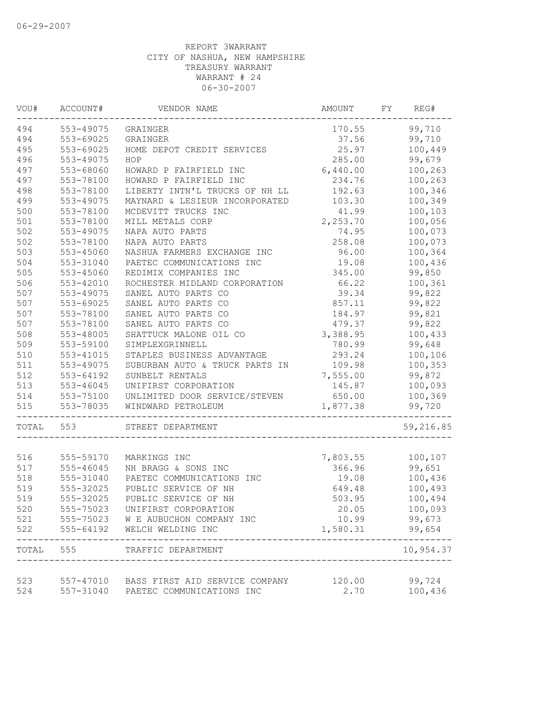| VOU#  | ACCOUNT#                   | VENDOR NAME                                                  | AMOUNT           | FY | REG#               |
|-------|----------------------------|--------------------------------------------------------------|------------------|----|--------------------|
| 494   | 553-49075                  | GRAINGER                                                     | 170.55           |    | 99,710             |
| 494   | 553-69025                  | GRAINGER                                                     | 37.56            |    | 99,710             |
| 495   | 553-69025                  | HOME DEPOT CREDIT SERVICES                                   | 25.97            |    | 100,449            |
| 496   | 553-49075                  | HOP                                                          | 285.00           |    | 99,679             |
| 497   | 553-68060                  | HOWARD P FAIRFIELD INC                                       | 6,440.00         |    | 100,263            |
| 497   | 553-78100                  | HOWARD P FAIRFIELD INC                                       | 234.76           |    | 100,263            |
| 498   | 553-78100                  | LIBERTY INTN'L TRUCKS OF NH LL                               | 192.63           |    | 100,346            |
| 499   | 553-49075                  | MAYNARD & LESIEUR INCORPORATED                               | 103.30           |    | 100,349            |
| 500   | 553-78100                  | MCDEVITT TRUCKS INC                                          | 41.99            |    | 100,103            |
| 501   | 553-78100                  | MILL METALS CORP                                             | 2,253.70         |    | 100,056            |
| 502   | 553-49075                  | NAPA AUTO PARTS                                              | 74.95            |    | 100,073            |
| 502   | 553-78100                  | NAPA AUTO PARTS                                              | 258.08           |    | 100,073            |
| 503   | 553-45060                  | NASHUA FARMERS EXCHANGE INC                                  | 96.00            |    | 100,364            |
| 504   | 553-31040                  | PAETEC COMMUNICATIONS INC                                    | 19.08            |    | 100,436            |
| 505   | 553-45060                  | REDIMIX COMPANIES INC                                        | 345.00           |    | 99,850             |
| 506   | 553-42010                  | ROCHESTER MIDLAND CORPORATION                                | 66.22            |    | 100,361            |
| 507   | 553-49075                  | SANEL AUTO PARTS CO                                          | 39.34            |    | 99,822             |
| 507   | 553-69025                  | SANEL AUTO PARTS CO                                          | 857.11           |    | 99,822             |
| 507   | 553-78100                  | SANEL AUTO PARTS CO                                          | 184.97           |    | 99,821             |
| 507   | 553-78100                  | SANEL AUTO PARTS CO                                          | 479.37           |    | 99,822             |
| 508   | 553-48005                  | SHATTUCK MALONE OIL CO                                       | 3,388.95         |    | 100,433            |
| 509   | 553-59100                  | SIMPLEXGRINNELL                                              | 780.99           |    | 99,648             |
| 510   | 553-41015                  |                                                              |                  |    |                    |
| 511   |                            | STAPLES BUSINESS ADVANTAGE<br>SUBURBAN AUTO & TRUCK PARTS IN | 293.24<br>109.98 |    | 100,106<br>100,353 |
|       | 553-49075                  |                                                              |                  |    |                    |
| 512   | 553-64192<br>$553 - 46045$ | SUNBELT RENTALS<br>UNIFIRST CORPORATION                      | 7,555.00         |    | 99,872             |
| 513   |                            |                                                              | 145.87           |    | 100,093            |
| 514   | 553-75100                  | UNLIMITED DOOR SERVICE/STEVEN                                | 650.00           |    | 100,369            |
| 515   | 553-78035                  | WINDWARD PETROLEUM                                           | 1,877.38         |    | 99,720             |
| TOTAL | 553                        | STREET DEPARTMENT                                            |                  |    | 59,216.85          |
|       |                            |                                                              |                  |    |                    |
| 516   | 555-59170                  | MARKINGS INC                                                 | 7,803.55         |    | 100,107            |
| 517   | 555-46045                  | NH BRAGG & SONS INC                                          | 366.96           |    | 99,651             |
| 518   | 555-31040                  | PAETEC COMMUNICATIONS INC                                    | 19.08            |    | 100,436            |
| 519   | 555-32025                  | PUBLIC SERVICE OF NH                                         | 649.48           |    | 100,493            |
| 519   | 555-32025                  | PUBLIC SERVICE OF NH                                         | 503.95           |    | 100,494            |
| 520   | 555-75023                  | UNIFIRST CORPORATION                                         | 20.05            |    | 100,093            |
| 521   | 555-75023                  | W E AUBUCHON COMPANY INC                                     | 10.99            |    | 99,673             |
| 522   | 555-64192                  | WELCH WELDING INC                                            | 1,580.31         |    | 99,654             |
| TOTAL | 555                        | TRAFFIC DEPARTMENT                                           |                  |    | 10,954.37          |
|       |                            |                                                              |                  |    |                    |
| 523   |                            | 557-47010 BASS FIRST AID SERVICE COMPANY                     | 120.00           |    | 99,724             |
| 524   | 557-31040                  | PAETEC COMMUNICATIONS INC                                    | 2.70             |    | 100,436            |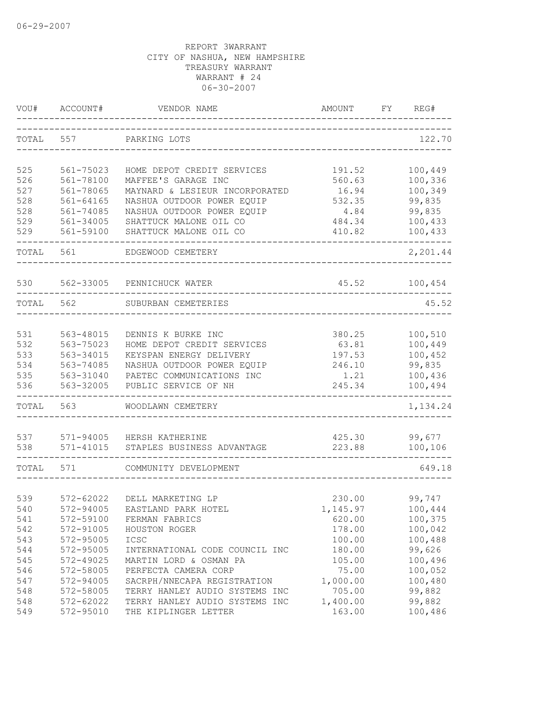| VOU#       | ACCOUNT#               | VENDOR NAME                                           | <b>AMOUNT</b>   | FΥ | REG#               |
|------------|------------------------|-------------------------------------------------------|-----------------|----|--------------------|
| TOTAL      | 557                    | PARKING LOTS                                          |                 |    | 122.70             |
|            |                        | HOME DEPOT CREDIT SERVICES                            |                 |    |                    |
| 525        | 561-75023              |                                                       | 191.52          |    | 100,449            |
| 526<br>527 | 561-78100<br>561-78065 | MAFFEE'S GARAGE INC<br>MAYNARD & LESIEUR INCORPORATED | 560.63          |    | 100,336<br>100,349 |
| 528        | $561 - 64165$          | NASHUA OUTDOOR POWER EQUIP                            | 16.94<br>532.35 |    | 99,835             |
| 528        | 561-74085              | NASHUA OUTDOOR POWER EQUIP                            | 4.84            |    | 99,835             |
| 529        | 561-34005              | SHATTUCK MALONE OIL CO                                | 484.34          |    | 100,433            |
| 529        | 561-59100              |                                                       | 410.82          |    |                    |
|            |                        | SHATTUCK MALONE OIL CO                                |                 |    | 100,433            |
| TOTAL      | 561                    | EDGEWOOD CEMETERY                                     |                 |    | 2,201.44           |
| 530        | 562-33005              | PENNICHUCK WATER                                      | 45.52           |    | 100,454            |
|            |                        |                                                       |                 |    |                    |
| TOTAL      | 562                    | SUBURBAN CEMETERIES                                   |                 |    | 45.52              |
| 531        | 563-48015              | DENNIS K BURKE INC                                    | 380.25          |    | 100,510            |
| 532        | 563-75023              | HOME DEPOT CREDIT SERVICES                            | 63.81           |    | 100,449            |
| 533        | 563-34015              | KEYSPAN ENERGY DELIVERY                               | 197.53          |    | 100,452            |
| 534        | 563-74085              | NASHUA OUTDOOR POWER EQUIP                            | 246.10          |    | 99,835             |
| 535        | 563-31040              | PAETEC COMMUNICATIONS INC                             | 1.21            |    | 100,436            |
| 536        | 563-32005              | PUBLIC SERVICE OF NH                                  | 245.34          |    | 100,494            |
| TOTAL      | 563                    | WOODLAWN CEMETERY                                     |                 |    | 1,134.24           |
| 537        | 571-94005              | HERSH KATHERINE                                       | 425.30          |    | 99,677             |
| 538        | $571 - 41015$          | STAPLES BUSINESS ADVANTAGE                            | 223.88          |    | 100,106            |
| TOTAL      | 571                    | COMMUNITY DEVELOPMENT                                 |                 |    | 649.18             |
|            |                        |                                                       |                 |    |                    |
| 539        | 572-62022              | DELL MARKETING LP                                     | 230.00          |    | 99,747             |
| 540        | 572-94005              | EASTLAND PARK HOTEL                                   | 1,145.97        |    | 100,444            |
| 541        | 572-59100              | FERMAN FABRICS                                        | 620.00          |    | 100,375            |
| 542        | 572-91005              | HOUSTON ROGER                                         | 178.00          |    | 100,042            |
| 543        | 572-95005              | ICSC                                                  | 100.00          |    | 100,488            |
| 544        | 572-95005              | INTERNATIONAL CODE COUNCIL INC                        | 180.00          |    | 99,626             |
| 545        | 572-49025              | MARTIN LORD & OSMAN PA                                | 105.00          |    | 100,496            |
| 546        | 572-58005              | PERFECTA CAMERA CORP                                  | 75.00           |    | 100,052            |
| 547        | 572-94005              | SACRPH/NNECAPA REGISTRATION                           | 1,000.00        |    | 100,480            |
| 548        | 572-58005              | TERRY HANLEY AUDIO SYSTEMS INC                        | 705.00          |    | 99,882             |
| 548        | 572-62022              | TERRY HANLEY AUDIO SYSTEMS INC                        | 1,400.00        |    | 99,882             |
| 549        | 572-95010              | THE KIPLINGER LETTER                                  | 163.00          |    | 100,486            |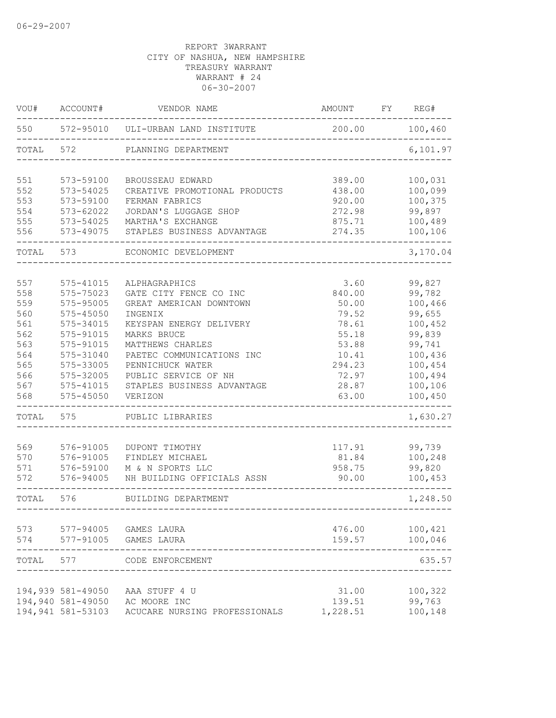| 550<br>572-95010<br>200.00<br>ULI-URBAN LAND INSTITUTE<br>572<br>TOTAL<br>PLANNING DEPARTMENT<br>551<br>573-59100<br>389.00<br>BROUSSEAU EDWARD<br>552<br>573-54025<br>438.00<br>CREATIVE PROMOTIONAL PRODUCTS<br>553<br>573-59100<br>FERMAN FABRICS<br>920.00<br>554<br>$573 - 62022$<br>JORDAN'S LUGGAGE SHOP<br>272.98<br>99,897<br>555<br>573-54025<br>MARTHA'S EXCHANGE<br>875.71<br>556<br>573-49075<br>274.35<br>STAPLES BUSINESS ADVANTAGE<br>TOTAL<br>573<br>ECONOMIC DEVELOPMENT<br>557<br>3.60<br>99,827<br>575-41015<br>ALPHAGRAPHICS<br>558<br>99,782<br>575-75023<br>GATE CITY FENCE CO INC<br>840.00<br>100,466<br>559<br>575-95005<br>50.00<br>GREAT AMERICAN DOWNTOWN<br>99,655<br>560<br>575-45050<br>INGENIX<br>79.52<br>561<br>575-34015<br>78.61<br>100,452<br>KEYSPAN ENERGY DELIVERY<br>99,839<br>562<br>575-91015<br>MARKS BRUCE<br>55.18<br>563<br>575-91015<br>99,741<br>MATTHEWS CHARLES<br>53.88<br>564<br>100,436<br>575-31040<br>PAETEC COMMUNICATIONS INC<br>10.41<br>565<br>100,454<br>575-33005<br>PENNICHUCK WATER<br>294.23<br>566<br>575-32005<br>PUBLIC SERVICE OF NH<br>72.97<br>100,494<br>567<br>STAPLES BUSINESS ADVANTAGE<br>100,106<br>575-41015<br>28.87<br>568<br>575-45050<br>63.00<br>100,450<br>VERIZON<br>TOTAL<br>575<br>PUBLIC LIBRARIES<br>569<br>576-91005<br>117.91<br>99,739<br>DUPONT TIMOTHY<br>570<br>81.84<br>100,248<br>576-91005<br>FINDLEY MICHAEL<br>571<br>576-59100<br>958.75<br>99,820<br>M & N SPORTS LLC<br>572<br>576-94005<br>NH BUILDING OFFICIALS ASSN<br>90.00<br>TOTAL<br>576<br>BUILDING DEPARTMENT<br>100,421<br>573 577-94005 GAMES LAURA<br>476.00<br>574 577-91005 GAMES LAURA<br>159.57<br>TOTAL<br>577<br>CODE ENFORCEMENT<br>194,939 581-49050<br>31.00<br>100,322<br>AAA STUFF 4 U<br>194,940 581-49050 AC MOORE INC<br>99,763<br>139.51 | VOU# | ACCOUNT# | VENDOR NAME                   | AMOUNT   | FY | REG#     |
|-----------------------------------------------------------------------------------------------------------------------------------------------------------------------------------------------------------------------------------------------------------------------------------------------------------------------------------------------------------------------------------------------------------------------------------------------------------------------------------------------------------------------------------------------------------------------------------------------------------------------------------------------------------------------------------------------------------------------------------------------------------------------------------------------------------------------------------------------------------------------------------------------------------------------------------------------------------------------------------------------------------------------------------------------------------------------------------------------------------------------------------------------------------------------------------------------------------------------------------------------------------------------------------------------------------------------------------------------------------------------------------------------------------------------------------------------------------------------------------------------------------------------------------------------------------------------------------------------------------------------------------------------------------------------------------------------------------------------------------------------------------------------------------------------------------------------------|------|----------|-------------------------------|----------|----|----------|
|                                                                                                                                                                                                                                                                                                                                                                                                                                                                                                                                                                                                                                                                                                                                                                                                                                                                                                                                                                                                                                                                                                                                                                                                                                                                                                                                                                                                                                                                                                                                                                                                                                                                                                                                                                                                                             |      |          |                               |          |    | 100,460  |
|                                                                                                                                                                                                                                                                                                                                                                                                                                                                                                                                                                                                                                                                                                                                                                                                                                                                                                                                                                                                                                                                                                                                                                                                                                                                                                                                                                                                                                                                                                                                                                                                                                                                                                                                                                                                                             |      |          |                               |          |    | 6,101.97 |
|                                                                                                                                                                                                                                                                                                                                                                                                                                                                                                                                                                                                                                                                                                                                                                                                                                                                                                                                                                                                                                                                                                                                                                                                                                                                                                                                                                                                                                                                                                                                                                                                                                                                                                                                                                                                                             |      |          |                               |          |    | 100,031  |
|                                                                                                                                                                                                                                                                                                                                                                                                                                                                                                                                                                                                                                                                                                                                                                                                                                                                                                                                                                                                                                                                                                                                                                                                                                                                                                                                                                                                                                                                                                                                                                                                                                                                                                                                                                                                                             |      |          |                               |          |    | 100,099  |
|                                                                                                                                                                                                                                                                                                                                                                                                                                                                                                                                                                                                                                                                                                                                                                                                                                                                                                                                                                                                                                                                                                                                                                                                                                                                                                                                                                                                                                                                                                                                                                                                                                                                                                                                                                                                                             |      |          |                               |          |    | 100,375  |
|                                                                                                                                                                                                                                                                                                                                                                                                                                                                                                                                                                                                                                                                                                                                                                                                                                                                                                                                                                                                                                                                                                                                                                                                                                                                                                                                                                                                                                                                                                                                                                                                                                                                                                                                                                                                                             |      |          |                               |          |    |          |
|                                                                                                                                                                                                                                                                                                                                                                                                                                                                                                                                                                                                                                                                                                                                                                                                                                                                                                                                                                                                                                                                                                                                                                                                                                                                                                                                                                                                                                                                                                                                                                                                                                                                                                                                                                                                                             |      |          |                               |          |    | 100,489  |
|                                                                                                                                                                                                                                                                                                                                                                                                                                                                                                                                                                                                                                                                                                                                                                                                                                                                                                                                                                                                                                                                                                                                                                                                                                                                                                                                                                                                                                                                                                                                                                                                                                                                                                                                                                                                                             |      |          |                               |          |    | 100,106  |
|                                                                                                                                                                                                                                                                                                                                                                                                                                                                                                                                                                                                                                                                                                                                                                                                                                                                                                                                                                                                                                                                                                                                                                                                                                                                                                                                                                                                                                                                                                                                                                                                                                                                                                                                                                                                                             |      |          |                               |          |    | 3,170.04 |
|                                                                                                                                                                                                                                                                                                                                                                                                                                                                                                                                                                                                                                                                                                                                                                                                                                                                                                                                                                                                                                                                                                                                                                                                                                                                                                                                                                                                                                                                                                                                                                                                                                                                                                                                                                                                                             |      |          |                               |          |    |          |
|                                                                                                                                                                                                                                                                                                                                                                                                                                                                                                                                                                                                                                                                                                                                                                                                                                                                                                                                                                                                                                                                                                                                                                                                                                                                                                                                                                                                                                                                                                                                                                                                                                                                                                                                                                                                                             |      |          |                               |          |    |          |
|                                                                                                                                                                                                                                                                                                                                                                                                                                                                                                                                                                                                                                                                                                                                                                                                                                                                                                                                                                                                                                                                                                                                                                                                                                                                                                                                                                                                                                                                                                                                                                                                                                                                                                                                                                                                                             |      |          |                               |          |    |          |
|                                                                                                                                                                                                                                                                                                                                                                                                                                                                                                                                                                                                                                                                                                                                                                                                                                                                                                                                                                                                                                                                                                                                                                                                                                                                                                                                                                                                                                                                                                                                                                                                                                                                                                                                                                                                                             |      |          |                               |          |    |          |
|                                                                                                                                                                                                                                                                                                                                                                                                                                                                                                                                                                                                                                                                                                                                                                                                                                                                                                                                                                                                                                                                                                                                                                                                                                                                                                                                                                                                                                                                                                                                                                                                                                                                                                                                                                                                                             |      |          |                               |          |    |          |
|                                                                                                                                                                                                                                                                                                                                                                                                                                                                                                                                                                                                                                                                                                                                                                                                                                                                                                                                                                                                                                                                                                                                                                                                                                                                                                                                                                                                                                                                                                                                                                                                                                                                                                                                                                                                                             |      |          |                               |          |    |          |
|                                                                                                                                                                                                                                                                                                                                                                                                                                                                                                                                                                                                                                                                                                                                                                                                                                                                                                                                                                                                                                                                                                                                                                                                                                                                                                                                                                                                                                                                                                                                                                                                                                                                                                                                                                                                                             |      |          |                               |          |    |          |
|                                                                                                                                                                                                                                                                                                                                                                                                                                                                                                                                                                                                                                                                                                                                                                                                                                                                                                                                                                                                                                                                                                                                                                                                                                                                                                                                                                                                                                                                                                                                                                                                                                                                                                                                                                                                                             |      |          |                               |          |    |          |
|                                                                                                                                                                                                                                                                                                                                                                                                                                                                                                                                                                                                                                                                                                                                                                                                                                                                                                                                                                                                                                                                                                                                                                                                                                                                                                                                                                                                                                                                                                                                                                                                                                                                                                                                                                                                                             |      |          |                               |          |    |          |
|                                                                                                                                                                                                                                                                                                                                                                                                                                                                                                                                                                                                                                                                                                                                                                                                                                                                                                                                                                                                                                                                                                                                                                                                                                                                                                                                                                                                                                                                                                                                                                                                                                                                                                                                                                                                                             |      |          |                               |          |    |          |
|                                                                                                                                                                                                                                                                                                                                                                                                                                                                                                                                                                                                                                                                                                                                                                                                                                                                                                                                                                                                                                                                                                                                                                                                                                                                                                                                                                                                                                                                                                                                                                                                                                                                                                                                                                                                                             |      |          |                               |          |    |          |
|                                                                                                                                                                                                                                                                                                                                                                                                                                                                                                                                                                                                                                                                                                                                                                                                                                                                                                                                                                                                                                                                                                                                                                                                                                                                                                                                                                                                                                                                                                                                                                                                                                                                                                                                                                                                                             |      |          |                               |          |    |          |
|                                                                                                                                                                                                                                                                                                                                                                                                                                                                                                                                                                                                                                                                                                                                                                                                                                                                                                                                                                                                                                                                                                                                                                                                                                                                                                                                                                                                                                                                                                                                                                                                                                                                                                                                                                                                                             |      |          |                               |          |    |          |
|                                                                                                                                                                                                                                                                                                                                                                                                                                                                                                                                                                                                                                                                                                                                                                                                                                                                                                                                                                                                                                                                                                                                                                                                                                                                                                                                                                                                                                                                                                                                                                                                                                                                                                                                                                                                                             |      |          |                               |          |    | 1,630.27 |
|                                                                                                                                                                                                                                                                                                                                                                                                                                                                                                                                                                                                                                                                                                                                                                                                                                                                                                                                                                                                                                                                                                                                                                                                                                                                                                                                                                                                                                                                                                                                                                                                                                                                                                                                                                                                                             |      |          |                               |          |    |          |
|                                                                                                                                                                                                                                                                                                                                                                                                                                                                                                                                                                                                                                                                                                                                                                                                                                                                                                                                                                                                                                                                                                                                                                                                                                                                                                                                                                                                                                                                                                                                                                                                                                                                                                                                                                                                                             |      |          |                               |          |    |          |
|                                                                                                                                                                                                                                                                                                                                                                                                                                                                                                                                                                                                                                                                                                                                                                                                                                                                                                                                                                                                                                                                                                                                                                                                                                                                                                                                                                                                                                                                                                                                                                                                                                                                                                                                                                                                                             |      |          |                               |          |    |          |
|                                                                                                                                                                                                                                                                                                                                                                                                                                                                                                                                                                                                                                                                                                                                                                                                                                                                                                                                                                                                                                                                                                                                                                                                                                                                                                                                                                                                                                                                                                                                                                                                                                                                                                                                                                                                                             |      |          |                               |          |    | 100,453  |
|                                                                                                                                                                                                                                                                                                                                                                                                                                                                                                                                                                                                                                                                                                                                                                                                                                                                                                                                                                                                                                                                                                                                                                                                                                                                                                                                                                                                                                                                                                                                                                                                                                                                                                                                                                                                                             |      |          |                               |          |    | 1,248.50 |
|                                                                                                                                                                                                                                                                                                                                                                                                                                                                                                                                                                                                                                                                                                                                                                                                                                                                                                                                                                                                                                                                                                                                                                                                                                                                                                                                                                                                                                                                                                                                                                                                                                                                                                                                                                                                                             |      |          |                               |          |    |          |
|                                                                                                                                                                                                                                                                                                                                                                                                                                                                                                                                                                                                                                                                                                                                                                                                                                                                                                                                                                                                                                                                                                                                                                                                                                                                                                                                                                                                                                                                                                                                                                                                                                                                                                                                                                                                                             |      |          |                               |          |    | 100,046  |
|                                                                                                                                                                                                                                                                                                                                                                                                                                                                                                                                                                                                                                                                                                                                                                                                                                                                                                                                                                                                                                                                                                                                                                                                                                                                                                                                                                                                                                                                                                                                                                                                                                                                                                                                                                                                                             |      |          |                               |          |    | 635.57   |
|                                                                                                                                                                                                                                                                                                                                                                                                                                                                                                                                                                                                                                                                                                                                                                                                                                                                                                                                                                                                                                                                                                                                                                                                                                                                                                                                                                                                                                                                                                                                                                                                                                                                                                                                                                                                                             |      |          |                               |          |    |          |
|                                                                                                                                                                                                                                                                                                                                                                                                                                                                                                                                                                                                                                                                                                                                                                                                                                                                                                                                                                                                                                                                                                                                                                                                                                                                                                                                                                                                                                                                                                                                                                                                                                                                                                                                                                                                                             |      |          |                               |          |    |          |
| 194,941 581-53103                                                                                                                                                                                                                                                                                                                                                                                                                                                                                                                                                                                                                                                                                                                                                                                                                                                                                                                                                                                                                                                                                                                                                                                                                                                                                                                                                                                                                                                                                                                                                                                                                                                                                                                                                                                                           |      |          | ACUCARE NURSING PROFESSIONALS | 1,228.51 |    | 100,148  |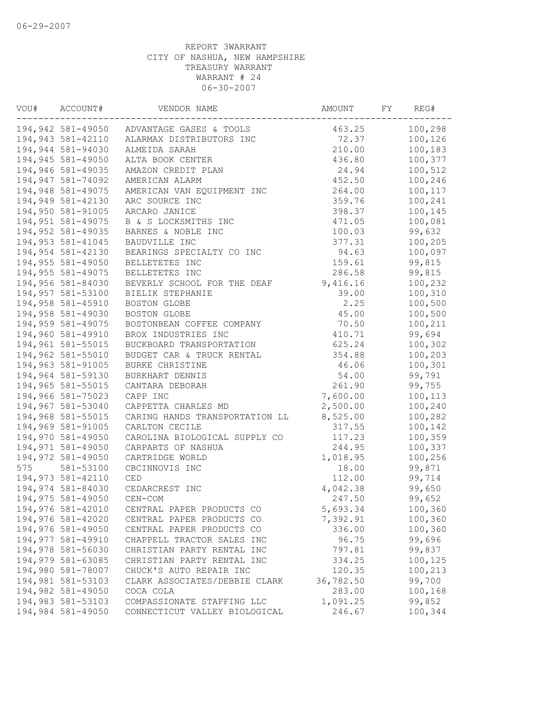| VOU# | ACCOUNT#          | VENDOR NAME                               | AMOUNT    | FY | REG#    |
|------|-------------------|-------------------------------------------|-----------|----|---------|
|      |                   | 194,942 581-49050 ADVANTAGE GASES & TOOLS | 463.25    |    | 100,298 |
|      | 194,943 581-42110 | ALARMAX DISTRIBUTORS INC                  | 72.37     |    | 100,126 |
|      | 194,944 581-94030 | ALMEIDA SARAH                             | 210.00    |    | 100,183 |
|      | 194,945 581-49050 | ALTA BOOK CENTER                          | 436.80    |    | 100,377 |
|      | 194,946 581-49035 | AMAZON CREDIT PLAN                        | 24.94     |    | 100,512 |
|      | 194,947 581-74092 | AMERICAN ALARM                            | 452.50    |    | 100,246 |
|      | 194,948 581-49075 | AMERICAN VAN EQUIPMENT INC                | 264.00    |    | 100,117 |
|      | 194,949 581-42130 | ARC SOURCE INC                            | 359.76    |    | 100,241 |
|      | 194,950 581-91005 | ARCARO JANICE                             | 398.37    |    | 100,145 |
|      | 194,951 581-49075 | B & S LOCKSMITHS INC                      | 471.05    |    | 100,081 |
|      | 194,952 581-49035 | BARNES & NOBLE INC                        | 100.03    |    | 99,632  |
|      | 194,953 581-41045 | BAUDVILLE INC                             | 377.31    |    | 100,205 |
|      | 194,954 581-42130 | BEARINGS SPECIALTY CO INC                 | 94.63     |    | 100,097 |
|      | 194,955 581-49050 | BELLETETES INC                            | 159.61    |    | 99,815  |
|      | 194,955 581-49075 | BELLETETES INC                            | 286.58    |    | 99,815  |
|      | 194,956 581-84030 | BEVERLY SCHOOL FOR THE DEAF               | 9,416.16  |    | 100,232 |
|      | 194,957 581-53100 | BIELIK STEPHANIE                          | 39.00     |    | 100,310 |
|      | 194,958 581-45910 | BOSTON GLOBE                              | 2.25      |    | 100,500 |
|      | 194,958 581-49030 | BOSTON GLOBE                              | 45.00     |    | 100,500 |
|      | 194,959 581-49075 | BOSTONBEAN COFFEE COMPANY                 | 70.50     |    | 100,211 |
|      | 194,960 581-49910 | BROX INDUSTRIES INC                       | 410.71    |    | 99,694  |
|      | 194,961 581-55015 | BUCKBOARD TRANSPORTATION                  | 625.24    |    | 100,302 |
|      | 194,962 581-55010 | BUDGET CAR & TRUCK RENTAL                 | 354.88    |    | 100,203 |
|      | 194,963 581-91005 | BURKE CHRISTINE                           | 46.06     |    | 100,301 |
|      | 194,964 581-59130 | BURKHART DENNIS                           | 54.00     |    | 99,791  |
|      | 194,965 581-55015 | CANTARA DEBORAH                           | 261.90    |    | 99,755  |
|      | 194,966 581-75023 | CAPP INC                                  | 7,600.00  |    | 100,113 |
|      | 194,967 581-53040 | CAPPETTA CHARLES MD                       | 2,500.00  |    | 100,240 |
|      | 194,968 581-55015 | CARING HANDS TRANSPORTATION LL            | 8,525.00  |    | 100,282 |
|      | 194,969 581-91005 | CARLTON CECILE                            | 317.55    |    | 100,142 |
|      | 194,970 581-49050 | CAROLINA BIOLOGICAL SUPPLY CO             | 117.23    |    | 100,359 |
|      | 194,971 581-49050 | CARPARTS OF NASHUA                        | 244.95    |    | 100,337 |
|      | 194,972 581-49050 | CARTRIDGE WORLD                           | 1,018.95  |    | 100,256 |
| 575  | 581-53100         | CBCINNOVIS INC                            | 18.00     |    | 99,871  |
|      | 194,973 581-42110 | <b>CED</b>                                | 112.00    |    | 99,714  |
|      | 194,974 581-84030 | CEDARCREST INC                            | 4,042.38  |    | 99,650  |
|      | 194,975 581-49050 | CEN-COM                                   | 247.50    |    | 99,652  |
|      | 194,976 581-42010 | CENTRAL PAPER PRODUCTS CO                 | 5,693.34  |    | 100,360 |
|      | 194,976 581-42020 | CENTRAL PAPER PRODUCTS CO                 | 7,392.91  |    | 100,360 |
|      | 194,976 581-49050 | CENTRAL PAPER PRODUCTS CO                 | 336.00    |    | 100,360 |
|      | 194,977 581-49910 | CHAPPELL TRACTOR SALES INC                | 96.75     |    | 99,696  |
|      | 194,978 581-56030 | CHRISTIAN PARTY RENTAL INC                | 797.81    |    | 99,837  |
|      | 194,979 581-63085 | CHRISTIAN PARTY RENTAL INC                | 334.25    |    | 100,125 |
|      | 194,980 581-78007 | CHUCK'S AUTO REPAIR INC                   | 120.35    |    | 100,213 |
|      | 194,981 581-53103 | CLARK ASSOCIATES/DEBBIE CLARK             | 36,782.50 |    | 99,700  |
|      | 194,982 581-49050 | COCA COLA                                 | 283.00    |    | 100,168 |
|      | 194,983 581-53103 | COMPASSIONATE STAFFING LLC                | 1,091.25  |    | 99,852  |
|      | 194,984 581-49050 | CONNECTICUT VALLEY BIOLOGICAL             | 246.67    |    | 100,344 |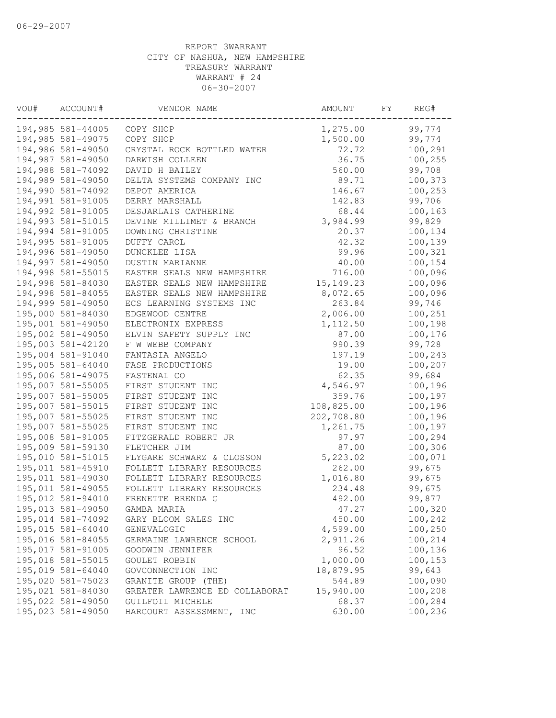| VOU# | ACCOUNT#          | VENDOR NAME                    | AMOUNT      | FΥ | REG#    |
|------|-------------------|--------------------------------|-------------|----|---------|
|      | 194,985 581-44005 | COPY SHOP                      | 1,275.00    |    | 99,774  |
|      | 194,985 581-49075 | COPY SHOP                      | 1,500.00    |    | 99,774  |
|      | 194,986 581-49050 | CRYSTAL ROCK BOTTLED WATER     | 72.72       |    | 100,291 |
|      | 194,987 581-49050 | DARWISH COLLEEN                | 36.75       |    | 100,255 |
|      | 194,988 581-74092 | DAVID H BAILEY                 | 560.00      |    | 99,708  |
|      | 194,989 581-49050 | DELTA SYSTEMS COMPANY INC      | 89.71       |    | 100,373 |
|      | 194,990 581-74092 | DEPOT AMERICA                  | 146.67      |    | 100,253 |
|      | 194,991 581-91005 | DERRY MARSHALL                 | 142.83      |    | 99,706  |
|      | 194,992 581-91005 | DESJARLAIS CATHERINE           | 68.44       |    | 100,163 |
|      | 194,993 581-51015 | DEVINE MILLIMET & BRANCH       | 3,984.99    |    | 99,829  |
|      | 194,994 581-91005 | DOWNING CHRISTINE              | 20.37       |    | 100,134 |
|      | 194,995 581-91005 | DUFFY CAROL                    | 42.32       |    | 100,139 |
|      | 194,996 581-49050 | DUNCKLEE LISA                  | 99.96       |    | 100,321 |
|      | 194,997 581-49050 | DUSTIN MARIANNE                | 40.00       |    | 100,154 |
|      | 194,998 581-55015 | EASTER SEALS NEW HAMPSHIRE     | 716.00      |    | 100,096 |
|      | 194,998 581-84030 | EASTER SEALS NEW HAMPSHIRE     | 15, 149. 23 |    | 100,096 |
|      | 194,998 581-84055 | EASTER SEALS NEW HAMPSHIRE     | 8,072.65    |    | 100,096 |
|      | 194,999 581-49050 | ECS LEARNING SYSTEMS INC       | 263.84      |    | 99,746  |
|      | 195,000 581-84030 | EDGEWOOD CENTRE                | 2,006.00    |    | 100,251 |
|      | 195,001 581-49050 | ELECTRONIX EXPRESS             | 1,112.50    |    | 100,198 |
|      | 195,002 581-49050 | ELVIN SAFETY SUPPLY INC        | 87.00       |    | 100,176 |
|      | 195,003 581-42120 | F W WEBB COMPANY               | 990.39      |    | 99,728  |
|      | 195,004 581-91040 | FANTASIA ANGELO                | 197.19      |    | 100,243 |
|      | 195,005 581-64040 | FASE PRODUCTIONS               | 19.00       |    | 100,207 |
|      | 195,006 581-49075 | FASTENAL CO                    | 62.35       |    | 99,684  |
|      | 195,007 581-55005 | FIRST STUDENT INC              | 4,546.97    |    | 100,196 |
|      | 195,007 581-55005 | FIRST STUDENT INC              | 359.76      |    | 100,197 |
|      | 195,007 581-55015 | FIRST STUDENT INC              | 108,825.00  |    | 100,196 |
|      | 195,007 581-55025 | FIRST STUDENT INC              | 202,708.80  |    | 100,196 |
|      | 195,007 581-55025 | FIRST STUDENT INC              | 1,261.75    |    | 100,197 |
|      | 195,008 581-91005 | FITZGERALD ROBERT JR           | 97.97       |    | 100,294 |
|      | 195,009 581-59130 | FLETCHER JIM                   | 87.00       |    | 100,306 |
|      | 195,010 581-51015 | FLYGARE SCHWARZ & CLOSSON      | 5,223.02    |    | 100,071 |
|      | 195,011 581-45910 | FOLLETT LIBRARY RESOURCES      | 262.00      |    | 99,675  |
|      | 195,011 581-49030 | FOLLETT LIBRARY RESOURCES      | 1,016.80    |    | 99,675  |
|      | 195,011 581-49055 | FOLLETT LIBRARY RESOURCES      | 234.48      |    | 99,675  |
|      | 195,012 581-94010 | FRENETTE BRENDA G              | 492.00      |    | 99,877  |
|      | 195,013 581-49050 | GAMBA MARIA                    | 47.27       |    | 100,320 |
|      | 195,014 581-74092 | GARY BLOOM SALES INC           | 450.00      |    | 100,242 |
|      | 195,015 581-64040 | GENEVALOGIC                    | 4,599.00    |    | 100,250 |
|      | 195,016 581-84055 | GERMAINE LAWRENCE SCHOOL       | 2,911.26    |    | 100,214 |
|      | 195,017 581-91005 | GOODWIN JENNIFER               | 96.52       |    | 100,136 |
|      | 195,018 581-55015 | GOULET ROBBIN                  | 1,000.00    |    | 100,153 |
|      | 195,019 581-64040 | GOVCONNECTION INC              | 18,879.95   |    | 99,643  |
|      | 195,020 581-75023 | GRANITE GROUP (THE)            | 544.89      |    | 100,090 |
|      | 195,021 581-84030 | GREATER LAWRENCE ED COLLABORAT | 15,940.00   |    | 100,208 |
|      | 195,022 581-49050 | GUILFOIL MICHELE               | 68.37       |    | 100,284 |
|      | 195,023 581-49050 | HARCOURT ASSESSMENT, INC       | 630.00      |    | 100,236 |
|      |                   |                                |             |    |         |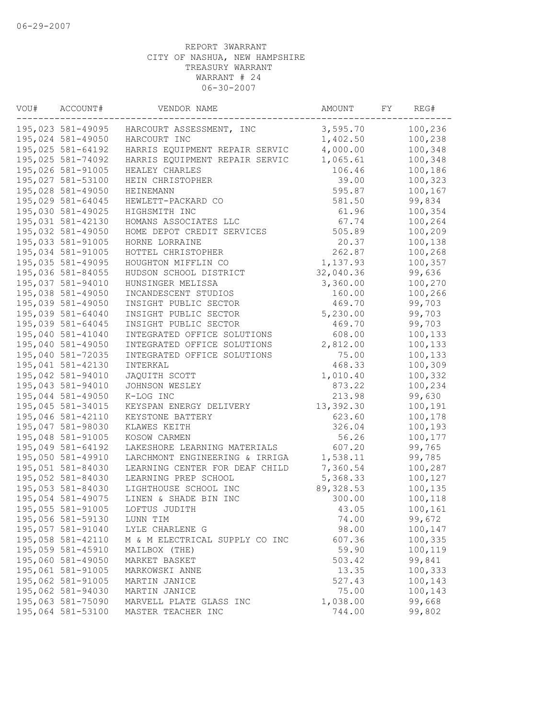| VOU# | ACCOUNT#          | VENDOR NAME                    | AMOUNT     | FY | REG#    |
|------|-------------------|--------------------------------|------------|----|---------|
|      | 195,023 581-49095 | HARCOURT ASSESSMENT, INC       | 3,595.70   |    | 100,236 |
|      | 195,024 581-49050 | HARCOURT INC                   | 1,402.50   |    | 100,238 |
|      | 195,025 581-64192 | HARRIS EQUIPMENT REPAIR SERVIC | 4,000.00   |    | 100,348 |
|      | 195,025 581-74092 | HARRIS EQUIPMENT REPAIR SERVIC | 1,065.61   |    | 100,348 |
|      | 195,026 581-91005 | HEALEY CHARLES                 | 106.46     |    | 100,186 |
|      | 195,027 581-53100 | HEIN CHRISTOPHER               | 39.00      |    | 100,323 |
|      | 195,028 581-49050 | HEINEMANN                      | 595.87     |    | 100,167 |
|      | 195,029 581-64045 | HEWLETT-PACKARD CO             | 581.50     |    | 99,834  |
|      | 195,030 581-49025 | HIGHSMITH INC                  | 61.96      |    | 100,354 |
|      | 195,031 581-42130 | HOMANS ASSOCIATES LLC          | 67.74      |    | 100,264 |
|      | 195,032 581-49050 | HOME DEPOT CREDIT SERVICES     | 505.89     |    | 100,209 |
|      | 195,033 581-91005 | HORNE LORRAINE                 | 20.37      |    | 100,138 |
|      | 195,034 581-91005 | HOTTEL CHRISTOPHER             | 262.87     |    | 100,268 |
|      | 195,035 581-49095 | HOUGHTON MIFFLIN CO            | 1,137.93   |    | 100,357 |
|      | 195,036 581-84055 | HUDSON SCHOOL DISTRICT         | 32,040.36  |    | 99,636  |
|      | 195,037 581-94010 | HUNSINGER MELISSA              | 3,360.00   |    | 100,270 |
|      | 195,038 581-49050 | INCANDESCENT STUDIOS           | 160.00     |    | 100,266 |
|      | 195,039 581-49050 | INSIGHT PUBLIC SECTOR          | 469.70     |    | 99,703  |
|      | 195,039 581-64040 | INSIGHT PUBLIC SECTOR          | 5,230.00   |    | 99,703  |
|      | 195,039 581-64045 | INSIGHT PUBLIC SECTOR          | 469.70     |    | 99,703  |
|      | 195,040 581-41040 | INTEGRATED OFFICE SOLUTIONS    | 608.00     |    | 100,133 |
|      | 195,040 581-49050 | INTEGRATED OFFICE SOLUTIONS    | 2,812.00   |    | 100,133 |
|      | 195,040 581-72035 | INTEGRATED OFFICE SOLUTIONS    | 75.00      |    | 100,133 |
|      | 195,041 581-42130 | INTERKAL                       | 468.33     |    | 100,309 |
|      | 195,042 581-94010 | JAQUITH SCOTT                  | 1,010.40   |    | 100,332 |
|      | 195,043 581-94010 | JOHNSON WESLEY                 | 873.22     |    | 100,234 |
|      | 195,044 581-49050 | K-LOG INC                      | 213.98     |    | 99,630  |
|      | 195,045 581-34015 | KEYSPAN ENERGY DELIVERY        | 13,392.30  |    | 100,191 |
|      | 195,046 581-42110 | KEYSTONE BATTERY               | 623.60     |    | 100,178 |
|      | 195,047 581-98030 | KLAWES KEITH                   | 326.04     |    | 100,193 |
|      | 195,048 581-91005 | KOSOW CARMEN                   | 56.26      |    | 100,177 |
|      | 195,049 581-64192 | LAKESHORE LEARNING MATERIALS   | 607.20     |    | 99,765  |
|      | 195,050 581-49910 | LARCHMONT ENGINEERING & IRRIGA | 1,538.11   |    | 99,785  |
|      | 195,051 581-84030 | LEARNING CENTER FOR DEAF CHILD | 7,360.54   |    | 100,287 |
|      | 195,052 581-84030 | LEARNING PREP SCHOOL           | 5,368.33   |    | 100,127 |
|      | 195,053 581-84030 | LIGHTHOUSE SCHOOL INC          | 89, 328.53 |    | 100,135 |
|      | 195,054 581-49075 | LINEN & SHADE BIN INC          | 300.00     |    | 100,118 |
|      | 195,055 581-91005 | LOFTUS JUDITH                  | 43.05      |    | 100,161 |
|      | 195,056 581-59130 | LUNN TIM                       | 74.00      |    | 99,672  |
|      | 195,057 581-91040 | LYLE CHARLENE G                | 98.00      |    | 100,147 |
|      | 195,058 581-42110 | M & M ELECTRICAL SUPPLY CO INC | 607.36     |    | 100,335 |
|      | 195,059 581-45910 | MAILBOX (THE)                  | 59.90      |    | 100,119 |
|      | 195,060 581-49050 | MARKET BASKET                  | 503.42     |    | 99,841  |
|      | 195,061 581-91005 | MARKOWSKI ANNE                 | 13.35      |    | 100,333 |
|      | 195,062 581-91005 | MARTIN JANICE                  | 527.43     |    | 100,143 |
|      | 195,062 581-94030 | MARTIN JANICE                  | 75.00      |    | 100,143 |
|      | 195,063 581-75090 | MARVELL PLATE GLASS INC        | 1,038.00   |    | 99,668  |
|      | 195,064 581-53100 | MASTER TEACHER INC             | 744.00     |    | 99,802  |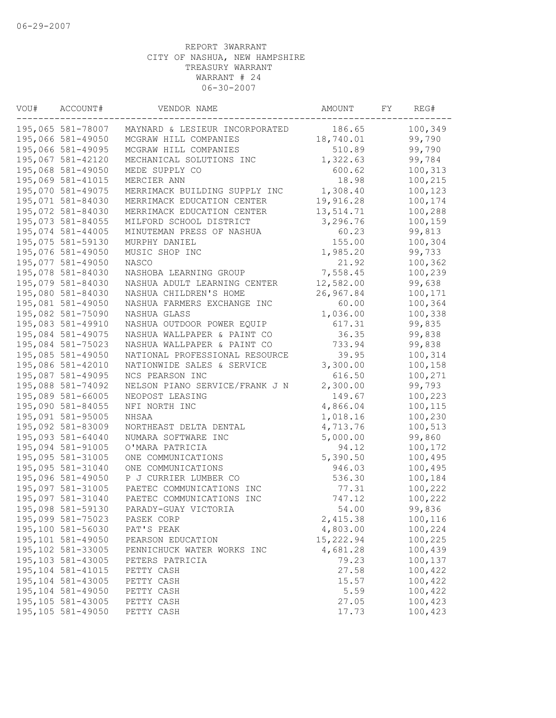| VOU# | ACCOUNT#           | VENDOR NAME                    | AMOUNT    | FY | REG#    |
|------|--------------------|--------------------------------|-----------|----|---------|
|      | 195,065 581-78007  | MAYNARD & LESIEUR INCORPORATED | 186.65    |    | 100,349 |
|      | 195,066 581-49050  | MCGRAW HILL COMPANIES          | 18,740.01 |    | 99,790  |
|      | 195,066 581-49095  | MCGRAW HILL COMPANIES          | 510.89    |    | 99,790  |
|      | 195,067 581-42120  | MECHANICAL SOLUTIONS INC       | 1,322.63  |    | 99,784  |
|      | 195,068 581-49050  | MEDE SUPPLY CO                 | 600.62    |    | 100,313 |
|      | 195,069 581-41015  | MERCIER ANN                    | 18.98     |    | 100,215 |
|      | 195,070 581-49075  | MERRIMACK BUILDING SUPPLY INC  | 1,308.40  |    | 100,123 |
|      | 195,071 581-84030  | MERRIMACK EDUCATION CENTER     | 19,916.28 |    | 100,174 |
|      | 195,072 581-84030  | MERRIMACK EDUCATION CENTER     | 13,514.71 |    | 100,288 |
|      | 195,073 581-84055  | MILFORD SCHOOL DISTRICT        | 3,296.76  |    | 100,159 |
|      | 195,074 581-44005  | MINUTEMAN PRESS OF NASHUA      | 60.23     |    | 99,813  |
|      | 195,075 581-59130  | MURPHY DANIEL                  | 155.00    |    | 100,304 |
|      | 195,076 581-49050  | MUSIC SHOP INC                 | 1,985.20  |    | 99,733  |
|      | 195,077 581-49050  | <b>NASCO</b>                   | 21.92     |    | 100,362 |
|      | 195,078 581-84030  | NASHOBA LEARNING GROUP         | 7,558.45  |    | 100,239 |
|      | 195,079 581-84030  | NASHUA ADULT LEARNING CENTER   | 12,582.00 |    | 99,638  |
|      | 195,080 581-84030  | NASHUA CHILDREN'S HOME         | 26,967.84 |    | 100,171 |
|      | 195,081 581-49050  | NASHUA FARMERS EXCHANGE INC    | 60.00     |    | 100,364 |
|      | 195,082 581-75090  | NASHUA GLASS                   | 1,036.00  |    | 100,338 |
|      | 195,083 581-49910  | NASHUA OUTDOOR POWER EQUIP     | 617.31    |    | 99,835  |
|      | 195,084 581-49075  | NASHUA WALLPAPER & PAINT CO    | 36.35     |    | 99,838  |
|      | 195,084 581-75023  | NASHUA WALLPAPER & PAINT CO    | 733.94    |    | 99,838  |
|      | 195,085 581-49050  | NATIONAL PROFESSIONAL RESOURCE | 39.95     |    | 100,314 |
|      | 195,086 581-42010  | NATIONWIDE SALES & SERVICE     | 3,300.00  |    | 100,158 |
|      | 195,087 581-49095  | NCS PEARSON INC                | 616.50    |    | 100,271 |
|      | 195,088 581-74092  | NELSON PIANO SERVICE/FRANK J N | 2,300.00  |    | 99,793  |
|      | 195,089 581-66005  | NEOPOST LEASING                | 149.67    |    | 100,223 |
|      | 195,090 581-84055  | NFI NORTH INC                  | 4,866.04  |    | 100,115 |
|      | 195,091 581-95005  | NHSAA                          | 1,018.16  |    | 100,230 |
|      | 195,092 581-83009  | NORTHEAST DELTA DENTAL         | 4,713.76  |    | 100,513 |
|      | 195,093 581-64040  | NUMARA SOFTWARE INC            | 5,000.00  |    | 99,860  |
|      | 195,094 581-91005  | O'MARA PATRICIA                | 94.12     |    | 100,172 |
|      | 195,095 581-31005  | ONE COMMUNICATIONS             | 5,390.50  |    | 100,495 |
|      | 195,095 581-31040  | ONE COMMUNICATIONS             | 946.03    |    | 100,495 |
|      | 195,096 581-49050  | P J CURRIER LUMBER CO          | 536.30    |    | 100,184 |
|      | 195,097 581-31005  | PAETEC COMMUNICATIONS INC      | 77.31     |    | 100,222 |
|      | 195,097 581-31040  | PAETEC COMMUNICATIONS INC      | 747.12    |    | 100,222 |
|      | 195,098 581-59130  | PARADY-GUAY VICTORIA           | 54.00     |    | 99,836  |
|      | 195,099 581-75023  | PASEK CORP                     | 2,415.38  |    | 100,116 |
|      | 195,100 581-56030  | PAT'S PEAK                     | 4,803.00  |    | 100,224 |
|      | 195,101 581-49050  | PEARSON EDUCATION              | 15,222.94 |    | 100,225 |
|      | 195,102 581-33005  | PENNICHUCK WATER WORKS INC     | 4,681.28  |    | 100,439 |
|      | 195, 103 581-43005 | PETERS PATRICIA                | 79.23     |    | 100,137 |
|      | 195, 104 581-41015 | PETTY CASH                     | 27.58     |    | 100,422 |
|      | 195,104 581-43005  | PETTY CASH                     | 15.57     |    | 100,422 |
|      | 195,104 581-49050  | PETTY CASH                     | 5.59      |    | 100,422 |
|      | 195, 105 581-43005 | PETTY CASH                     | 27.05     |    | 100,423 |
|      | 195,105 581-49050  | PETTY CASH                     | 17.73     |    | 100,423 |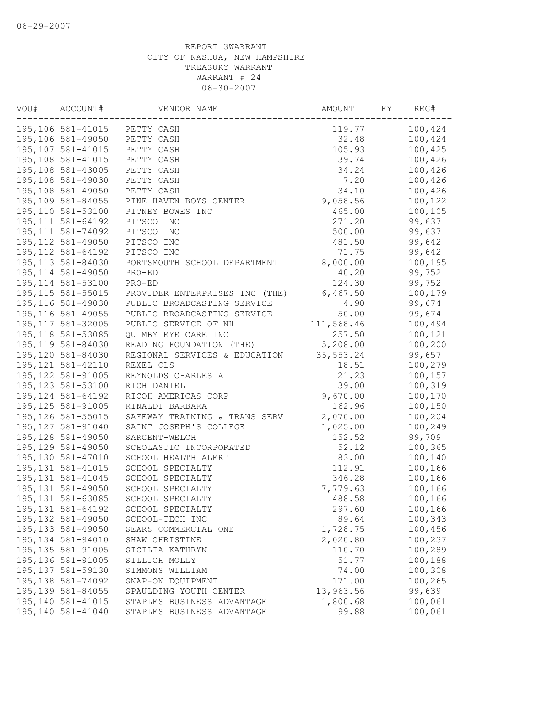| VOU# | ACCOUNT#           | VENDOR NAME                    | AMOUNT     | FY | REG#    |
|------|--------------------|--------------------------------|------------|----|---------|
|      | 195,106 581-41015  | PETTY CASH                     | 119.77     |    | 100,424 |
|      | 195,106 581-49050  | PETTY CASH                     | 32.48      |    | 100,424 |
|      | 195,107 581-41015  | PETTY CASH                     | 105.93     |    | 100,425 |
|      | 195,108 581-41015  | PETTY CASH                     | 39.74      |    | 100,426 |
|      | 195,108 581-43005  | PETTY CASH                     | 34.24      |    | 100,426 |
|      | 195,108 581-49030  | PETTY CASH                     | 7.20       |    | 100,426 |
|      | 195,108 581-49050  | PETTY CASH                     | 34.10      |    | 100,426 |
|      | 195,109 581-84055  | PINE HAVEN BOYS CENTER         | 9,058.56   |    | 100,122 |
|      | 195,110 581-53100  | PITNEY BOWES INC               | 465.00     |    | 100,105 |
|      | 195, 111 581-64192 | PITSCO INC                     | 271.20     |    | 99,637  |
|      | 195, 111 581-74092 | PITSCO INC                     | 500.00     |    | 99,637  |
|      | 195, 112 581-49050 | PITSCO INC                     | 481.50     |    | 99,642  |
|      | 195, 112 581-64192 | PITSCO INC                     | 71.75      |    | 99,642  |
|      | 195, 113 581-84030 | PORTSMOUTH SCHOOL DEPARTMENT   | 8,000.00   |    | 100,195 |
|      | 195, 114 581-49050 | PRO-ED                         | 40.20      |    | 99,752  |
|      | 195, 114 581-53100 | PRO-ED                         | 124.30     |    | 99,752  |
|      | 195, 115 581-55015 | PROVIDER ENTERPRISES INC (THE) | 6,467.50   |    | 100,179 |
|      | 195, 116 581-49030 | PUBLIC BROADCASTING SERVICE    | 4.90       |    | 99,674  |
|      | 195, 116 581-49055 | PUBLIC BROADCASTING SERVICE    | 50.00      |    | 99,674  |
|      | 195, 117 581-32005 | PUBLIC SERVICE OF NH           | 111,568.46 |    | 100,494 |
|      | 195, 118 581-53085 | QUIMBY EYE CARE INC            | 257.50     |    | 100,121 |
|      | 195, 119 581-84030 | READING FOUNDATION (THE)       | 5,208.00   |    | 100,200 |
|      | 195,120 581-84030  | REGIONAL SERVICES & EDUCATION  | 35, 553.24 |    | 99,657  |
|      | 195, 121 581-42110 | REXEL CLS                      | 18.51      |    | 100,279 |
|      | 195, 122 581-91005 | REYNOLDS CHARLES A             | 21.23      |    | 100,157 |
|      | 195, 123 581-53100 | RICH DANIEL                    | 39.00      |    | 100,319 |
|      | 195, 124 581-64192 | RICOH AMERICAS CORP            | 9,670.00   |    | 100,170 |
|      | 195, 125 581-91005 | RINALDI BARBARA                | 162.96     |    | 100,150 |
|      | 195, 126 581-55015 |                                | 2,070.00   |    |         |
|      | 195, 127 581-91040 | SAFEWAY TRAINING & TRANS SERV  |            |    | 100,204 |
|      |                    | SAINT JOSEPH'S COLLEGE         | 1,025.00   |    | 100,249 |
|      | 195, 128 581-49050 | SARGENT-WELCH                  | 152.52     |    | 99,709  |
|      | 195, 129 581-49050 | SCHOLASTIC INCORPORATED        | 52.12      |    | 100,365 |
|      | 195,130 581-47010  | SCHOOL HEALTH ALERT            | 83.00      |    | 100,140 |
|      | 195, 131 581-41015 | SCHOOL SPECIALTY               | 112.91     |    | 100,166 |
|      | 195, 131 581-41045 | SCHOOL SPECIALTY               | 346.28     |    | 100,166 |
|      | 195, 131 581-49050 | SCHOOL SPECIALTY               | 7,779.63   |    | 100,166 |
|      | 195, 131 581-63085 | SCHOOL SPECIALTY               | 488.58     |    | 100,166 |
|      | 195, 131 581-64192 | SCHOOL SPECIALTY               | 297.60     |    | 100,166 |
|      | 195, 132 581-49050 | SCHOOL-TECH INC                | 89.64      |    | 100,343 |
|      | 195, 133 581-49050 | SEARS COMMERCIAL ONE           | 1,728.75   |    | 100,456 |
|      | 195, 134 581-94010 | SHAW CHRISTINE                 | 2,020.80   |    | 100,237 |
|      | 195, 135 581-91005 | SICILIA KATHRYN                | 110.70     |    | 100,289 |
|      | 195, 136 581-91005 | SILLICH MOLLY                  | 51.77      |    | 100,188 |
|      | 195, 137 581-59130 | SIMMONS WILLIAM                | 74.00      |    | 100,308 |
|      | 195, 138 581-74092 | SNAP-ON EQUIPMENT              | 171.00     |    | 100,265 |
|      | 195, 139 581-84055 | SPAULDING YOUTH CENTER         | 13,963.56  |    | 99,639  |
|      | 195, 140 581-41015 | STAPLES BUSINESS ADVANTAGE     | 1,800.68   |    | 100,061 |
|      | 195,140 581-41040  | STAPLES BUSINESS ADVANTAGE     | 99.88      |    | 100,061 |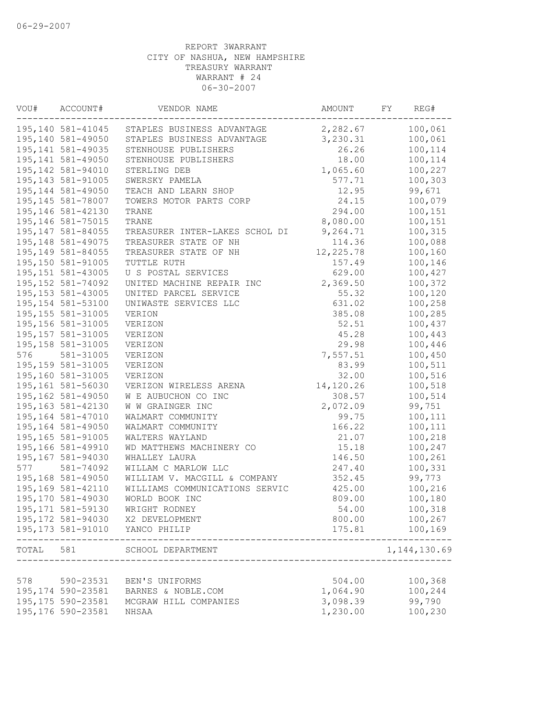| VOU#      | ACCOUNT#           | VENDOR NAME                                  | AMOUNT    | FY | REG#                  |
|-----------|--------------------|----------------------------------------------|-----------|----|-----------------------|
|           | 195,140 581-41045  | STAPLES BUSINESS ADVANTAGE                   | 2,282.67  |    | 100,061               |
|           | 195,140 581-49050  | STAPLES BUSINESS ADVANTAGE                   | 3,230.31  |    | 100,061               |
|           | 195, 141 581-49035 | STENHOUSE PUBLISHERS                         | 26.26     |    | 100,114               |
|           | 195, 141 581-49050 | STENHOUSE PUBLISHERS                         | 18.00     |    | 100,114               |
|           | 195,142 581-94010  | STERLING DEB                                 | 1,065.60  |    | 100,227               |
|           | 195, 143 581-91005 | SWERSKY PAMELA                               | 577.71    |    | 100,303               |
|           | 195, 144 581-49050 | TEACH AND LEARN SHOP                         | 12.95     |    | 99,671                |
|           | 195,145 581-78007  | TOWERS MOTOR PARTS CORP                      | 24.15     |    | 100,079               |
|           | 195,146 581-42130  | TRANE                                        | 294.00    |    | 100,151               |
|           | 195,146 581-75015  | TRANE                                        | 8,080.00  |    | 100,151               |
|           | 195, 147 581-84055 | TREASURER INTER-LAKES SCHOL DI               | 9,264.71  |    | 100,315               |
|           | 195, 148 581-49075 | TREASURER STATE OF NH                        | 114.36    |    | 100,088               |
|           | 195,149 581-84055  | TREASURER STATE OF NH                        | 12,225.78 |    | 100,160               |
|           | 195,150 581-91005  | TUTTLE RUTH                                  | 157.49    |    | 100,146               |
|           | 195, 151 581-43005 | U S POSTAL SERVICES                          | 629.00    |    | 100,427               |
|           | 195, 152 581-74092 | UNITED MACHINE REPAIR INC                    | 2,369.50  |    | 100,372               |
|           | 195, 153 581-43005 | UNITED PARCEL SERVICE                        | 55.32     |    | 100,120               |
|           | 195, 154 581-53100 | UNIWASTE SERVICES LLC                        | 631.02    |    | 100,258               |
|           | 195, 155 581-31005 | VERION                                       | 385.08    |    | 100,285               |
|           | 195,156 581-31005  | VERIZON                                      | 52.51     |    | 100,437               |
|           | 195, 157 581-31005 | VERIZON                                      | 45.28     |    | 100,443               |
|           | 195, 158 581-31005 | VERIZON                                      | 29.98     |    | 100,446               |
| 576       | 581-31005          | VERIZON                                      | 7,557.51  |    | 100,450               |
|           | 195,159 581-31005  | VERIZON                                      | 83.99     |    | 100,511               |
|           | 195,160 581-31005  | VERIZON                                      | 32.00     |    | 100,516               |
|           | 195,161 581-56030  | VERIZON WIRELESS ARENA                       | 14,120.26 |    | 100,518               |
|           | 195,162 581-49050  | W E AUBUCHON CO INC                          | 308.57    |    | 100,514               |
|           | 195,163 581-42130  | W W GRAINGER INC                             | 2,072.09  |    | 99,751                |
|           | 195,164 581-47010  | WALMART COMMUNITY                            | 99.75     |    | 100,111               |
|           | 195,164 581-49050  | WALMART COMMUNITY                            | 166.22    |    | 100,111               |
|           | 195,165 581-91005  | WALTERS WAYLAND                              | 21.07     |    | 100,218               |
|           | 195,166 581-49910  | WD MATTHEWS MACHINERY CO                     | 15.18     |    | 100,247               |
|           | 195,167 581-94030  | WHALLEY LAURA                                | 146.50    |    | 100,261               |
| 577       | 581-74092          | WILLAM C MARLOW LLC                          | 247.40    |    | 100,331               |
|           | 195,168 581-49050  | WILLIAM V. MACGILL & COMPANY                 | 352.45    |    | 99,773                |
|           | 195,169 581-42110  | WILLIAMS COMMUNICATIONS SERVIC               | 425.00    |    | 100,216               |
|           | 195,170 581-49030  | WORLD BOOK INC                               | 809.00    |    | 100,180               |
|           | 195, 171 581-59130 | WRIGHT RODNEY                                | 54.00     |    | 100,318               |
|           | 195,172 581-94030  | X2 DEVELOPMENT                               | 800.00    |    | 100,267               |
|           | 195, 173 581-91010 | YANCO PHILIP                                 | 175.81    |    | 100,169<br>---------- |
| TOTAL 581 |                    | SCHOOL DEPARTMENT<br>----------------------- |           |    | 1, 144, 130.69        |
|           |                    |                                              |           |    |                       |
| 578       | 590-23531          | BEN'S UNIFORMS                               | 504.00    |    | 100,368               |
|           | 195,174 590-23581  | BARNES & NOBLE.COM                           | 1,064.90  |    | 100,244               |
|           | 195, 175 590-23581 | MCGRAW HILL COMPANIES                        | 3,098.39  |    | 99,790                |
|           | 195, 176 590-23581 | NHSAA                                        | 1,230.00  |    | 100,230               |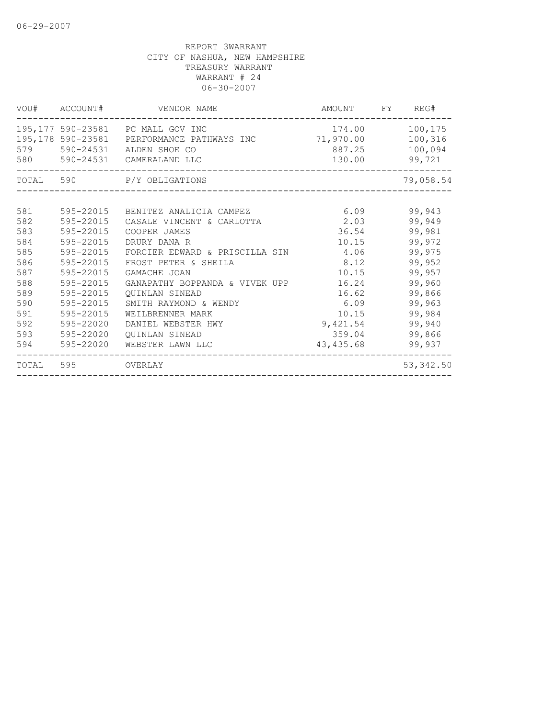|     | VOU# ACCOUNT#     | VENDOR NAME                                                                                                                                        | AMOUNT FY REG#             |                              |
|-----|-------------------|----------------------------------------------------------------------------------------------------------------------------------------------------|----------------------------|------------------------------|
|     | 579 590-24531     | 195,177 590-23581 PC MALL GOV INC<br>195,178 590-23581 PERFORMANCE PATHWAYS INC 71,970.00 100,316<br>ALDEN SHOE CO<br>580 590-24531 CAMERALAND LLC | 174.00<br>887.25<br>130.00 | 100,175<br>100,094<br>99,721 |
|     |                   | TOTAL 590 P/Y OBLIGATIONS                                                                                                                          |                            | 79,058.54                    |
|     |                   |                                                                                                                                                    |                            |                              |
| 581 | 595-22015         | BENITEZ ANALICIA CAMPEZ                                                                                                                            | 6.09                       | 99,943                       |
| 582 | 595-22015         | CASALE VINCENT & CARLOTTA                                                                                                                          | 2.03                       | 99,949                       |
| 583 | 595-22015         | COOPER JAMES                                                                                                                                       | 36.54                      | 99,981                       |
| 584 | 595-22015         | DRURY DANA R                                                                                                                                       | 10.15                      | 99,972                       |
| 585 | 595-22015         | FORCIER EDWARD & PRISCILLA SIN                                                                                                                     | 4.06                       | 99,975                       |
| 586 | 595-22015         | FROST PETER & SHEILA                                                                                                                               | 8.12                       | 99,952                       |
| 587 | 595-22015         | GAMACHE JOAN                                                                                                                                       | 10.15                      | 99,957                       |
| 588 | 595-22015         | GANAPATHY BOPPANDA & VIVEK UPP                                                                                                                     | 16.24                      | 99,960                       |
| 589 | 595-22015         | <b>OUINLAN SINEAD</b>                                                                                                                              | 16.62                      | 99,866                       |
| 590 | 595-22015         | SMITH RAYMOND & WENDY                                                                                                                              | 6.09                       | 99,963                       |
| 591 | 595-22015         | WEILBRENNER MARK                                                                                                                                   | 10.15                      | 99,984                       |
| 592 | 595-22020         | DANIEL WEBSTER HWY                                                                                                                                 | 9,421.54                   | 99,940                       |
| 593 | 595-22020         | QUINLAN SINEAD                                                                                                                                     | 359.04                     | 99,866                       |
| 594 | 595-22020         | WEBSTER LAWN LLC                                                                                                                                   | 43,435.68                  | 99,937                       |
|     | TOTAL 595 OVERLAY |                                                                                                                                                    |                            | 53, 342.50                   |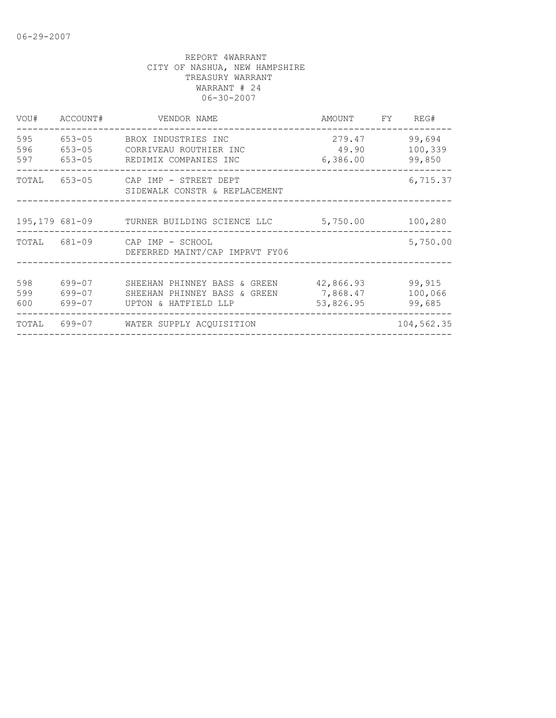| VOU#              | ACCOUNT#             | VENDOR NAME                                                                                                                          | AMOUNT FY                          | REG#                        |
|-------------------|----------------------|--------------------------------------------------------------------------------------------------------------------------------------|------------------------------------|-----------------------------|
| 595<br>596<br>597 | 653-05<br>$653 - 05$ | BROX INDUSTRIES INC<br>CORRIVEAU ROUTHIER INC<br>653-05 REDIMIX COMPANIES INC                                                        | 279.47<br>49.90<br>6,386.00        | 99,694<br>100,339<br>99,850 |
|                   |                      | TOTAL 653-05 CAP IMP - STREET DEPT<br>SIDEWALK CONSTR & REPLACEMENT                                                                  |                                    | 6,715.37                    |
|                   |                      | 195,179 681-09 TURNER BUILDING SCIENCE LLC                                                                                           | 5,750.00                           | 100,280                     |
|                   |                      | TOTAL 681-09 CAP IMP - SCHOOL<br>DEFERRED MAINT/CAP IMPRVT FY06                                                                      |                                    | 5,750.00                    |
| 598<br>599<br>600 | 699-07<br>699-07     | SHEEHAN PHINNEY BASS & GREEN<br>SHEEHAN PHINNEY BASS & GREEN<br>699-07     UPTON & HATFIELD LLP<br>_________________________________ | 42,866.93<br>7,868.47<br>53,826.95 | 99,915<br>100,066<br>99,685 |
| TOTAL             |                      | 699-07 WATER SUPPLY ACOUISITION                                                                                                      | _______________________________    | 104,562.35                  |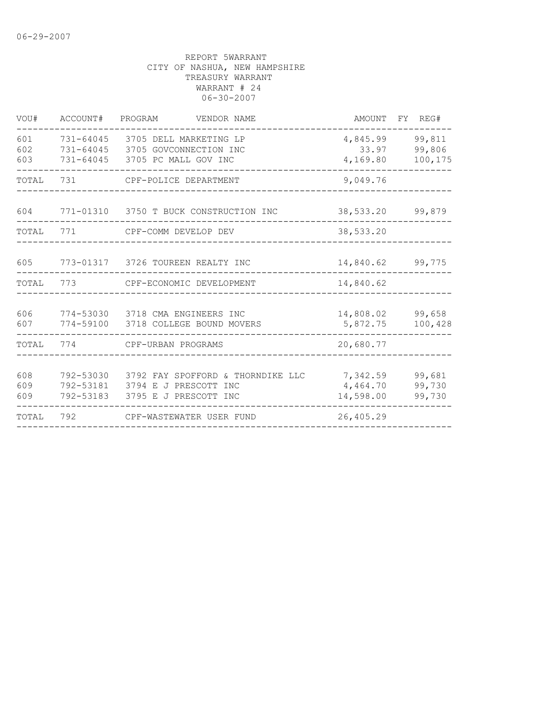| VOU#              | ACCOUNT#                            | PROGRAM<br>VENDOR NAME                                                              | AMOUNT                            | FY REG#                     |
|-------------------|-------------------------------------|-------------------------------------------------------------------------------------|-----------------------------------|-----------------------------|
| 601<br>602<br>603 | 731-64045<br>731-64045<br>731-64045 | 3705 DELL MARKETING LP<br>3705 GOVCONNECTION INC<br>3705 PC MALL GOV INC            | 4,845.99<br>33.97<br>4,169.80     | 99,811<br>99,806<br>100,175 |
| TOTAL             | 731                                 | CPF-POLICE DEPARTMENT                                                               | 9,049.76                          |                             |
| 604               |                                     | 771-01310 3750 T BUCK CONSTRUCTION INC                                              | 38,533.20                         | 99,879                      |
| TOTAL             | 771                                 | CPF-COMM DEVELOP DEV                                                                | 38,533.20                         |                             |
| 605               |                                     | 773-01317 3726 TOUREEN REALTY INC                                                   | 14,840.62                         | 99,775                      |
| TOTAL             | 773                                 | CPF-ECONOMIC DEVELOPMENT                                                            | 14,840.62                         |                             |
| 606<br>607        | 774-53030<br>774-59100              | 3718 CMA ENGINEERS INC<br>3718 COLLEGE BOUND MOVERS                                 | 14,808.02<br>5,872.75             | 99,658<br>100,428           |
| TOTAL             | 774                                 | CPF-URBAN PROGRAMS                                                                  | 20,680.77                         |                             |
| 608<br>609<br>609 | 792-53030<br>792-53181<br>792-53183 | 3792 FAY SPOFFORD & THORNDIKE LLC<br>3794 E J PRESCOTT INC<br>3795 E J PRESCOTT INC | 7,342.59<br>4,464.70<br>14,598.00 | 99,681<br>99,730<br>99,730  |
| TOTAL             | 792                                 | CPF-WASTEWATER USER FUND                                                            | 26,405.29                         |                             |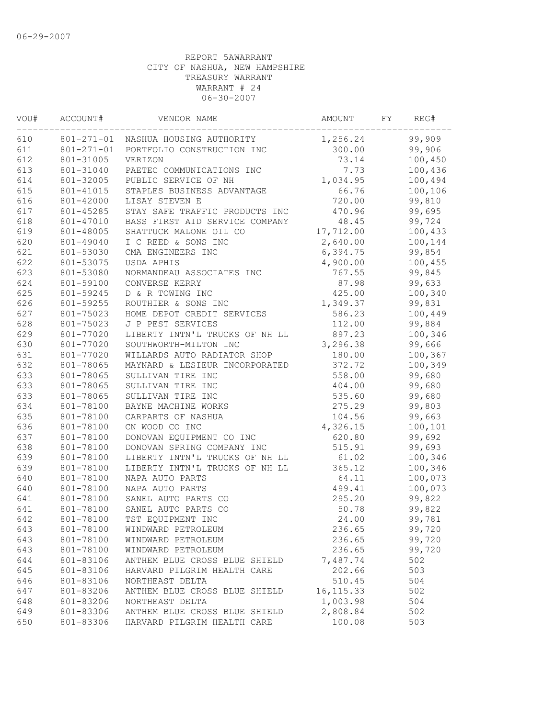| VOU# | ACCOUNT#         | VENDOR NAME                         | AMOUNT     | FY | REG#    |
|------|------------------|-------------------------------------|------------|----|---------|
| 610  |                  | 801-271-01 NASHUA HOUSING AUTHORITY | 1,256.24   |    | 99,909  |
| 611  | $801 - 271 - 01$ | PORTFOLIO CONSTRUCTION INC          | 300.00     |    | 99,906  |
| 612  | 801-31005        | VERIZON                             | 73.14      |    | 100,450 |
| 613  | 801-31040        | PAETEC COMMUNICATIONS INC           | 7.73       |    | 100,436 |
| 614  | 801-32005        | PUBLIC SERVICE OF NH                | 1,034.95   |    | 100,494 |
| 615  | 801-41015        | STAPLES BUSINESS ADVANTAGE          | 66.76      |    | 100,106 |
| 616  | 801-42000        | LISAY STEVEN E                      | 720.00     |    | 99,810  |
| 617  | 801-45285        | STAY SAFE TRAFFIC PRODUCTS INC      | 470.96     |    | 99,695  |
| 618  | 801-47010        | BASS FIRST AID SERVICE COMPANY      | 48.45      |    | 99,724  |
| 619  | 801-48005        | SHATTUCK MALONE OIL CO              | 17,712.00  |    | 100,433 |
| 620  | 801-49040        | I C REED & SONS INC                 | 2,640.00   |    | 100,144 |
| 621  | 801-53030        | CMA ENGINEERS INC                   | 6,394.75   |    | 99,854  |
| 622  | 801-53075        | USDA APHIS                          | 4,900.00   |    | 100,455 |
| 623  | 801-53080        | NORMANDEAU ASSOCIATES INC           | 767.55     |    | 99,845  |
| 624  | 801-59100        | CONVERSE KERRY                      | 87.98      |    | 99,633  |
| 625  | 801-59245        | D & R TOWING INC                    | 425.00     |    | 100,340 |
| 626  | 801-59255        | ROUTHIER & SONS INC                 | 1,349.37   |    | 99,831  |
| 627  | 801-75023        | HOME DEPOT CREDIT SERVICES          | 586.23     |    | 100,449 |
| 628  | 801-75023        | J P PEST SERVICES                   | 112.00     |    | 99,884  |
| 629  | 801-77020        | LIBERTY INTN'L TRUCKS OF NH LL      | 897.23     |    | 100,346 |
| 630  | 801-77020        | SOUTHWORTH-MILTON INC               | 3,296.38   |    | 99,666  |
| 631  | 801-77020        | WILLARDS AUTO RADIATOR SHOP         | 180.00     |    | 100,367 |
| 632  | 801-78065        | MAYNARD & LESIEUR INCORPORATED      | 372.72     |    | 100,349 |
| 633  | 801-78065        | SULLIVAN TIRE INC                   | 558.00     |    | 99,680  |
| 633  | 801-78065        | SULLIVAN TIRE INC                   | 404.00     |    | 99,680  |
| 633  | 801-78065        | SULLIVAN TIRE INC                   | 535.60     |    | 99,680  |
| 634  | 801-78100        | BAYNE MACHINE WORKS                 | 275.29     |    | 99,803  |
| 635  | 801-78100        | CARPARTS OF NASHUA                  | 104.56     |    | 99,663  |
| 636  | 801-78100        | CN WOOD CO INC                      | 4,326.15   |    | 100,101 |
| 637  | 801-78100        | DONOVAN EQUIPMENT CO INC            | 620.80     |    | 99,692  |
| 638  | 801-78100        | DONOVAN SPRING COMPANY INC          | 515.91     |    | 99,693  |
| 639  | 801-78100        | LIBERTY INTN'L TRUCKS OF NH LL      | 61.02      |    | 100,346 |
| 639  | 801-78100        | LIBERTY INTN'L TRUCKS OF NH LL      | 365.12     |    | 100,346 |
| 640  | 801-78100        | NAPA AUTO PARTS                     | 64.11      |    | 100,073 |
| 640  | 801-78100        | NAPA AUTO PARTS                     | 499.41     |    | 100,073 |
| 641  | 801-78100        | SANEL AUTO PARTS CO                 | 295.20     |    | 99,822  |
| 641  | 801-78100        | SANEL AUTO PARTS CO                 | 50.78      |    | 99,822  |
| 642  | 801-78100        | TST EOUIPMENT INC                   | 24.00      |    | 99,781  |
| 643  | 801-78100        | WINDWARD PETROLEUM                  | 236.65     |    | 99,720  |
| 643  | 801-78100        | WINDWARD PETROLEUM                  | 236.65     |    | 99,720  |
| 643  | 801-78100        | WINDWARD PETROLEUM                  | 236.65     |    | 99,720  |
| 644  | 801-83106        | ANTHEM BLUE CROSS BLUE SHIELD       | 7,487.74   |    | 502     |
| 645  | 801-83106        | HARVARD PILGRIM HEALTH CARE         | 202.66     |    | 503     |
| 646  | 801-83106        | NORTHEAST DELTA                     | 510.45     |    | 504     |
| 647  | 801-83206        | ANTHEM BLUE CROSS BLUE SHIELD       | 16, 115.33 |    | 502     |
| 648  | 801-83206        | NORTHEAST DELTA                     | 1,003.98   |    | 504     |
| 649  | 801-83306        | ANTHEM BLUE CROSS BLUE SHIELD       | 2,808.84   |    | 502     |
| 650  | 801-83306        | HARVARD PILGRIM HEALTH CARE         | 100.08     |    | 503     |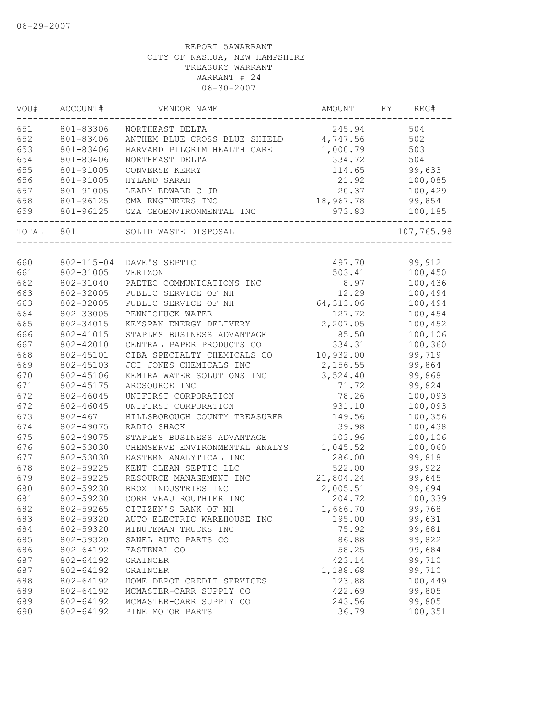| WOU#  | ACCOUNT#                          | VENDOR NAME                                         | AMOUNT    | FY<br>REG# |
|-------|-----------------------------------|-----------------------------------------------------|-----------|------------|
| 651   | 801-83306                         | NORTHEAST DELTA                                     | 245.94    | 504        |
| 652   | 801-83406                         | ANTHEM BLUE CROSS BLUE SHIELD 4,747.56              |           | 502        |
| 653   | 801-83406                         | HARVARD PILGRIM HEALTH CARE                         | 1,000.79  | 503        |
| 654   | 801-83406                         | NORTHEAST DELTA                                     | 334.72    | 504        |
| 655   | 801-91005                         | CONVERSE KERRY                                      | 114.65    | 99,633     |
| 656   | 801-91005                         | HYLAND SARAH                                        | 21.92     | 100,085    |
| 657   | 801-91005                         | LEARY EDWARD C JR                                   | 20.37     | 100,429    |
| 658   | 801-96125                         | CMA ENGINEERS INC                                   | 18,967.78 | 99,854     |
| 659   | . _ _ _ _ _ _ _ _ _ _ _ _ _ _ _ _ | 801-96125 GZA GEOENVIRONMENTAL INC<br>_____________ | 973.83    | 100,185    |
| TOTAL | 801                               | SOLID WASTE DISPOSAL                                |           | 107,765.98 |
|       |                                   |                                                     |           |            |
| 660   | 802-115-04                        | DAVE'S SEPTIC                                       | 497.70    | 99,912     |
| 661   | 802-31005                         | VERIZON                                             | 503.41    | 100,450    |
| 662   | 802-31040                         | PAETEC COMMUNICATIONS INC                           | 8.97      | 100,436    |
| 663   | 802-32005                         | PUBLIC SERVICE OF NH                                | 12.29     | 100,494    |
| 663   | 802-32005                         | PUBLIC SERVICE OF NH                                | 64,313.06 | 100,494    |
| 664   | 802-33005                         | PENNICHUCK WATER                                    | 127.72    | 100,454    |
| 665   | 802-34015                         | KEYSPAN ENERGY DELIVERY                             | 2,207.05  | 100,452    |
| 666   | 802-41015                         | STAPLES BUSINESS ADVANTAGE                          | 85.50     | 100,106    |
| 667   | 802-42010                         | CENTRAL PAPER PRODUCTS CO                           | 334.31    | 100,360    |
| 668   | 802-45101                         | CIBA SPECIALTY CHEMICALS CO 10,932.00               |           | 99,719     |
| 669   | 802-45103                         | JCI JONES CHEMICALS INC                             | 2,156.55  | 99,864     |
| 670   | 802-45106                         | KEMIRA WATER SOLUTIONS INC                          | 3,524.40  | 99,868     |
| 671   | 802-45175                         | ARCSOURCE INC                                       | 71.72     | 99,824     |
| 672   | 802-46045                         | UNIFIRST CORPORATION                                | 78.26     | 100,093    |
| 672   | 802-46045                         | UNIFIRST CORPORATION                                | 931.10    | 100,093    |
| 673   | $802 - 467$                       | HILLSBOROUGH COUNTY TREASURER                       | 149.56    | 100,356    |
| 674   | 802-49075                         | RADIO SHACK                                         | 39.98     | 100,438    |
| 675   | 802-49075                         | STAPLES BUSINESS ADVANTAGE                          | 103.96    | 100,106    |
| 676   | 802-53030                         | CHEMSERVE ENVIRONMENTAL ANALYS                      | 1,045.52  | 100,060    |
| 677   | 802-53030                         | EASTERN ANALYTICAL INC                              | 286.00    | 99,818     |
| 678   | 802-59225                         | KENT CLEAN SEPTIC LLC                               | 522.00    | 99,922     |
| 679   | 802-59225                         | RESOURCE MANAGEMENT INC                             | 21,804.24 | 99,645     |
| 680   | 802-59230                         | BROX INDUSTRIES INC                                 | 2,005.51  | 99,694     |
| 681   | 802-59230                         | CORRIVEAU ROUTHIER INC                              | 204.72    | 100,339    |
| 682   | 802-59265                         | CITIZEN'S BANK OF NH                                | 1,666.70  | 99,768     |
| 683   | 802-59320                         | AUTO ELECTRIC WAREHOUSE INC                         | 195.00    | 99,631     |
| 684   | 802-59320                         | MINUTEMAN TRUCKS INC                                | 75.92     | 99,881     |
| 685   | 802-59320                         | SANEL AUTO PARTS CO                                 | 86.88     | 99,822     |
| 686   | 802-64192                         | FASTENAL CO                                         | 58.25     | 99,684     |
| 687   | 802-64192                         | GRAINGER                                            | 423.14    | 99,710     |
| 687   | 802-64192                         | GRAINGER                                            | 1,188.68  | 99,710     |
| 688   | 802-64192                         | HOME DEPOT CREDIT SERVICES                          | 123.88    | 100,449    |
| 689   | 802-64192                         | MCMASTER-CARR SUPPLY CO                             | 422.69    | 99,805     |
| 689   | 802-64192                         | MCMASTER-CARR SUPPLY CO                             | 243.56    | 99,805     |
| 690   | 802-64192                         | PINE MOTOR PARTS                                    | 36.79     | 100,351    |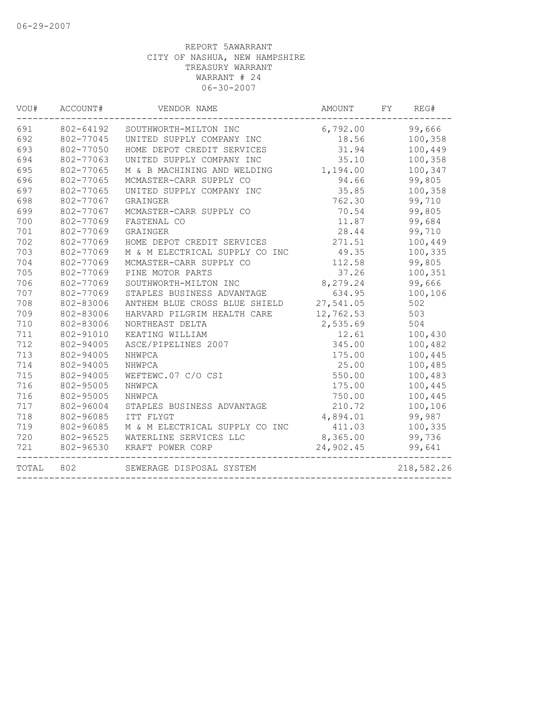| VOU#  | ACCOUNT#  | VENDOR NAME                    | AMOUNT    | FY | REG#       |
|-------|-----------|--------------------------------|-----------|----|------------|
| 691   | 802-64192 | SOUTHWORTH-MILTON INC          | 6,792.00  |    | 99,666     |
| 692   | 802-77045 | UNITED SUPPLY COMPANY INC      | 18.56     |    | 100,358    |
| 693   | 802-77050 | HOME DEPOT CREDIT SERVICES     | 31.94     |    | 100,449    |
| 694   | 802-77063 | UNITED SUPPLY COMPANY INC      | 35.10     |    | 100,358    |
| 695   | 802-77065 | M & B MACHINING AND WELDING    | 1,194.00  |    | 100,347    |
| 696   | 802-77065 | MCMASTER-CARR SUPPLY CO        | 94.66     |    | 99,805     |
| 697   | 802-77065 | UNITED SUPPLY COMPANY INC      | 35.85     |    | 100,358    |
| 698   | 802-77067 | GRAINGER                       | 762.30    |    | 99,710     |
| 699   | 802-77067 | MCMASTER-CARR SUPPLY CO        | 70.54     |    | 99,805     |
| 700   | 802-77069 | FASTENAL CO                    | 11.87     |    | 99,684     |
| 701   | 802-77069 | GRAINGER                       | 28.44     |    | 99,710     |
| 702   | 802-77069 | HOME DEPOT CREDIT SERVICES     | 271.51    |    | 100,449    |
| 703   | 802-77069 | M & M ELECTRICAL SUPPLY CO INC | 49.35     |    | 100,335    |
| 704   | 802-77069 | MCMASTER-CARR SUPPLY CO        | 112.58    |    | 99,805     |
| 705   | 802-77069 | PINE MOTOR PARTS               | 37.26     |    | 100,351    |
| 706   | 802-77069 | SOUTHWORTH-MILTON INC          | 8,279.24  |    | 99,666     |
| 707   | 802-77069 | STAPLES BUSINESS ADVANTAGE     | 634.95    |    | 100,106    |
| 708   | 802-83006 | ANTHEM BLUE CROSS BLUE SHIELD  | 27,541.05 |    | 502        |
| 709   | 802-83006 | HARVARD PILGRIM HEALTH CARE    | 12,762.53 |    | 503        |
| 710   | 802-83006 | NORTHEAST DELTA                | 2,535.69  |    | 504        |
| 711   | 802-91010 | KEATING WILLIAM                | 12.61     |    | 100,430    |
| 712   | 802-94005 | ASCE/PIPELINES 2007            | 345.00    |    | 100,482    |
| 713   | 802-94005 | NHWPCA                         | 175.00    |    | 100,445    |
| 714   | 802-94005 | NHWPCA                         | 25.00     |    | 100,485    |
| 715   | 802-94005 | WEFTEWC.07 C/O CSI             | 550.00    |    | 100,483    |
| 716   | 802-95005 | NHWPCA                         | 175.00    |    | 100,445    |
| 716   | 802-95005 | NHWPCA                         | 750.00    |    | 100,445    |
| 717   | 802-96004 | STAPLES BUSINESS ADVANTAGE     | 210.72    |    | 100,106    |
| 718   | 802-96085 | ITT FLYGT                      | 4,894.01  |    | 99,987     |
| 719   | 802-96085 | M & M ELECTRICAL SUPPLY CO INC | 411.03    |    | 100,335    |
| 720   | 802-96525 | WATERLINE SERVICES LLC         | 8,365.00  |    | 99,736     |
| 721   | 802-96530 | KRAFT POWER CORP               | 24,902.45 |    | 99,641     |
| TOTAL | 802       | SEWERAGE DISPOSAL SYSTEM       |           |    | 218,582.26 |
|       |           |                                |           |    |            |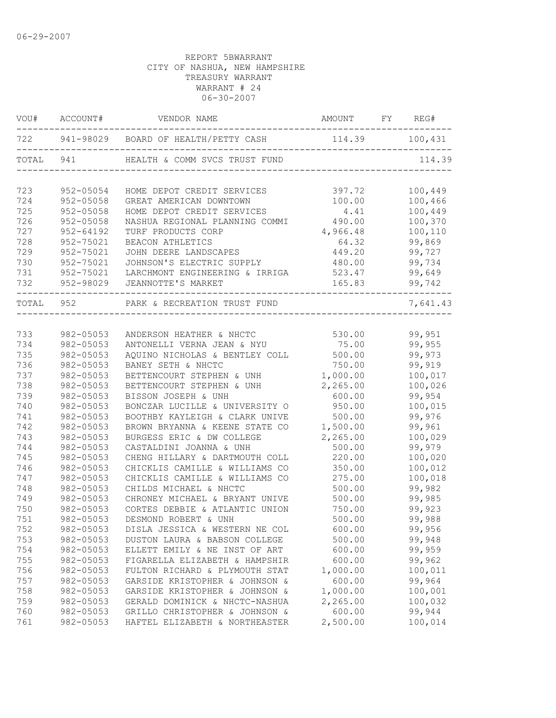|           | VOU# ACCOUNT# | VENDOR NAME                              | AMOUNT FY REG#                                         |          |
|-----------|---------------|------------------------------------------|--------------------------------------------------------|----------|
|           |               | 722 941-98029 BOARD OF HEALTH/PETTY CASH | 114.39 100,431<br>____________________________________ |          |
|           | TOTAL 941     | HEALTH & COMM SVCS TRUST FUND            |                                                        | 114.39   |
| 723       | 952-05054     | HOME DEPOT CREDIT SERVICES               | 397.72                                                 | 100,449  |
| 724       | 952-05058     | GREAT AMERICAN DOWNTOWN                  | 100.00                                                 | 100,466  |
| 725       | $952 - 05058$ | HOME DEPOT CREDIT SERVICES               | 4.41                                                   | 100,449  |
| 726       | $952 - 05058$ | NASHUA REGIONAL PLANNING COMMI           | 490.00                                                 | 100,370  |
| 727       | $952 - 64192$ | TURF PRODUCTS CORP                       | 4,966.48                                               | 100,110  |
| 728       | 952-75021     | BEACON ATHLETICS                         | 64.32                                                  | 99,869   |
| 729       | 952-75021     | JOHN DEERE LANDSCAPES                    | 449.20                                                 | 99,727   |
| 730       | 952-75021     | JOHNSON'S ELECTRIC SUPPLY                | 480.00                                                 | 99,734   |
| 731       | 952-75021     | LARCHMONT ENGINEERING & IRRIGA           | 523.47                                                 | 99,649   |
| 732       | 952-98029     | JEANNOTTE'S MARKET                       | 165.83                                                 | 99,742   |
| TOTAL 952 |               | PARK & RECREATION TRUST FUND             |                                                        | 7,641.43 |
|           |               |                                          |                                                        |          |
| 733       | 982-05053     | ANDERSON HEATHER & NHCTC 530.00          |                                                        | 99,951   |
| 734       | 982-05053     | ANTONELLI VERNA JEAN & NYU               | 75.00                                                  | 99,955   |
| 735       | 982-05053     | AQUINO NICHOLAS & BENTLEY COLL 500.00    |                                                        | 99,973   |
| 736       | 982-05053     | BANEY SETH & NHCTC                       | 750.00                                                 | 99,919   |
| 737       | 982-05053     | BETTENCOURT STEPHEN & UNH                | 1,000.00                                               | 100,017  |
| 738       | 982-05053     | BETTENCOURT STEPHEN & UNH                | 2,265.00                                               | 100,026  |
| 739       | 982-05053     | BISSON JOSEPH & UNH                      | 600.00                                                 | 99,954   |
| 740       | 982-05053     | BONCZAR LUCILLE & UNIVERSITY O           | 950.00                                                 | 100,015  |
| 741       | 982-05053     | BOOTHBY KAYLEIGH & CLARK UNIVE           | 500.00                                                 | 99,976   |
| 742       | 982-05053     | BROWN BRYANNA & KEENE STATE CO           | 1,500.00                                               | 99,961   |
| 743       | 982-05053     | BURGESS ERIC & DW COLLEGE                | 2,265.00                                               | 100,029  |
| 744       | 982-05053     | CASTALDINI JOANNA & UNH                  | 500.00                                                 | 99,979   |
| 745       | 982-05053     | CHENG HILLARY & DARTMOUTH COLL           | 220.00                                                 | 100,020  |
| 746       | 982-05053     | CHICKLIS CAMILLE & WILLIAMS CO           | 350.00                                                 | 100,012  |
| 747       | 982-05053     | CHICKLIS CAMILLE & WILLIAMS CO           | 275.00                                                 | 100,018  |
| 748       | 982-05053     | CHILDS MICHAEL & NHCTC                   | 500.00                                                 | 99,982   |
| 749       | 982-05053     | CHRONEY MICHAEL & BRYANT UNIVE           | 500.00                                                 | 99,985   |
| 750       | 982-05053     | CORTES DEBBIE & ATLANTIC UNION           | 750.00                                                 | 99,923   |
| 751       | 982-05053     | DESMOND ROBERT & UNH                     | 500.00                                                 | 99,988   |
| 752       | 982-05053     | DISLA JESSICA & WESTERN NE COL           | 600.00                                                 | 99,956   |
| 753       | 982-05053     | DUSTON LAURA & BABSON COLLEGE            | 500.00                                                 | 99,948   |
| 754       | 982-05053     | ELLETT EMILY & NE INST OF ART            | 600.00                                                 | 99,959   |
| 755       | 982-05053     | FIGARELLA ELIZABETH & HAMPSHIR           | 600.00                                                 | 99,962   |
| 756       | 982-05053     | FULTON RICHARD & PLYMOUTH STAT           | 1,000.00                                               | 100,011  |
| 757       | 982-05053     | GARSIDE KRISTOPHER & JOHNSON &           | 600.00                                                 | 99,964   |
| 758       | 982-05053     | GARSIDE KRISTOPHER & JOHNSON &           | 1,000.00                                               | 100,001  |
| 759       | 982-05053     | GERALD DOMINICK & NHCTC-NASHUA           | 2,265.00                                               | 100,032  |
| 760       | 982-05053     | GRILLO CHRISTOPHER & JOHNSON &           | 600.00                                                 | 99,944   |
| 761       | 982-05053     | HAFTEL ELIZABETH & NORTHEASTER           | 2,500.00                                               | 100,014  |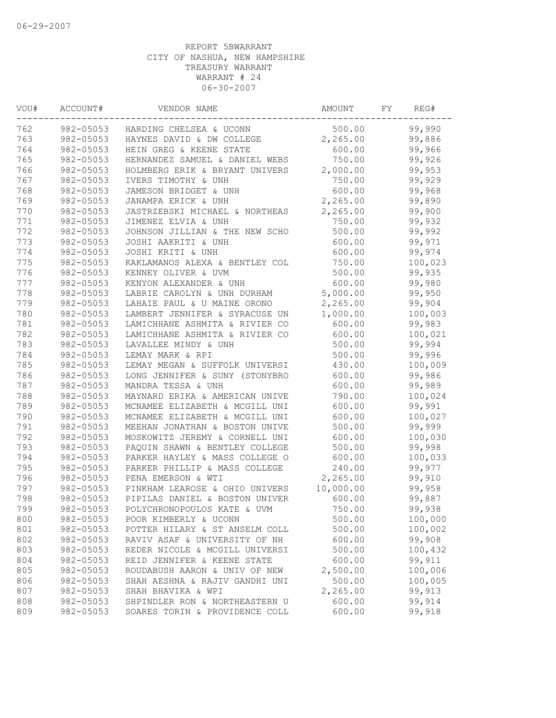| VOU# | ACCOUNT#  | VENDOR NAME                       | AMOUNT    | FY | REG#    |
|------|-----------|-----------------------------------|-----------|----|---------|
| 762  |           | 982-05053 HARDING CHELSEA & UCONN | 500.00    |    | 99,990  |
| 763  | 982-05053 | HAYNES DAVID & DW COLLEGE         | 2,265.00  |    | 99,886  |
| 764  | 982-05053 | HEIN GREG & KEENE STATE           | 600.00    |    | 99,966  |
| 765  | 982-05053 | HERNANDEZ SAMUEL & DANIEL WEBS    | 750.00    |    | 99,926  |
| 766  | 982-05053 | HOLMBERG ERIK & BRYANT UNIVERS    | 2,000.00  |    | 99,953  |
| 767  | 982-05053 | IVERS TIMOTHY & UNH               | 750.00    |    | 99,929  |
| 768  | 982-05053 | JAMESON BRIDGET & UNH             | 600.00    |    | 99,968  |
| 769  | 982-05053 | JANAMPA ERICK & UNH               | 2,265.00  |    | 99,890  |
| 770  | 982-05053 | JASTRZEBSKI MICHAEL & NORTHEAS    | 2,265.00  |    | 99,900  |
| 771  | 982-05053 | JIMENEZ ELVIA & UNH               | 750.00    |    | 99,932  |
| 772  | 982-05053 | JOHNSON JILLIAN & THE NEW SCHO    | 500.00    |    | 99,992  |
| 773  | 982-05053 | JOSHI AAKRITI & UNH               | 600.00    |    | 99,971  |
| 774  | 982-05053 | JOSHI KRITI & UNH                 | 600.00    |    | 99,974  |
| 775  | 982-05053 | KAKLAMANOS ALEXA & BENTLEY COL    | 750.00    |    | 100,023 |
| 776  | 982-05053 | KENNEY OLIVER & UVM               | 500.00    |    | 99,935  |
| 777  | 982-05053 | KENYON ALEXANDER & UNH            | 600.00    |    | 99,980  |
| 778  | 982-05053 | LABRIE CAROLYN & UNH DURHAM       | 5,000.00  |    | 99,950  |
| 779  | 982-05053 | LAHAIE PAUL & U MAINE ORONO       | 2,265.00  |    | 99,904  |
| 780  | 982-05053 | LAMBERT JENNIFER & SYRACUSE UN    | 1,000.00  |    | 100,003 |
| 781  | 982-05053 | LAMICHHANE ASHMITA & RIVIER CO    | 600.00    |    | 99,983  |
| 782  | 982-05053 | LAMICHHANE ASHMITA & RIVIER CO    | 600.00    |    | 100,021 |
| 783  | 982-05053 | LAVALLEE MINDY & UNH              | 500.00    |    | 99,994  |
| 784  | 982-05053 | LEMAY MARK & RPI                  | 500.00    |    | 99,996  |
| 785  | 982-05053 | LEMAY MEGAN & SUFFOLK UNIVERSI    | 430.00    |    | 100,009 |
| 786  | 982-05053 | LONG JENNIFER & SUNY (STONYBRO    | 600.00    |    | 99,986  |
| 787  | 982-05053 | MANDRA TESSA & UNH                | 600.00    |    | 99,989  |
| 788  | 982-05053 | MAYNARD ERIKA & AMERICAN UNIVE    | 790.00    |    | 100,024 |
| 789  | 982-05053 | MCNAMEE ELIZABETH & MCGILL UNI    | 600.00    |    | 99,991  |
| 790  | 982-05053 | MCNAMEE ELIZABETH & MCGILL UNI    | 600.00    |    | 100,027 |
| 791  | 982-05053 | MEEHAN JONATHAN & BOSTON UNIVE    | 500.00    |    | 99,999  |
| 792  | 982-05053 | MOSKOWITZ JEREMY & CORNELL UNI    | 600.00    |    | 100,030 |
| 793  | 982-05053 | PAQUIN SHAWN & BENTLEY COLLEGE    | 500.00    |    | 99,998  |
| 794  | 982-05053 | PARKER HAYLEY & MASS COLLEGE O    | 600.00    |    | 100,033 |
| 795  | 982-05053 | PARKER PHILLIP & MASS COLLEGE     | 240.00    |    | 99,977  |
| 796  | 982-05053 | PENA EMERSON & WTI                | 2,265.00  |    | 99,910  |
| 797  | 982-05053 | PINKHAM LEAROSE & OHIO UNIVERS    | 10,000.00 |    | 99,958  |
| 798  | 982-05053 | PIPILAS DANIEL & BOSTON UNIVER    | 600.00    |    | 99,887  |
| 799  | 982-05053 | POLYCHRONOPOULOS KATE & UVM       | 750.00    |    | 99,938  |
| 800  | 982-05053 | POOR KIMBERLY & UCONN             | 500.00    |    | 100,000 |
| 801  | 982-05053 | POTTER HILARY & ST ANSELM COLL    | 500.00    |    | 100,002 |
| 802  | 982-05053 | RAVIV ASAF & UNIVERSITY OF NH     | 600.00    |    | 99,908  |
| 803  | 982-05053 | REDER NICOLE & MCGILL UNIVERSI    | 500.00    |    | 100,432 |
| 804  | 982-05053 | REID JENNIFER & KEENE STATE       | 600.00    |    | 99,911  |
| 805  | 982-05053 | ROUDABUSH AARON & UNIV OF NEW     | 2,500.00  |    | 100,006 |
| 806  | 982-05053 | SHAH AESHNA & RAJIV GANDHI UNI    | 500.00    |    | 100,005 |
| 807  | 982-05053 | SHAH BHAVIKA & WPI                | 2,265.00  |    | 99,913  |
| 808  | 982-05053 | SHPINDLER RON & NORTHEASTERN U    | 600.00    |    | 99,914  |
| 809  | 982-05053 | SOARES TORIN & PROVIDENCE COLL    | 600.00    |    | 99,918  |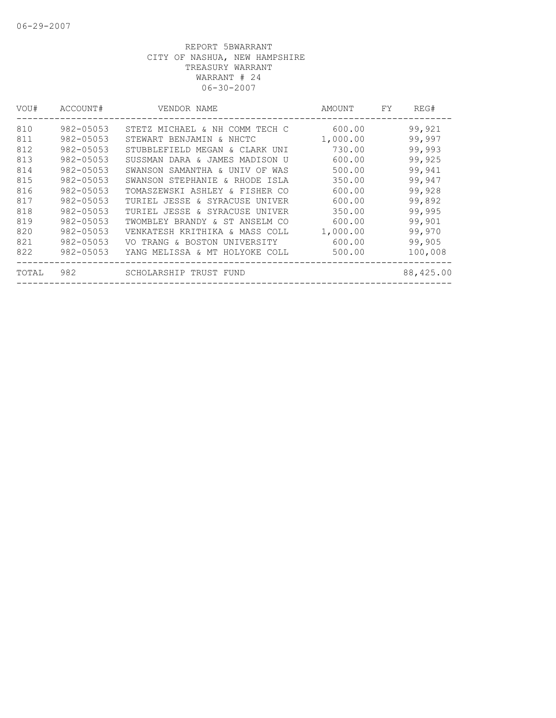| VOU#  | ACCOUNT#      | VENDOR NAME                    | AMOUNT   | FY. | REG#      |
|-------|---------------|--------------------------------|----------|-----|-----------|
| 810   | 982-05053     | STETZ MICHAEL & NH COMM TECH C | 600.00   |     | 99,921    |
| 811   | 982-05053     | STEWART BENJAMIN & NHCTC       | 1,000.00 |     | 99,997    |
| 812   | $982 - 05053$ | STUBBLEFIELD MEGAN & CLARK UNI | 730.00   |     | 99,993    |
| 813   | 982-05053     | SUSSMAN DARA & JAMES MADISON U | 600.00   |     | 99,925    |
| 814   | 982-05053     | SWANSON SAMANTHA & UNIV OF WAS | 500.00   |     | 99,941    |
| 815   | $982 - 05053$ | SWANSON STEPHANIE & RHODE ISLA | 350.00   |     | 99,947    |
| 816   | 982-05053     | TOMASZEWSKI ASHLEY & FISHER CO | 600.00   |     | 99,928    |
| 817   | $982 - 05053$ | TURIEL JESSE & SYRACUSE UNIVER | 600.00   |     | 99,892    |
| 818   | 982-05053     | TURIEL JESSE & SYRACUSE UNIVER | 350.00   |     | 99,995    |
| 819   | 982-05053     | TWOMBLEY BRANDY & ST ANSELM CO | 600.00   |     | 99,901    |
| 820   | $982 - 05053$ | VENKATESH KRITHIKA & MASS COLL | 1,000.00 |     | 99,970    |
| 821   | $982 - 05053$ | VO TRANG & BOSTON UNIVERSITY   | 600.00   |     | 99,905    |
| 822   | 982-05053     | YANG MELISSA & MT HOLYOKE COLL | 500.00   |     | 100,008   |
| TOTAL | 982           | SCHOLARSHIP TRUST FUND         |          |     | 88,425.00 |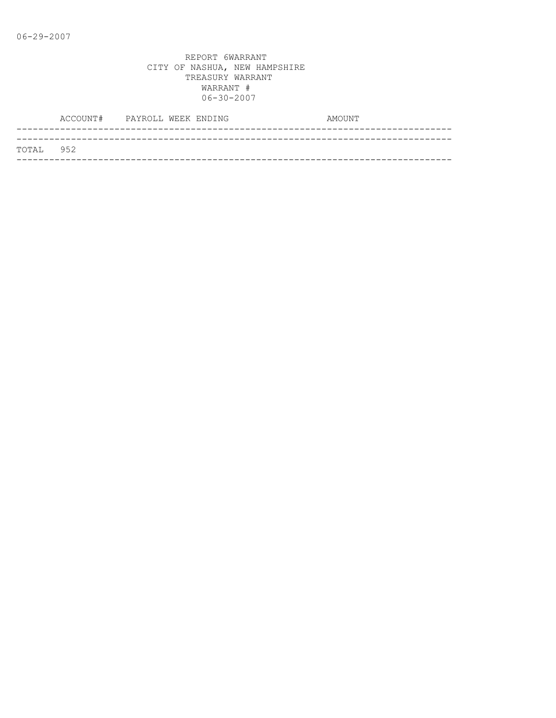|           | ACCOUNT# PAYROLL WEEK ENDING |  | AMOUNT |  |
|-----------|------------------------------|--|--------|--|
|           |                              |  |        |  |
| TOTAL 952 |                              |  |        |  |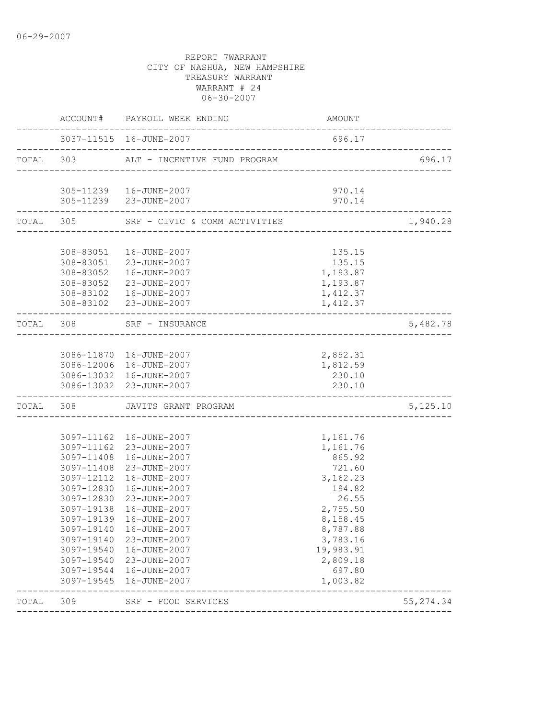|           | ACCOUNT#                 | PAYROLL WEEK ENDING                                | AMOUNT               |            |
|-----------|--------------------------|----------------------------------------------------|----------------------|------------|
|           |                          |                                                    | 696.17               |            |
| TOTAL 303 |                          | ALT - INCENTIVE FUND PROGRAM                       |                      | 696.17     |
|           |                          | 305-11239  16-JUNE-2007                            | 970.14               |            |
|           |                          | 305-11239 23-JUNE-2007                             | 970.14               |            |
|           |                          | TOTAL 305 SRF - CIVIC & COMM ACTIVITIES            |                      | 1,940.28   |
|           |                          | 308-83051  16-JUNE-2007                            | 135.15               |            |
|           |                          | 308-83051 23-JUNE-2007                             | 135.15               |            |
|           |                          | 308-83052  16-JUNE-2007                            | 1,193.87             |            |
|           |                          | 308-83052 23-JUNE-2007                             | 1,193.87             |            |
|           |                          | 308-83102  16-JUNE-2007<br>308-83102 23-JUNE-2007  | 1,412.37<br>1,412.37 |            |
| TOTAL 308 |                          | SRF - INSURANCE                                    |                      | 5,482.78   |
|           |                          |                                                    |                      |            |
|           |                          | 3086-11870  16-JUNE-2007                           | 2,852.31             |            |
|           |                          | 3086-12006 16-JUNE-2007                            | 1,812.59             |            |
|           |                          | 3086-13032 16-JUNE-2007<br>3086-13032 23-JUNE-2007 | 230.10<br>230.10     |            |
| TOTAL 308 |                          | JAVITS GRANT PROGRAM                               |                      | 5,125.10   |
|           |                          | 3097-11162  16-JUNE-2007                           | 1,161.76             |            |
|           |                          | 3097-11162 23-JUNE-2007                            | 1,161.76             |            |
|           | 3097-11408               | 16-JUNE-2007                                       | 865.92               |            |
|           | 3097-11408               | 23-JUNE-2007                                       | 721.60               |            |
|           | 3097-12112               | 16-JUNE-2007                                       | 3,162.23             |            |
|           | 3097-12830               | 16-JUNE-2007                                       | 194.82               |            |
|           | 3097-12830               | 23-JUNE-2007                                       | 26.55                |            |
|           | 3097-19138               | 16-JUNE-2007                                       | 2,755.50             |            |
|           |                          | 3097-19139 16-JUNE-2007                            | 8,158.45             |            |
|           | 3097-19140               | 16-JUNE-2007                                       | 8,787.88             |            |
|           | 3097-19140               | 23-JUNE-2007                                       | 3,783.16             |            |
|           | 3097-19540               | 16-JUNE-2007                                       | 19,983.91            |            |
|           | 3097-19540               | 23-JUNE-2007                                       | 2,809.18             |            |
|           | 3097-19544<br>3097-19545 | 16-JUNE-2007<br>16-JUNE-2007                       | 697.80<br>1,003.82   |            |
| TOTAL     | 309                      | SRF - FOOD SERVICES                                |                      | 55, 274.34 |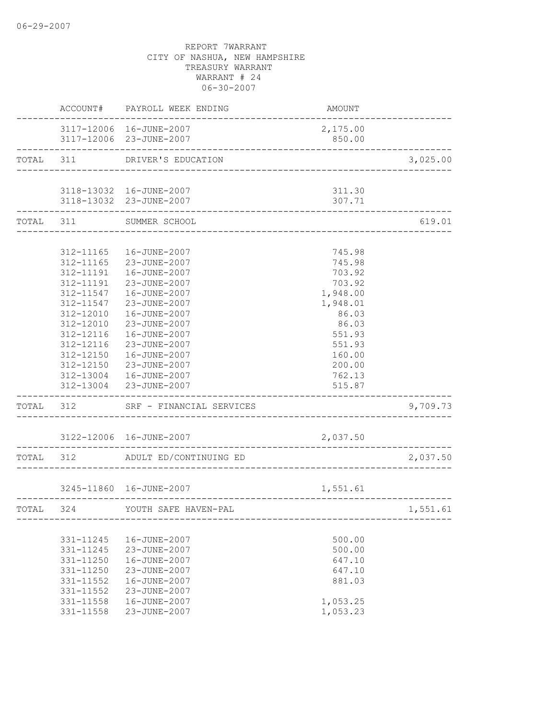|           | ACCOUNT#                                                                                                                                                 | PAYROLL WEEK ENDING                                                                                                                                                                                                                                                                     | AMOUNT                                                                                                                                     |          |
|-----------|----------------------------------------------------------------------------------------------------------------------------------------------------------|-----------------------------------------------------------------------------------------------------------------------------------------------------------------------------------------------------------------------------------------------------------------------------------------|--------------------------------------------------------------------------------------------------------------------------------------------|----------|
|           |                                                                                                                                                          | 3117-12006 16-JUNE-2007<br>3117-12006 23-JUNE-2007                                                                                                                                                                                                                                      | 2,175.00<br>850.00                                                                                                                         |          |
| TOTAL 311 |                                                                                                                                                          | DRIVER'S EDUCATION                                                                                                                                                                                                                                                                      | -----------------------------------                                                                                                        | 3,025.00 |
|           |                                                                                                                                                          |                                                                                                                                                                                                                                                                                         |                                                                                                                                            |          |
|           |                                                                                                                                                          | 3118-13032 16-JUNE-2007<br>3118-13032 23-JUNE-2007                                                                                                                                                                                                                                      | 311.30<br>307.71                                                                                                                           |          |
|           | TOTAL 311                                                                                                                                                | SUMMER SCHOOL                                                                                                                                                                                                                                                                           |                                                                                                                                            | 619.01   |
|           |                                                                                                                                                          |                                                                                                                                                                                                                                                                                         |                                                                                                                                            |          |
|           | 312-11165<br>312-11165<br>312-11191<br>312-11191<br>312-11547<br>312-11547<br>312-12010<br>312-12010<br>312-12116<br>312-12116<br>312-12150<br>312-12150 | 16-JUNE-2007<br>23-JUNE-2007<br>16-JUNE-2007<br>23-JUNE-2007<br>16-JUNE-2007<br>23-JUNE-2007<br>16-JUNE-2007<br>23-JUNE-2007<br>16-JUNE-2007<br>23-JUNE-2007<br>16-JUNE-2007<br>23-JUNE-2007<br>312-13004  16-JUNE-2007<br>312-13004 23-JUNE-2007<br>TOTAL 312 SRF - FINANCIAL SERVICES | 745.98<br>745.98<br>703.92<br>703.92<br>1,948.00<br>1,948.01<br>86.03<br>86.03<br>551.93<br>551.93<br>160.00<br>200.00<br>762.13<br>515.87 | 9,709.73 |
|           |                                                                                                                                                          |                                                                                                                                                                                                                                                                                         |                                                                                                                                            |          |
|           |                                                                                                                                                          | 3122-12006 16-JUNE-2007                                                                                                                                                                                                                                                                 | 2,037.50                                                                                                                                   |          |
| TOTAL 312 |                                                                                                                                                          | ADULT ED/CONTINUING ED                                                                                                                                                                                                                                                                  |                                                                                                                                            | 2,037.50 |
|           |                                                                                                                                                          | 3245-11860  16-JUNE-2007                                                                                                                                                                                                                                                                | 1,551.61                                                                                                                                   |          |
| TOTAL 324 |                                                                                                                                                          | YOUTH SAFE HAVEN-PAL                                                                                                                                                                                                                                                                    |                                                                                                                                            | 1,551.61 |
|           | 331-11245<br>331-11245<br>331-11250<br>331-11250<br>331-11552<br>331-11552<br>$331 - 11558$<br>331-11558                                                 | 16-JUNE-2007<br>23-JUNE-2007<br>16-JUNE-2007<br>23-JUNE-2007<br>16-JUNE-2007<br>23-JUNE-2007<br>16-JUNE-2007<br>23-JUNE-2007                                                                                                                                                            | 500.00<br>500.00<br>647.10<br>647.10<br>881.03<br>1,053.25<br>1,053.23                                                                     |          |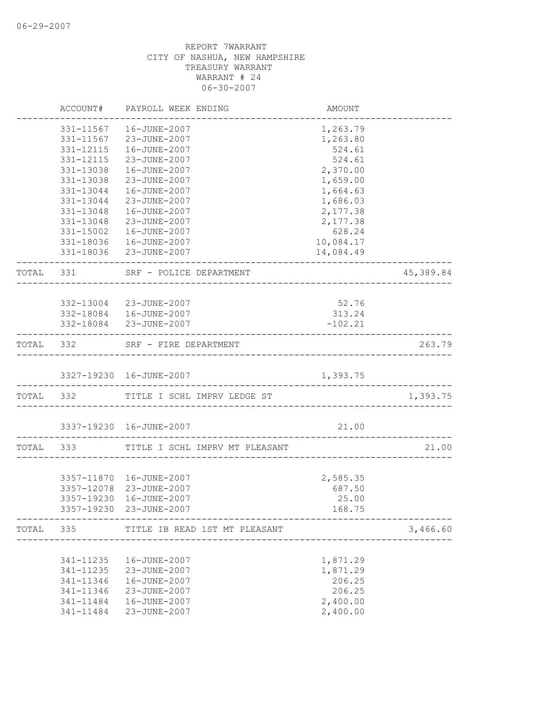|           | ACCOUNT#               | PAYROLL WEEK ENDING                      | AMOUNT                                 |           |
|-----------|------------------------|------------------------------------------|----------------------------------------|-----------|
|           | 331-11567              | 16-JUNE-2007                             | 1,263.79                               |           |
|           | 331-11567              | 23-JUNE-2007                             | 1,263.80                               |           |
|           | 331-12115              | 16-JUNE-2007                             | 524.61                                 |           |
|           | 331-12115              | 23-JUNE-2007                             | 524.61                                 |           |
|           | 331-13038              | 16-JUNE-2007                             | 2,370.00                               |           |
|           | 331-13038              | 23-JUNE-2007                             | 1,659.00                               |           |
|           | 331-13044              | 16-JUNE-2007                             | 1,664.63                               |           |
|           | 331-13044              | 23-JUNE-2007                             | 1,686.03                               |           |
|           | 331-13048              | 16-JUNE-2007                             | 2,177.38                               |           |
|           | 331-13048<br>331-15002 | 23-JUNE-2007                             | 2,177.38                               |           |
|           |                        | 16-JUNE-2007<br>16-JUNE-2007             | 628.24                                 |           |
|           | 331-18036              | 331-18036 23-JUNE-2007                   | 10,084.17<br>14,084.49                 |           |
| TOTAL     | 331                    | SRF - POLICE DEPARTMENT                  |                                        | 45,389.84 |
|           |                        |                                          |                                        |           |
|           |                        | 332-13004 23-JUNE-2007                   | 52.76                                  |           |
|           |                        | 332-18084  16-JUNE-2007                  | 313.24                                 |           |
|           |                        | 332-18084 23-JUNE-2007                   | $-102.21$                              |           |
|           | TOTAL 332              | SRF - FIRE DEPARTMENT                    | -------------------------------------- | 263.79    |
|           |                        | 3327-19230  16-JUNE-2007                 | 1,393.75                               |           |
| TOTAL 332 |                        | TITLE I SCHL IMPRV LEDGE ST              |                                        | 1,393.75  |
|           |                        |                                          |                                        |           |
|           |                        | 3337-19230  16-JUNE-2007                 | 21.00<br>-------------------------     |           |
| TOTAL     | 333                    | TITLE I SCHL IMPRV MT PLEASANT           |                                        | 21.00     |
|           |                        |                                          |                                        |           |
|           | 3357-12078             | 3357-11870  16-JUNE-2007<br>23-JUNE-2007 | 2,585.35                               |           |
|           | 3357-19230             | 16-JUNE-2007                             | 687.50<br>25.00                        |           |
|           |                        | 3357-19230 23-JUNE-2007                  | 168.75                                 |           |
| TOTAL     | 335                    | TITLE IB READ 1ST MT PLEASANT            |                                        | 3,466.60  |
|           |                        |                                          |                                        |           |
|           | 341-11235              | 16-JUNE-2007                             | 1,871.29                               |           |
|           | 341-11235              | 23-JUNE-2007                             | 1,871.29                               |           |
|           | 341-11346              | 16-JUNE-2007                             | 206.25                                 |           |
|           | 341-11346<br>341-11484 | 23-JUNE-2007                             | 206.25                                 |           |
|           | 341-11484              | 16-JUNE-2007<br>23-JUNE-2007             | 2,400.00<br>2,400.00                   |           |
|           |                        |                                          |                                        |           |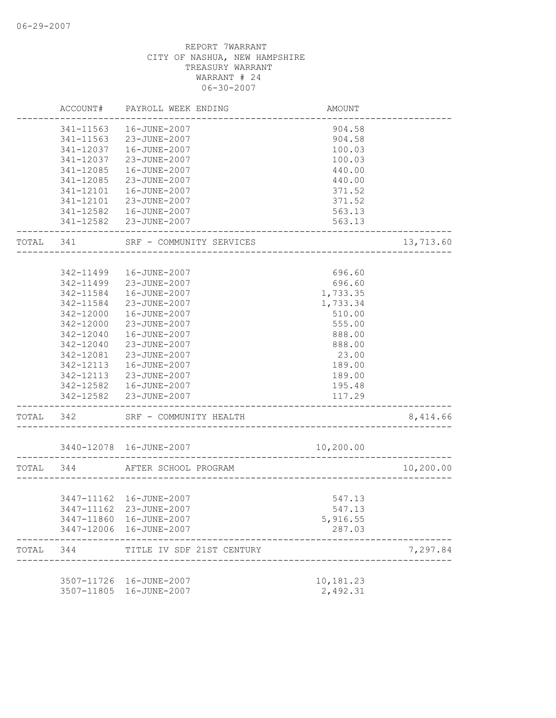|           | ACCOUNT#   | PAYROLL WEEK ENDING       | AMOUNT    |           |
|-----------|------------|---------------------------|-----------|-----------|
|           | 341-11563  | 16-JUNE-2007              | 904.58    |           |
|           | 341-11563  | 23-JUNE-2007              | 904.58    |           |
|           | 341-12037  | 16-JUNE-2007              | 100.03    |           |
|           | 341-12037  | 23-JUNE-2007              | 100.03    |           |
|           | 341-12085  | 16-JUNE-2007              | 440.00    |           |
|           | 341-12085  | 23-JUNE-2007              | 440.00    |           |
|           | 341-12101  | 16-JUNE-2007              | 371.52    |           |
|           | 341-12101  | 23-JUNE-2007              | 371.52    |           |
|           | 341-12582  | 16-JUNE-2007              | 563.13    |           |
|           |            | 341-12582 23-JUNE-2007    | 563.13    |           |
| TOTAL     | 341        | SRF - COMMUNITY SERVICES  |           | 13,713.60 |
|           |            |                           |           |           |
|           | 342-11499  | 16-JUNE-2007              | 696.60    |           |
|           | 342-11499  | 23-JUNE-2007              | 696.60    |           |
|           | 342-11584  | 16-JUNE-2007              | 1,733.35  |           |
|           | 342-11584  | 23-JUNE-2007              | 1,733.34  |           |
|           | 342-12000  | 16-JUNE-2007              | 510.00    |           |
|           | 342-12000  | 23-JUNE-2007              | 555.00    |           |
|           | 342-12040  | 16-JUNE-2007              | 888.00    |           |
|           | 342-12040  | 23-JUNE-2007              | 888.00    |           |
|           | 342-12081  | 23-JUNE-2007              | 23.00     |           |
|           | 342-12113  | 16-JUNE-2007              | 189.00    |           |
|           | 342-12113  | 23-JUNE-2007              | 189.00    |           |
|           | 342-12582  | 16-JUNE-2007              | 195.48    |           |
|           | 342-12582  | 23-JUNE-2007              | 117.29    |           |
| TOTAL     | 342        | SRF - COMMUNITY HEALTH    |           | 8,414.66  |
|           |            | 3440-12078  16-JUNE-2007  | 10,200.00 |           |
| TOTAL 344 |            | AFTER SCHOOL PROGRAM      |           | 10,200.00 |
|           |            |                           |           |           |
|           |            | 3447-11162  16-JUNE-2007  | 547.13    |           |
|           |            | 3447-11162 23-JUNE-2007   | 547.13    |           |
|           | 3447-11860 | 16-JUNE-2007              | 5,916.55  |           |
|           |            | 3447-12006 16-JUNE-2007   | 287.03    |           |
| TOTAL     | 344        | TITLE IV SDF 21ST CENTURY |           | 7,297.84  |
|           |            |                           |           |           |
|           |            | 3507-11726 16-JUNE-2007   | 10,181.23 |           |
|           | 3507-11805 | 16-JUNE-2007              | 2,492.31  |           |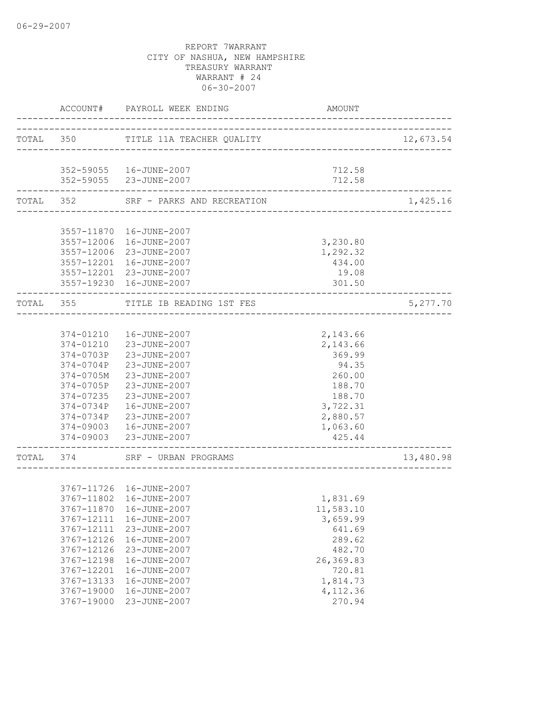|           |               | ACCOUNT# PAYROLL WEEK ENDING        | AMOUNT                     |           |
|-----------|---------------|-------------------------------------|----------------------------|-----------|
|           |               | TOTAL 350 TITLE 11A TEACHER QUALITY |                            | 12,673.54 |
|           |               |                                     |                            |           |
|           |               | 352-59055   16-JUNE-2007            | 712.58                     |           |
|           |               | 352-59055 23-JUNE-2007              | 712.58<br>________________ |           |
| TOTAL 352 |               | SRF - PARKS AND RECREATION          |                            | 1,425.16  |
|           |               |                                     |                            |           |
|           |               | 3557-11870  16-JUNE-2007            |                            |           |
|           | 3557-12006    | 16-JUNE-2007                        | 3,230.80                   |           |
|           |               | 3557-12006 23-JUNE-2007             | 1,292.32                   |           |
|           |               | 3557-12201 16-JUNE-2007             | 434.00                     |           |
|           |               | 3557-12201 23-JUNE-2007             | 19.08                      |           |
|           |               | 3557-19230 16-JUNE-2007             | 301.50                     |           |
|           | TOTAL 355     | TITLE IB READING 1ST FES            |                            | 5,277.70  |
|           |               |                                     |                            |           |
|           |               | 374-01210  16-JUNE-2007             | 2,143.66                   |           |
|           |               | 374-01210 23-JUNE-2007              | 2,143.66                   |           |
|           | 374-0703P     | 23-JUNE-2007                        | 369.99                     |           |
|           | 374-0704P     | 23-JUNE-2007                        | 94.35                      |           |
|           | $374 - 0705M$ | 23-JUNE-2007                        | 260.00                     |           |
|           | 374-0705P     | 23-JUNE-2007                        | 188.70                     |           |
|           | 374-07235     | 23-JUNE-2007                        | 188.70                     |           |
|           | 374-0734P     | 16-JUNE-2007                        | 3,722.31                   |           |
|           | 374-0734P     | 23-JUNE-2007                        | 2,880.57                   |           |
|           | 374-09003     | 16-JUNE-2007                        | 1,063.60                   |           |
|           |               | 374-09003 23-JUNE-2007              | 425.44                     |           |
|           |               | TOTAL 374 SRF - URBAN PROGRAMS      |                            | 13,480.98 |
|           |               |                                     |                            |           |
|           |               | 3767-11726  16-JUNE-2007            |                            |           |
|           |               | 3767-11802 16-JUNE-2007             | 1,831.69                   |           |
|           |               | 3767-11870  16-JUNE-2007            | 11,583.10                  |           |
|           | 3767-12111    | 16-JUNE-2007                        | 3,659.99                   |           |
|           | 3767-12111    | 23-JUNE-2007                        | 641.69                     |           |
|           | 3767-12126    | 16-JUNE-2007                        | 289.62                     |           |
|           | 3767-12126    | 23-JUNE-2007                        | 482.70                     |           |
|           | 3767-12198    | 16-JUNE-2007                        | 26,369.83                  |           |
|           | 3767-12201    | 16-JUNE-2007                        | 720.81                     |           |
|           | 3767-13133    | 16-JUNE-2007                        | 1,814.73                   |           |
|           | 3767-19000    | 16-JUNE-2007                        | 4,112.36                   |           |
|           | 3767-19000    | 23-JUNE-2007                        | 270.94                     |           |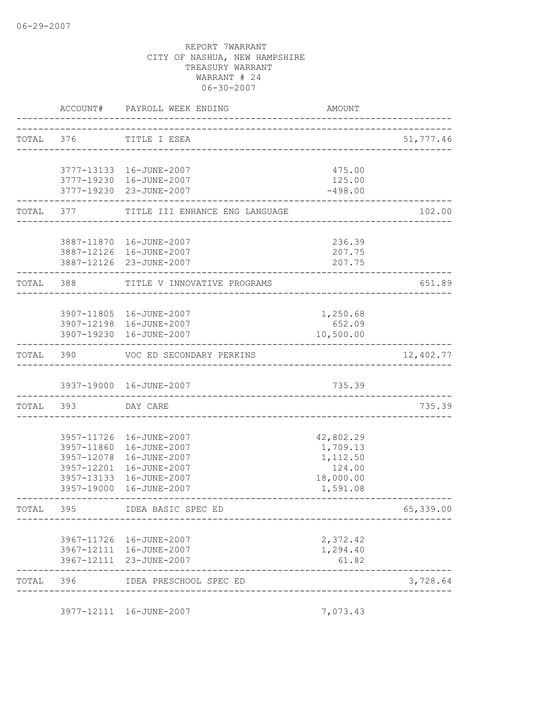|           |            | ACCOUNT# PAYROLL WEEK ENDING                         | <b>AMOUNT</b>        |           |
|-----------|------------|------------------------------------------------------|----------------------|-----------|
| TOTAL 376 |            | TITLE I ESEA                                         |                      | 51,777.46 |
|           |            |                                                      |                      |           |
|           |            | 3777-13133  16-JUNE-2007<br>3777-19230 16-JUNE-2007  | 475.00<br>125.00     |           |
|           |            | 3777-19230 23-JUNE-2007                              | $-498.00$            |           |
|           | TOTAL 377  | TITLE III ENHANCE ENG LANGUAGE                       |                      | 102.00    |
|           |            |                                                      |                      |           |
|           |            | 3887-11870  16-JUNE-2007<br>3887-12126  16-JUNE-2007 | 236.39<br>207.75     |           |
|           |            | 3887-12126 23-JUNE-2007                              | 207.75               |           |
| TOTAL 388 |            | TITLE V INNOVATIVE PROGRAMS                          |                      | 651.89    |
|           |            |                                                      |                      |           |
|           |            | 3907-11805 16-JUNE-2007                              | 1,250.68             |           |
|           |            | 3907-12198 16-JUNE-2007<br>3907-19230  16-JUNE-2007  | 652.09<br>10,500.00  |           |
|           | TOTAL 390  | VOC ED SECONDARY PERKINS                             |                      | 12,402.77 |
|           |            | 3937-19000 16-JUNE-2007                              | 735.39               |           |
|           | TOTAL 393  | DAY CARE                                             |                      | 735.39    |
|           |            |                                                      |                      |           |
|           |            | 3957-11726 16-JUNE-2007                              | 42,802.29            |           |
|           | 3957-11860 | 16-JUNE-2007                                         | 1,709.13             |           |
|           | 3957-12078 | 16-JUNE-2007                                         | 1,112.50             |           |
|           | 3957-12201 | 16-JUNE-2007                                         | 124.00               |           |
|           | 3957-13133 | 16-JUNE-2007                                         | 18,000.00            |           |
|           | 3957-19000 | 16-JUNE-2007                                         | 1,591.08             |           |
| TOTAI,    | 395        | IDEA BASIC SPEC ED                                   |                      | 65,339.00 |
|           |            |                                                      |                      |           |
|           |            | 3967-11726 16-JUNE-2007<br>3967-12111 16-JUNE-2007   | 2,372.42<br>1,294.40 |           |
|           |            | 3967-12111 23-JUNE-2007                              | 61.82                |           |
| TOTAL 396 |            | IDEA PRESCHOOL SPEC ED                               |                      | 3,728.64  |
|           |            | 3977-12111 16-JUNE-2007                              | 7,073.43             |           |
|           |            |                                                      |                      |           |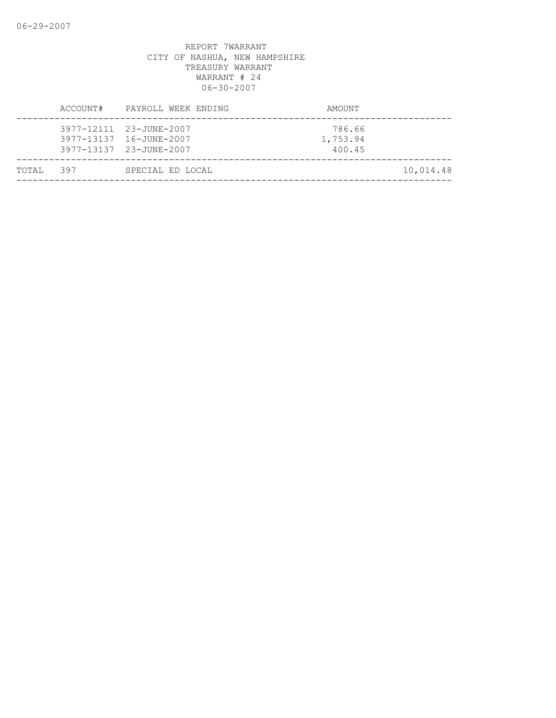|           | ACCOUNT# | PAYROLL WEEK ENDING                                                           | AMOUNT                       |           |
|-----------|----------|-------------------------------------------------------------------------------|------------------------------|-----------|
|           |          | 3977-12111 23-JUNE-2007<br>3977-13137 16-JUNE-2007<br>3977-13137 23-JUNE-2007 | 786.66<br>1,753.94<br>400.45 |           |
| TOTAL 397 |          | SPECIAL ED LOCAL                                                              |                              | 10,014.48 |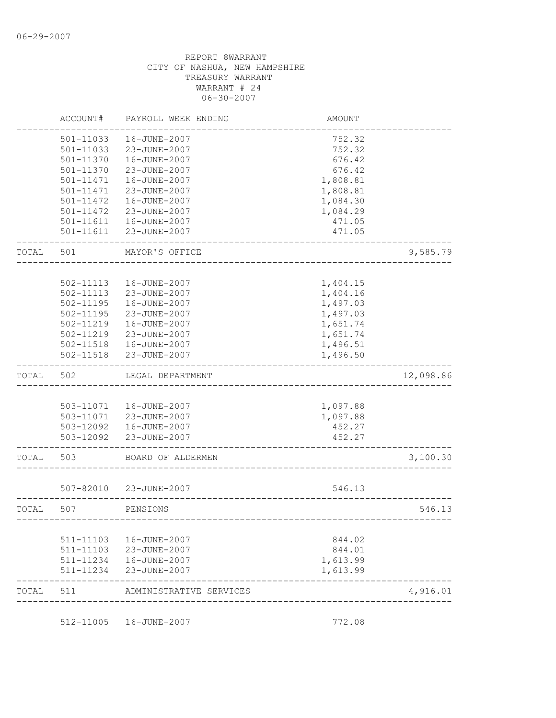|       | ACCOUNT#               | PAYROLL WEEK ENDING                     | <b>AMOUNT</b>        |           |
|-------|------------------------|-----------------------------------------|----------------------|-----------|
|       | 501-11033              | 16-JUNE-2007                            | 752.32               |           |
|       | 501-11033              | 23-JUNE-2007                            | 752.32               |           |
|       | 501-11370              | 16-JUNE-2007                            | 676.42               |           |
|       | 501-11370              | 23-JUNE-2007                            | 676.42               |           |
|       | 501-11471              | 16-JUNE-2007                            | 1,808.81             |           |
|       | 501-11471              | 23-JUNE-2007                            | 1,808.81             |           |
|       | 501-11472              | 16-JUNE-2007                            | 1,084.30             |           |
|       | 501-11472              | 23-JUNE-2007                            | 1,084.29             |           |
|       | 501-11611              | 16-JUNE-2007                            | 471.05               |           |
|       | $501 - 11611$          | 23-JUNE-2007                            | 471.05               |           |
| TOTAL | 501                    | MAYOR'S OFFICE                          |                      | 9,585.79  |
|       |                        |                                         |                      |           |
|       | 502-11113              | 16-JUNE-2007                            | 1,404.15             |           |
|       | 502-11113              | 23-JUNE-2007                            | 1,404.16             |           |
|       | 502-11195              | 16-JUNE-2007                            | 1,497.03             |           |
|       | 502-11195              | 23-JUNE-2007                            | 1,497.03             |           |
|       | 502-11219              | 16-JUNE-2007                            | 1,651.74             |           |
|       | 502-11219              | 23-JUNE-2007                            | 1,651.74             |           |
|       | 502-11518              | 16-JUNE-2007                            | 1,496.51             |           |
|       | $502 - 11518$          | 23-JUNE-2007                            | 1,496.50             |           |
| TOTAL | 502                    | LEGAL DEPARTMENT                        |                      | 12,098.86 |
|       |                        |                                         |                      |           |
|       |                        |                                         |                      |           |
|       |                        | 503-11071  16-JUNE-2007                 | 1,097.88             |           |
|       |                        | 503-11071 23-JUNE-2007                  |                      |           |
|       |                        |                                         | 1,097.88<br>452.27   |           |
|       | 503-12092              | 503-12092  16-JUNE-2007<br>23-JUNE-2007 | 452.27               |           |
| TOTAL | 503                    | BOARD OF ALDERMEN                       |                      | 3,100.30  |
|       |                        |                                         |                      |           |
|       | 507-82010              | 23-JUNE-2007                            | 546.13               |           |
| TOTAL | 507                    | PENSIONS                                |                      | 546.13    |
|       |                        |                                         |                      |           |
|       | 511-11103              | 16-JUNE-2007                            | 844.02               |           |
|       | 511-11103              | 23-JUNE-2007                            | 844.01               |           |
|       | 511-11234<br>511-11234 | 16-JUNE-2007<br>23-JUNE-2007            | 1,613.99<br>1,613.99 |           |

512-11005 16-JUNE-2007 772.08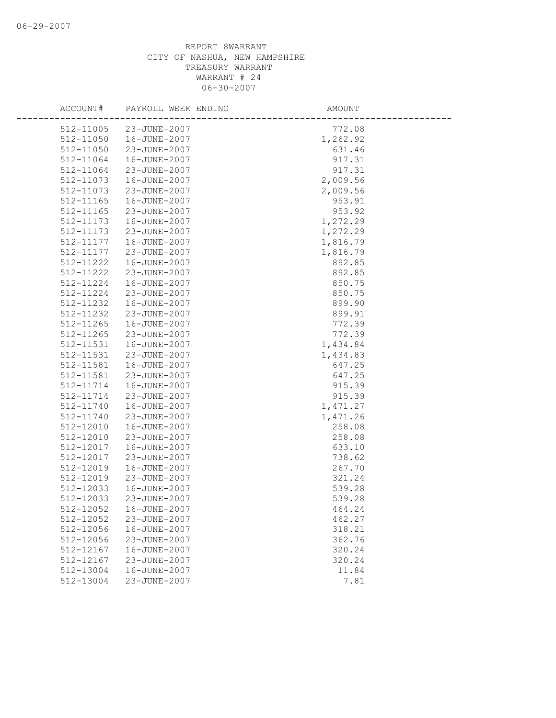| ACCOUNT#  | PAYROLL WEEK ENDING | AMOUNT   |
|-----------|---------------------|----------|
| 512-11005 | 23-JUNE-2007        | 772.08   |
| 512-11050 | 16-JUNE-2007        | 1,262.92 |
| 512-11050 | 23-JUNE-2007        | 631.46   |
| 512-11064 | 16-JUNE-2007        | 917.31   |
| 512-11064 | 23-JUNE-2007        | 917.31   |
| 512-11073 | 16-JUNE-2007        | 2,009.56 |
| 512-11073 | 23-JUNE-2007        | 2,009.56 |
| 512-11165 | 16-JUNE-2007        | 953.91   |
| 512-11165 | 23-JUNE-2007        | 953.92   |
| 512-11173 | 16-JUNE-2007        | 1,272.29 |
| 512-11173 | 23-JUNE-2007        | 1,272.29 |
| 512-11177 | 16-JUNE-2007        | 1,816.79 |
| 512-11177 | 23-JUNE-2007        | 1,816.79 |
| 512-11222 | 16-JUNE-2007        | 892.85   |
| 512-11222 | 23-JUNE-2007        | 892.85   |
| 512-11224 | 16-JUNE-2007        | 850.75   |
| 512-11224 | 23-JUNE-2007        | 850.75   |
| 512-11232 | 16-JUNE-2007        | 899.90   |
| 512-11232 | 23-JUNE-2007        | 899.91   |
| 512-11265 | 16-JUNE-2007        | 772.39   |
| 512-11265 | 23-JUNE-2007        | 772.39   |
| 512-11531 | 16-JUNE-2007        | 1,434.84 |
| 512-11531 | 23-JUNE-2007        | 1,434.83 |
| 512-11581 | 16-JUNE-2007        | 647.25   |
| 512-11581 | 23-JUNE-2007        | 647.25   |
| 512-11714 | 16-JUNE-2007        | 915.39   |
| 512-11714 | 23-JUNE-2007        | 915.39   |
| 512-11740 | 16-JUNE-2007        | 1,471.27 |
| 512-11740 | 23-JUNE-2007        | 1,471.26 |
| 512-12010 | 16-JUNE-2007        | 258.08   |
| 512-12010 | 23-JUNE-2007        | 258.08   |
| 512-12017 | 16-JUNE-2007        | 633.10   |
| 512-12017 | 23-JUNE-2007        | 738.62   |
| 512-12019 | 16-JUNE-2007        | 267.70   |
| 512-12019 | 23-JUNE-2007        | 321.24   |
| 512-12033 | 16-JUNE-2007        | 539.28   |
| 512-12033 | 23-JUNE-2007        | 539.28   |
| 512-12052 | 16-JUNE-2007        | 464.24   |
| 512-12052 | 23-JUNE-2007        | 462.27   |
| 512-12056 | 16-JUNE-2007        | 318.21   |
| 512-12056 | 23-JUNE-2007        | 362.76   |
| 512-12167 | 16-JUNE-2007        | 320.24   |
| 512-12167 | 23-JUNE-2007        | 320.24   |
| 512-13004 | 16-JUNE-2007        | 11.84    |
| 512-13004 | 23-JUNE-2007        | 7.81     |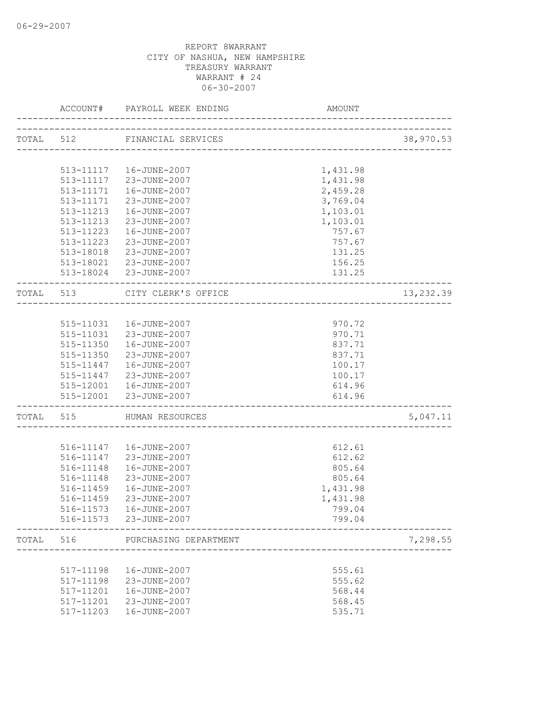|           |           | ACCOUNT# PAYROLL WEEK ENDING | AMOUNT                 |           |
|-----------|-----------|------------------------------|------------------------|-----------|
|           |           | TOTAL 512 FINANCIAL SERVICES |                        | 38,970.53 |
|           |           |                              |                        |           |
|           |           | 513-11117  16-JUNE-2007      | 1,431.98               |           |
|           |           | 513-11117 23-JUNE-2007       | 1,431.98               |           |
|           | 513-11171 | 16-JUNE-2007                 | 2,459.28               |           |
|           | 513-11171 | 23-JUNE-2007                 | 3,769.04               |           |
|           | 513-11213 | 16-JUNE-2007                 | 1,103.01               |           |
|           | 513-11213 | 23-JUNE-2007                 | 1,103.01               |           |
|           |           | 513-11223  16-JUNE-2007      | 757.67                 |           |
|           |           | 513-11223 23-JUNE-2007       | 757.67                 |           |
|           |           | 513-18018 23-JUNE-2007       | 131.25                 |           |
|           |           | 513-18021 23-JUNE-2007       | 156.25                 |           |
|           |           | 513-18024 23-JUNE-2007       | 131.25                 |           |
|           | TOTAL 513 | CITY CLERK'S OFFICE          | ______________________ | 13,232.39 |
|           |           |                              |                        |           |
|           |           | 515-11031  16-JUNE-2007      | 970.72                 |           |
|           |           | 515-11031 23-JUNE-2007       | 970.71                 |           |
|           |           | 515-11350  16-JUNE-2007      | 837.71                 |           |
|           | 515-11350 | 23-JUNE-2007                 | 837.71                 |           |
|           | 515-11447 | 16-JUNE-2007                 | 100.17                 |           |
|           | 515-11447 | 23-JUNE-2007                 | 100.17                 |           |
|           |           | 515-12001  16-JUNE-2007      | 614.96                 |           |
|           |           | 515-12001 23-JUNE-2007       | 614.96                 |           |
| TOTAL 515 |           | HUMAN RESOURCES              |                        | 5,047.11  |
|           |           | 516-11147   16-JUNE-2007     | 612.61                 |           |
|           | 516-11147 | 23-JUNE-2007                 | 612.62                 |           |
|           | 516-11148 | 16-JUNE-2007                 | 805.64                 |           |
|           | 516-11148 | 23-JUNE-2007                 | 805.64                 |           |
|           | 516-11459 | 16-JUNE-2007                 | 1,431.98               |           |
|           | 516-11459 | 23-JUNE-2007                 | 1,431.98               |           |
|           |           | 516-11573    16-JUNE-2007    | 799.04                 |           |
|           |           | 516-11573 23-JUNE-2007       | 799.04                 |           |
| TOTAL     | 516       | PURCHASING DEPARTMENT        |                        | 7,298.55  |
|           |           |                              |                        |           |
|           | 517-11198 | 16-JUNE-2007                 | 555.61                 |           |
|           | 517-11198 | 23-JUNE-2007                 | 555.62                 |           |
|           | 517-11201 | 16-JUNE-2007                 | 568.44                 |           |
|           | 517-11201 | 23-JUNE-2007                 | 568.45                 |           |
|           | 517-11203 | 16-JUNE-2007                 | 535.71                 |           |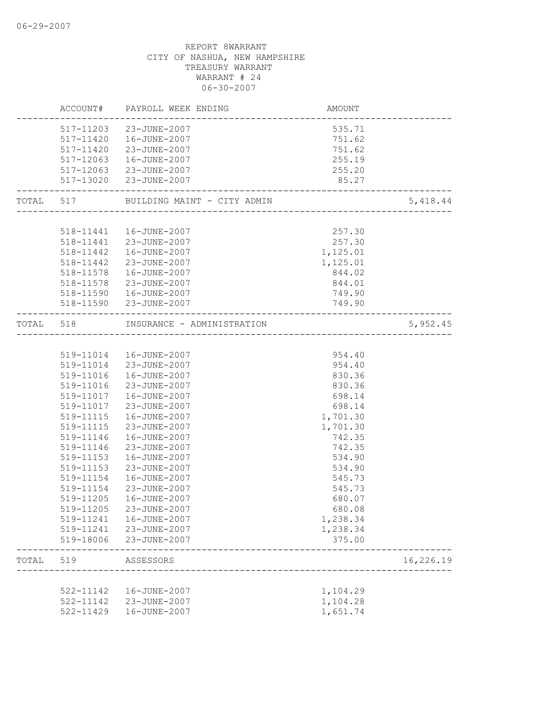|       | ACCOUNT#               | PAYROLL WEEK ENDING                                          | AMOUNT                           |           |
|-------|------------------------|--------------------------------------------------------------|----------------------------------|-----------|
|       |                        | 517-11203 23-JUNE-2007                                       | 535.71                           |           |
|       |                        | 517-11420  16-JUNE-2007                                      | 751.62                           |           |
|       |                        | 517-11420 23-JUNE-2007                                       | 751.62                           |           |
|       |                        | 517-12063  16-JUNE-2007                                      | 255.19                           |           |
|       |                        | 517-12063 23-JUNE-2007                                       | 255.20                           |           |
|       |                        | 517-13020 23-JUNE-2007                                       | 85.27                            |           |
|       |                        | TOTAL 517 BUILDING MAINT - CITY ADMIN                        | ___________________________      | 5,418.44  |
|       |                        |                                                              |                                  |           |
|       |                        | 518-11441  16-JUNE-2007                                      | 257.30                           |           |
|       |                        | 518-11441 23-JUNE-2007                                       | 257.30                           |           |
|       |                        | 518-11442  16-JUNE-2007                                      | 1,125.01                         |           |
|       | 518-11442              | 23-JUNE-2007                                                 | 1,125.01                         |           |
|       | 518-11578              | 16-JUNE-2007                                                 | 844.02                           |           |
|       | 518-11578              | 23-JUNE-2007                                                 | 844.01                           |           |
|       |                        | 518-11590  16-JUNE-2007                                      | 749.90                           |           |
|       |                        | 518-11590 23-JUNE-2007<br>---------------------------------- | 749.90                           |           |
| TOTAL | 518                    | INSURANCE - ADMINISTRATION                                   | ________________________________ | 5,952.45  |
|       |                        |                                                              |                                  |           |
|       |                        | 519-11014  16-JUNE-2007                                      | 954.40                           |           |
|       |                        | 519-11014 23-JUNE-2007                                       | 954.40                           |           |
|       | 519-11016              | 16-JUNE-2007                                                 | 830.36                           |           |
|       | 519-11016              | 23-JUNE-2007                                                 | 830.36                           |           |
|       | 519-11017              | 16-JUNE-2007                                                 | 698.14                           |           |
|       | 519-11017              | 23-JUNE-2007                                                 | 698.14                           |           |
|       | 519-11115              | 16-JUNE-2007                                                 | 1,701.30                         |           |
|       | 519-11115              | 23-JUNE-2007                                                 | 1,701.30                         |           |
|       | 519-11146              | 16-JUNE-2007                                                 | 742.35                           |           |
|       | 519-11146              | 23-JUNE-2007                                                 | 742.35                           |           |
|       | 519-11153              | 16-JUNE-2007                                                 | 534.90                           |           |
|       | 519-11153              | 23-JUNE-2007                                                 | 534.90                           |           |
|       | 519-11154              | 16-JUNE-2007                                                 | 545.73                           |           |
|       | 519-11154              | 23-JUNE-2007                                                 | 545.73                           |           |
|       | 519-11205              | 16-JUNE-2007                                                 | 680.07                           |           |
|       | 519-11205              | 23-JUNE-2007                                                 | 680.08                           |           |
|       | 519-11241              | 16-JUNE-2007<br>23-JUNE-2007                                 | 1,238.34                         |           |
|       | 519-11241<br>519-18006 | 23-JUNE-2007                                                 | 1,238.34<br>375.00               |           |
| TOTAL | 519                    | ASSESSORS                                                    |                                  | 16,226.19 |
|       |                        |                                                              |                                  |           |
|       | 522-11142              | 16-JUNE-2007                                                 | 1,104.29                         |           |
|       | 522-11142              | 23-JUNE-2007                                                 | 1,104.28                         |           |
|       | 522-11429              | 16-JUNE-2007                                                 | 1,651.74                         |           |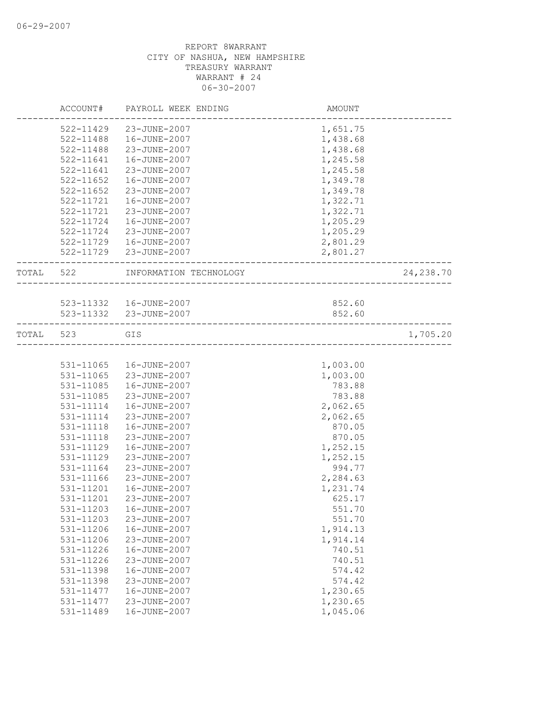|           | ACCOUNT#      | PAYROLL WEEK ENDING     | AMOUNT   |            |
|-----------|---------------|-------------------------|----------|------------|
|           | 522-11429     | 23-JUNE-2007            | 1,651.75 |            |
|           | 522-11488     | 16-JUNE-2007            | 1,438.68 |            |
|           | 522-11488     | 23-JUNE-2007            | 1,438.68 |            |
|           | 522-11641     | 16-JUNE-2007            | 1,245.58 |            |
|           | 522-11641     | 23-JUNE-2007            | 1,245.58 |            |
|           | 522-11652     | 16-JUNE-2007            | 1,349.78 |            |
|           | $522 - 11652$ | 23-JUNE-2007            | 1,349.78 |            |
|           | 522-11721     | 16-JUNE-2007            | 1,322.71 |            |
|           | 522-11721     | 23-JUNE-2007            | 1,322.71 |            |
|           | 522-11724     | 16-JUNE-2007            | 1,205.29 |            |
|           | 522-11724     | 23-JUNE-2007            | 1,205.29 |            |
|           | 522-11729     | 16-JUNE-2007            | 2,801.29 |            |
|           |               | 522-11729 23-JUNE-2007  | 2,801.27 |            |
| TOTAL 522 |               | INFORMATION TECHNOLOGY  |          | 24, 238.70 |
|           |               |                         |          |            |
|           |               | 523-11332  16-JUNE-2007 | 852.60   |            |
|           |               | 523-11332 23-JUNE-2007  | 852.60   |            |
| TOTAL     | 523           | GIS                     |          | 1,705.20   |
|           |               |                         |          |            |
|           | 531-11065     | 16-JUNE-2007            | 1,003.00 |            |
|           | 531-11065     | 23-JUNE-2007            | 1,003.00 |            |
|           | 531-11085     | 16-JUNE-2007            | 783.88   |            |
|           | 531-11085     | 23-JUNE-2007            | 783.88   |            |
|           | 531-11114     | 16-JUNE-2007            | 2,062.65 |            |
|           | 531-11114     | 23-JUNE-2007            | 2,062.65 |            |
|           | 531-11118     | 16-JUNE-2007            | 870.05   |            |
|           | 531-11118     | 23-JUNE-2007            | 870.05   |            |
|           | 531-11129     | 16-JUNE-2007            | 1,252.15 |            |
|           | 531-11129     | 23-JUNE-2007            | 1,252.15 |            |
|           | 531-11164     | 23-JUNE-2007            | 994.77   |            |
|           | 531-11166     | 23-JUNE-2007            | 2,284.63 |            |
|           | 531-11201     | 16-JUNE-2007            | 1,231.74 |            |
|           | 531-11201     | 23-JUNE-2007            | 625.17   |            |
|           | 531-11203     | 16-JUNE-2007            | 551.70   |            |
|           | 531-11203     | 23-JUNE-2007            | 551.70   |            |
|           | 531-11206     | 16-JUNE-2007            | 1,914.13 |            |
|           | 531-11206     | 23-JUNE-2007            | 1,914.14 |            |
|           | 531-11226     | 16-JUNE-2007            | 740.51   |            |
|           | 531-11226     | 23-JUNE-2007            | 740.51   |            |
|           | 531-11398     | 16-JUNE-2007            | 574.42   |            |
|           | 531-11398     | 23-JUNE-2007            | 574.42   |            |
|           | 531-11477     | 16-JUNE-2007            | 1,230.65 |            |
|           | 531-11477     | 23-JUNE-2007            | 1,230.65 |            |
|           | 531-11489     | 16-JUNE-2007            | 1,045.06 |            |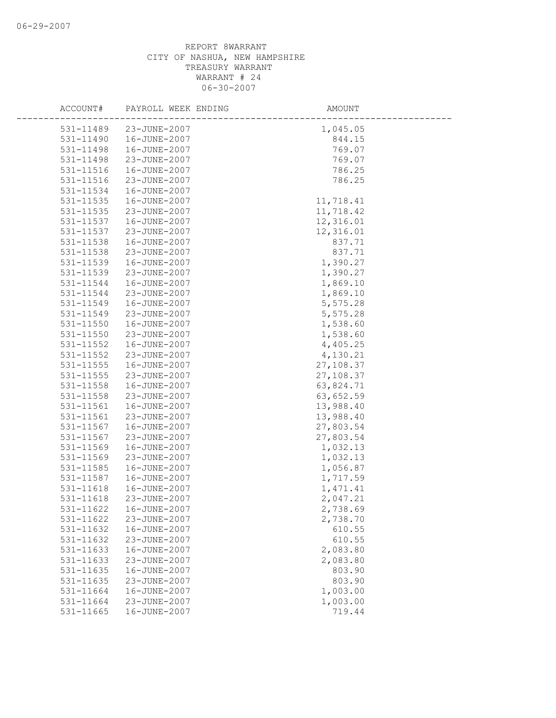| ACCOUNT#      | PAYROLL WEEK ENDING | AMOUNT    |
|---------------|---------------------|-----------|
| 531-11489     | 23-JUNE-2007        | 1,045.05  |
| 531-11490     | 16-JUNE-2007        | 844.15    |
| 531-11498     | 16-JUNE-2007        | 769.07    |
| 531-11498     | 23-JUNE-2007        | 769.07    |
| 531-11516     | 16-JUNE-2007        | 786.25    |
| 531-11516     | 23-JUNE-2007        | 786.25    |
| 531-11534     | 16-JUNE-2007        |           |
| 531-11535     | 16-JUNE-2007        | 11,718.41 |
| 531-11535     | 23-JUNE-2007        | 11,718.42 |
| 531-11537     | 16-JUNE-2007        | 12,316.01 |
| 531-11537     | 23-JUNE-2007        | 12,316.01 |
| 531-11538     | 16-JUNE-2007        | 837.71    |
| 531-11538     | 23-JUNE-2007        | 837.71    |
| 531-11539     | 16-JUNE-2007        | 1,390.27  |
| 531-11539     | 23-JUNE-2007        | 1,390.27  |
| 531-11544     | 16-JUNE-2007        | 1,869.10  |
| 531-11544     | 23-JUNE-2007        | 1,869.10  |
| 531-11549     | 16-JUNE-2007        | 5,575.28  |
| 531-11549     | 23-JUNE-2007        | 5,575.28  |
| $531 - 11550$ | 16-JUNE-2007        | 1,538.60  |
| 531-11550     | 23-JUNE-2007        | 1,538.60  |
| 531-11552     | 16-JUNE-2007        | 4,405.25  |
| 531-11552     | 23-JUNE-2007        | 4,130.21  |
| 531-11555     | 16-JUNE-2007        | 27,108.37 |
| 531-11555     | 23-JUNE-2007        | 27,108.37 |
| 531-11558     | 16-JUNE-2007        | 63,824.71 |
| 531-11558     | 23-JUNE-2007        | 63,652.59 |
| 531-11561     | 16-JUNE-2007        | 13,988.40 |
| 531-11561     | 23-JUNE-2007        | 13,988.40 |
| 531-11567     | 16-JUNE-2007        | 27,803.54 |
| 531-11567     | 23-JUNE-2007        | 27,803.54 |
| 531-11569     | 16-JUNE-2007        | 1,032.13  |
| 531-11569     | 23-JUNE-2007        | 1,032.13  |
| 531-11585     | 16-JUNE-2007        | 1,056.87  |
| 531-11587     | 16-JUNE-2007        | 1,717.59  |
| 531-11618     | 16-JUNE-2007        | 1,471.41  |
| 531-11618     | 23-JUNE-2007        | 2,047.21  |
| 531-11622     | 16-JUNE-2007        | 2,738.69  |
| 531-11622     | 23-JUNE-2007        | 2,738.70  |
| 531-11632     | 16-JUNE-2007        | 610.55    |
| 531-11632     | 23-JUNE-2007        | 610.55    |
| 531-11633     | 16-JUNE-2007        | 2,083.80  |
| 531-11633     | 23-JUNE-2007        | 2,083.80  |
| 531-11635     | 16-JUNE-2007        | 803.90    |
| 531-11635     | 23-JUNE-2007        | 803.90    |
| 531-11664     | 16-JUNE-2007        | 1,003.00  |
| 531-11664     | 23-JUNE-2007        | 1,003.00  |
| 531-11665     | 16-JUNE-2007        | 719.44    |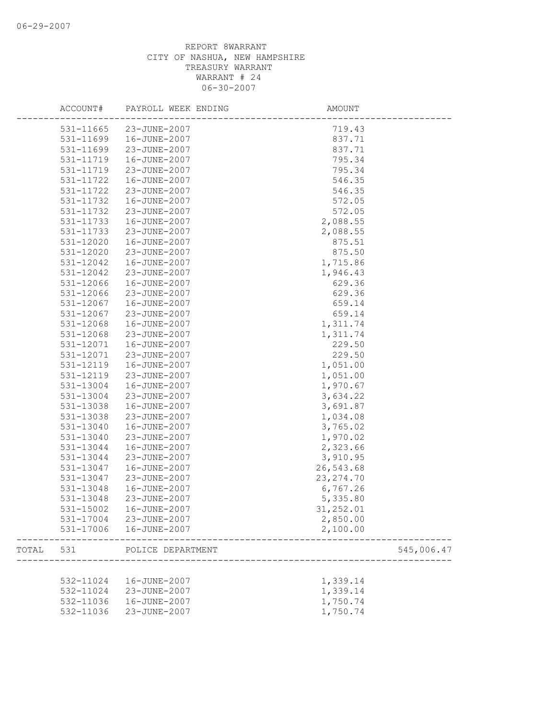|       | ACCOUNT#  | PAYROLL WEEK ENDING | AMOUNT     |            |
|-------|-----------|---------------------|------------|------------|
|       | 531-11665 | 23-JUNE-2007        | 719.43     |            |
|       | 531-11699 | 16-JUNE-2007        | 837.71     |            |
|       | 531-11699 | 23-JUNE-2007        | 837.71     |            |
|       | 531-11719 | 16-JUNE-2007        | 795.34     |            |
|       | 531-11719 | 23-JUNE-2007        | 795.34     |            |
|       | 531-11722 | 16-JUNE-2007        | 546.35     |            |
|       | 531-11722 | 23-JUNE-2007        | 546.35     |            |
|       | 531-11732 | 16-JUNE-2007        | 572.05     |            |
|       | 531-11732 | 23-JUNE-2007        | 572.05     |            |
|       | 531-11733 | 16-JUNE-2007        | 2,088.55   |            |
|       | 531-11733 | 23-JUNE-2007        | 2,088.55   |            |
|       | 531-12020 | 16-JUNE-2007        | 875.51     |            |
|       | 531-12020 | 23-JUNE-2007        | 875.50     |            |
|       | 531-12042 | 16-JUNE-2007        | 1,715.86   |            |
|       | 531-12042 | 23-JUNE-2007        | 1,946.43   |            |
|       | 531-12066 | 16-JUNE-2007        | 629.36     |            |
|       | 531-12066 | 23-JUNE-2007        | 629.36     |            |
|       | 531-12067 | 16-JUNE-2007        | 659.14     |            |
|       | 531-12067 | 23-JUNE-2007        | 659.14     |            |
|       | 531-12068 | 16-JUNE-2007        | 1,311.74   |            |
|       | 531-12068 | 23-JUNE-2007        | 1,311.74   |            |
|       | 531-12071 | 16-JUNE-2007        | 229.50     |            |
|       | 531-12071 | 23-JUNE-2007        | 229.50     |            |
|       | 531-12119 | 16-JUNE-2007        | 1,051.00   |            |
|       | 531-12119 | 23-JUNE-2007        | 1,051.00   |            |
|       | 531-13004 | 16-JUNE-2007        | 1,970.67   |            |
|       | 531-13004 | 23-JUNE-2007        | 3,634.22   |            |
|       | 531-13038 | 16-JUNE-2007        | 3,691.87   |            |
|       | 531-13038 | 23-JUNE-2007        | 1,034.08   |            |
|       | 531-13040 | 16-JUNE-2007        | 3,765.02   |            |
|       | 531-13040 | 23-JUNE-2007        | 1,970.02   |            |
|       | 531-13044 | 16-JUNE-2007        | 2,323.66   |            |
|       | 531-13044 | 23-JUNE-2007        | 3,910.95   |            |
|       | 531-13047 | 16-JUNE-2007        | 26,543.68  |            |
|       | 531-13047 | 23-JUNE-2007        | 23, 274.70 |            |
|       | 531-13048 | 16-JUNE-2007        | 6,767.26   |            |
|       | 531-13048 | 23-JUNE-2007        | 5,335.80   |            |
|       | 531-15002 | 16-JUNE-2007        | 31,252.01  |            |
|       | 531-17004 | 23-JUNE-2007        | 2,850.00   |            |
|       | 531-17006 | 16-JUNE-2007        | 2,100.00   |            |
| TOTAL | 531       | POLICE DEPARTMENT   |            | 545,006.47 |
|       |           |                     |            |            |
|       | 532-11024 | 16-JUNE-2007        | 1,339.14   |            |
|       | 532-11024 | 23-JUNE-2007        | 1,339.14   |            |
|       | 532-11036 | 16-JUNE-2007        | 1,750.74   |            |
|       | 532-11036 | 23-JUNE-2007        | 1,750.74   |            |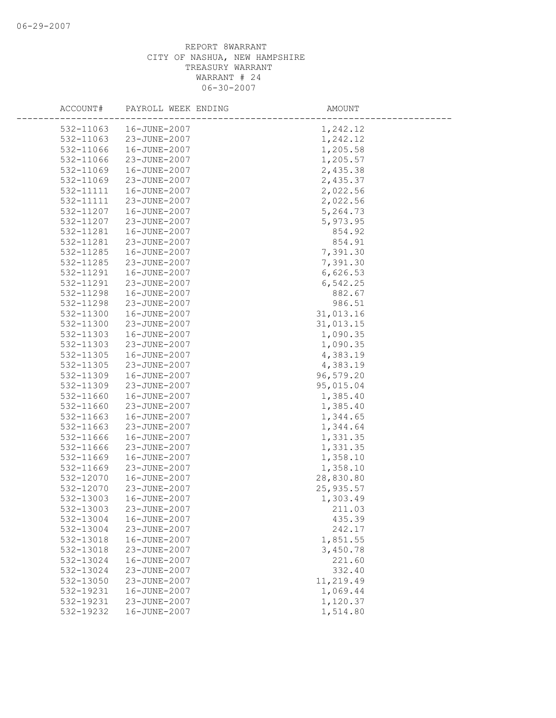| ACCOUNT#  | PAYROLL WEEK ENDING | AMOUNT                |
|-----------|---------------------|-----------------------|
| 532-11063 | 16-JUNE-2007        | 1,242.12              |
| 532-11063 | 23-JUNE-2007        | 1,242.12              |
| 532-11066 | 16-JUNE-2007        | 1,205.58              |
| 532-11066 | 23-JUNE-2007        | 1,205.57              |
| 532-11069 | 16-JUNE-2007        | 2,435.38              |
| 532-11069 | 23-JUNE-2007        | 2,435.37              |
| 532-11111 | 16-JUNE-2007        | 2,022.56              |
| 532-11111 | 23-JUNE-2007        | 2,022.56              |
| 532-11207 | 16-JUNE-2007        | 5,264.73              |
| 532-11207 | 23-JUNE-2007        | 5,973.95              |
| 532-11281 | 16-JUNE-2007        | 854.92                |
| 532-11281 | 23-JUNE-2007        | 854.91                |
| 532-11285 | 16-JUNE-2007        | 7,391.30              |
| 532-11285 | 23-JUNE-2007        | 7,391.30              |
| 532-11291 | 16-JUNE-2007        | 6,626.53              |
| 532-11291 | 23-JUNE-2007        | 6,542.25              |
| 532-11298 | 16-JUNE-2007        | 882.67                |
| 532-11298 | 23-JUNE-2007        | 986.51                |
| 532-11300 | 16-JUNE-2007        | 31,013.16             |
| 532-11300 | 23-JUNE-2007        |                       |
| 532-11303 | 16-JUNE-2007        | 31,013.15<br>1,090.35 |
| 532-11303 | 23-JUNE-2007        | 1,090.35              |
| 532-11305 | 16-JUNE-2007        | 4,383.19              |
| 532-11305 | 23-JUNE-2007        | 4,383.19              |
| 532-11309 | 16-JUNE-2007        | 96,579.20             |
| 532-11309 | 23-JUNE-2007        | 95,015.04             |
| 532-11660 | 16-JUNE-2007        | 1,385.40              |
| 532-11660 | 23-JUNE-2007        | 1,385.40              |
| 532-11663 | 16-JUNE-2007        | 1,344.65              |
| 532-11663 | 23-JUNE-2007        | 1,344.64              |
| 532-11666 | 16-JUNE-2007        | 1,331.35              |
| 532-11666 | 23-JUNE-2007        | 1,331.35              |
| 532-11669 | 16-JUNE-2007        | 1,358.10              |
| 532-11669 | 23-JUNE-2007        | 1,358.10              |
| 532-12070 | 16-JUNE-2007        | 28,830.80             |
| 532-12070 | 23-JUNE-2007        | 25, 935.57            |
| 532-13003 | 16-JUNE-2007        | 1,303.49              |
| 532-13003 | 23-JUNE-2007        | 211.03                |
| 532-13004 | 16-JUNE-2007        | 435.39                |
| 532-13004 | 23-JUNE-2007        | 242.17                |
| 532-13018 | 16-JUNE-2007        | 1,851.55              |
| 532-13018 | 23-JUNE-2007        | 3,450.78              |
| 532-13024 | 16-JUNE-2007        | 221.60                |
| 532-13024 | 23-JUNE-2007        | 332.40                |
| 532-13050 | 23-JUNE-2007        |                       |
| 532-19231 | 16-JUNE-2007        | 11,219.49             |
|           | 23-JUNE-2007        | 1,069.44              |
| 532-19231 | 16-JUNE-2007        | 1,120.37              |
| 532-19232 |                     | 1,514.80              |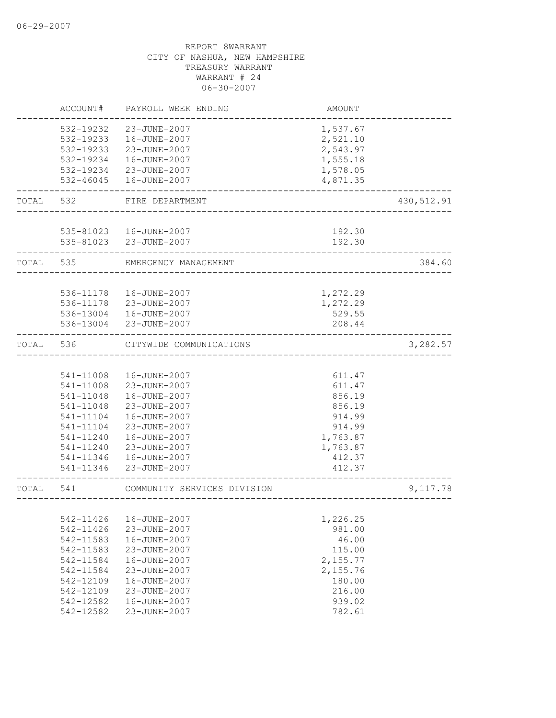|       | ACCOUNT#  | PAYROLL WEEK ENDING         | <b>AMOUNT</b> |             |
|-------|-----------|-----------------------------|---------------|-------------|
|       | 532-19232 | 23-JUNE-2007                | 1,537.67      |             |
|       | 532-19233 | 16-JUNE-2007                | 2,521.10      |             |
|       | 532-19233 | 23-JUNE-2007                | 2,543.97      |             |
|       | 532-19234 | 16-JUNE-2007                | 1,555.18      |             |
|       | 532-19234 | 23-JUNE-2007                | 1,578.05      |             |
|       | 532-46045 | 16-JUNE-2007                | 4,871.35      |             |
| TOTAL | 532       | FIRE DEPARTMENT             |               | 430, 512.91 |
|       |           |                             |               |             |
|       |           | 535-81023  16-JUNE-2007     | 192.30        |             |
|       |           | 535-81023 23-JUNE-2007      | 192.30        |             |
| TOTAL | 535       | EMERGENCY MANAGEMENT        |               | 384.60      |
|       |           |                             |               |             |
|       | 536-11178 | 16-JUNE-2007                | 1,272.29      |             |
|       | 536-11178 | 23-JUNE-2007                | 1,272.29      |             |
|       |           | 536-13004  16-JUNE-2007     | 529.55        |             |
|       | 536-13004 | 23-JUNE-2007                | 208.44        |             |
| TOTAL | 536       | CITYWIDE COMMUNICATIONS     |               | 3,282.57    |
|       |           |                             |               |             |
|       | 541-11008 | 16-JUNE-2007                | 611.47        |             |
|       | 541-11008 | 23-JUNE-2007                | 611.47        |             |
|       | 541-11048 | 16-JUNE-2007                | 856.19        |             |
|       | 541-11048 | 23-JUNE-2007                | 856.19        |             |
|       | 541-11104 | 16-JUNE-2007                | 914.99        |             |
|       | 541-11104 | 23-JUNE-2007                | 914.99        |             |
|       | 541-11240 | 16-JUNE-2007                | 1,763.87      |             |
|       | 541-11240 | 23-JUNE-2007                | 1,763.87      |             |
|       | 541-11346 | 16-JUNE-2007                | 412.37        |             |
|       | 541-11346 | 23-JUNE-2007                | 412.37        |             |
| TOTAL | 541       | COMMUNITY SERVICES DIVISION |               | 9,117.78    |
|       |           |                             |               |             |
|       | 542-11426 | 16-JUNE-2007                | 1,226.25      |             |
|       | 542-11426 | 23-JUNE-2007                | 981.00        |             |
|       | 542-11583 | 16-JUNE-2007                | 46.00         |             |
|       | 542-11583 | 23-JUNE-2007                | 115.00        |             |
|       | 542-11584 | 16-JUNE-2007                | 2,155.77      |             |
|       | 542-11584 | 23-JUNE-2007                | 2,155.76      |             |
|       | 542-12109 | 16-JUNE-2007                | 180.00        |             |
|       | 542-12109 | 23-JUNE-2007                | 216.00        |             |
|       | 542-12582 | 16-JUNE-2007                | 939.02        |             |
|       | 542-12582 | 23-JUNE-2007                | 782.61        |             |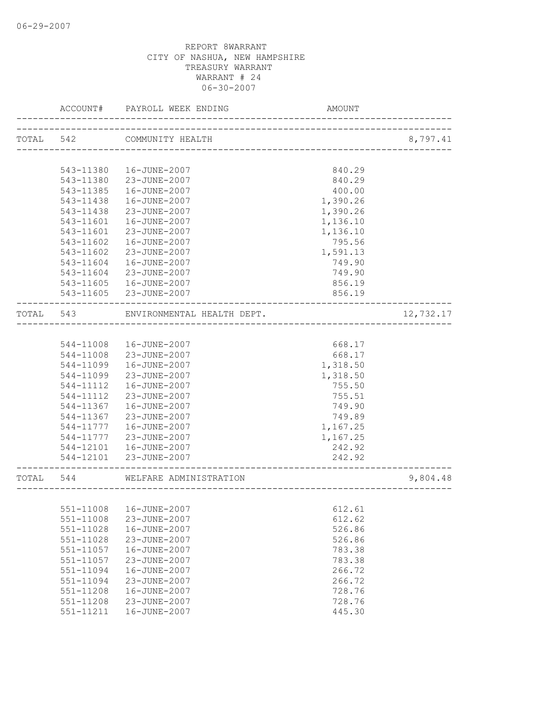|           | ACCOUNT#      | PAYROLL WEEK ENDING                             | AMOUNT   |           |
|-----------|---------------|-------------------------------------------------|----------|-----------|
| TOTAL 542 |               | COMMUNITY HEALTH<br>___________________________ |          | 8,797.41  |
|           |               |                                                 |          |           |
|           | 543-11380     | 16-JUNE-2007                                    | 840.29   |           |
|           | 543-11380     | 23-JUNE-2007                                    | 840.29   |           |
|           | 543-11385     | 16-JUNE-2007                                    | 400.00   |           |
|           | 543-11438     | 16-JUNE-2007                                    | 1,390.26 |           |
|           | 543-11438     | 23-JUNE-2007                                    | 1,390.26 |           |
|           | 543-11601     | 16-JUNE-2007                                    | 1,136.10 |           |
|           | 543-11601     | 23-JUNE-2007                                    | 1,136.10 |           |
|           | 543-11602     | 16-JUNE-2007                                    | 795.56   |           |
|           | 543-11602     | 23-JUNE-2007                                    | 1,591.13 |           |
|           | 543-11604     | 16-JUNE-2007                                    | 749.90   |           |
|           | 543-11604     | 23-JUNE-2007                                    | 749.90   |           |
|           | 543-11605     | 16-JUNE-2007                                    | 856.19   |           |
|           |               | 543-11605 23-JUNE-2007                          | 856.19   |           |
| TOTAL     | 543           | ENVIRONMENTAL HEALTH DEPT.                      |          | 12,732.17 |
|           |               |                                                 |          |           |
|           | 544-11008     | 16-JUNE-2007                                    | 668.17   |           |
|           | 544-11008     | 23-JUNE-2007                                    | 668.17   |           |
|           | 544-11099     | 16-JUNE-2007                                    | 1,318.50 |           |
|           | 544-11099     | 23-JUNE-2007                                    | 1,318.50 |           |
|           | 544-11112     | 16-JUNE-2007                                    | 755.50   |           |
|           | 544-11112     | 23-JUNE-2007                                    | 755.51   |           |
|           | 544-11367     | 16-JUNE-2007                                    | 749.90   |           |
|           | 544-11367     | 23-JUNE-2007                                    | 749.89   |           |
|           | 544-11777     | 16-JUNE-2007                                    | 1,167.25 |           |
|           | 544-11777     | 23-JUNE-2007                                    | 1,167.25 |           |
|           | 544-12101     | 16-JUNE-2007                                    | 242.92   |           |
|           |               | 544-12101 23-JUNE-2007                          | 242.92   |           |
| TOTAL     | 544           | WELFARE ADMINISTRATION                          |          | 9,804.48  |
|           |               |                                                 |          |           |
|           |               | 551-11008  16-JUNE-2007                         | 612.61   |           |
|           | 551-11008     | 23-JUNE-2007                                    | 612.62   |           |
|           | $551 - 11028$ | 16-JUNE-2007                                    | 526.86   |           |
|           | 551-11028     | 23-JUNE-2007                                    | 526.86   |           |
|           | $551 - 11057$ | 16-JUNE-2007                                    | 783.38   |           |
|           | $551 - 11057$ | 23-JUNE-2007                                    | 783.38   |           |
|           | 551-11094     | 16-JUNE-2007                                    | 266.72   |           |
|           | 551-11094     | 23-JUNE-2007                                    | 266.72   |           |
|           | 551-11208     | 16-JUNE-2007                                    | 728.76   |           |
|           | $551 - 11208$ | 23-JUNE-2007                                    | 728.76   |           |
|           | 551-11211     | 16-JUNE-2007                                    | 445.30   |           |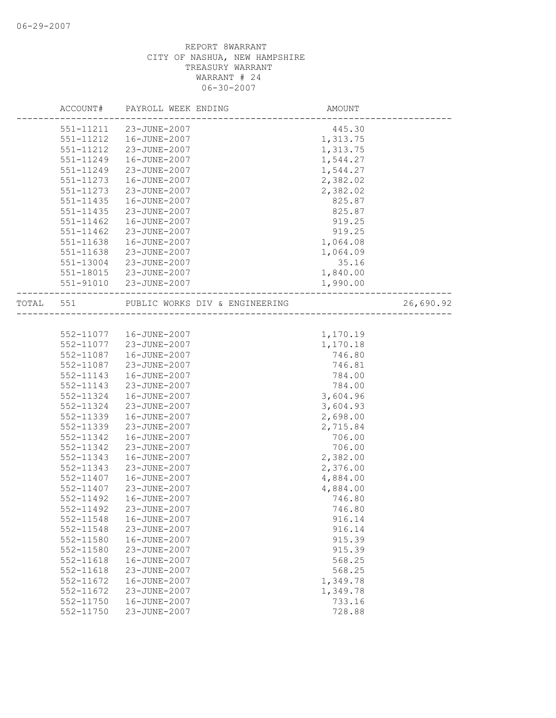|       | ACCOUNT#  | PAYROLL WEEK ENDING            | AMOUNT   |           |
|-------|-----------|--------------------------------|----------|-----------|
|       | 551-11211 | 23-JUNE-2007                   | 445.30   |           |
|       | 551-11212 | 16-JUNE-2007                   | 1,313.75 |           |
|       | 551-11212 | 23-JUNE-2007                   | 1,313.75 |           |
|       | 551-11249 | 16-JUNE-2007                   | 1,544.27 |           |
|       | 551-11249 | 23-JUNE-2007                   | 1,544.27 |           |
|       | 551-11273 | 16-JUNE-2007                   | 2,382.02 |           |
|       | 551-11273 | 23-JUNE-2007                   | 2,382.02 |           |
|       | 551-11435 | 16-JUNE-2007                   | 825.87   |           |
|       | 551-11435 | 23-JUNE-2007                   | 825.87   |           |
|       | 551-11462 | 16-JUNE-2007                   | 919.25   |           |
|       | 551-11462 | 23-JUNE-2007                   | 919.25   |           |
|       | 551-11638 | 16-JUNE-2007                   | 1,064.08 |           |
|       | 551-11638 | 23-JUNE-2007                   | 1,064.09 |           |
|       | 551-13004 | 23-JUNE-2007                   | 35.16    |           |
|       | 551-18015 | 23-JUNE-2007                   | 1,840.00 |           |
|       | 551-91010 | 23-JUNE-2007                   | 1,990.00 |           |
|       |           |                                |          |           |
| TOTAL | 551       | PUBLIC WORKS DIV & ENGINEERING |          | 26,690.92 |
|       |           |                                |          |           |
|       | 552-11077 | 16-JUNE-2007                   | 1,170.19 |           |
|       | 552-11077 | 23-JUNE-2007                   | 1,170.18 |           |
|       | 552-11087 | 16-JUNE-2007                   | 746.80   |           |
|       | 552-11087 | 23-JUNE-2007                   | 746.81   |           |
|       | 552-11143 | 16-JUNE-2007                   | 784.00   |           |
|       | 552-11143 | 23-JUNE-2007                   | 784.00   |           |
|       | 552-11324 | 16-JUNE-2007                   | 3,604.96 |           |
|       | 552-11324 | 23-JUNE-2007                   | 3,604.93 |           |
|       | 552-11339 | 16-JUNE-2007                   | 2,698.00 |           |
|       | 552-11339 | 23-JUNE-2007                   | 2,715.84 |           |
|       | 552-11342 | 16-JUNE-2007                   | 706.00   |           |
|       | 552-11342 | 23-JUNE-2007                   | 706.00   |           |
|       | 552-11343 | 16-JUNE-2007                   | 2,382.00 |           |
|       | 552-11343 | 23-JUNE-2007                   | 2,376.00 |           |
|       | 552-11407 | 16-JUNE-2007                   | 4,884.00 |           |
|       | 552-11407 | 23-JUNE-2007                   | 4,884.00 |           |
|       | 552-11492 | 16-JUNE-2007                   | 746.80   |           |
|       | 552-11492 | 23-JUNE-2007                   | 746.80   |           |
|       | 552-11548 | 16-JUNE-2007                   | 916.14   |           |
|       | 552-11548 | 23-JUNE-2007                   | 916.14   |           |
|       | 552-11580 | 16-JUNE-2007                   | 915.39   |           |
|       | 552-11580 | 23-JUNE-2007                   | 915.39   |           |
|       | 552-11618 | 16-JUNE-2007                   | 568.25   |           |
|       | 552-11618 | 23-JUNE-2007                   | 568.25   |           |
|       | 552-11672 | 16-JUNE-2007                   | 1,349.78 |           |
|       | 552-11672 | 23-JUNE-2007                   | 1,349.78 |           |
|       | 552-11750 | 16-JUNE-2007                   | 733.16   |           |
|       | 552-11750 | 23-JUNE-2007                   | 728.88   |           |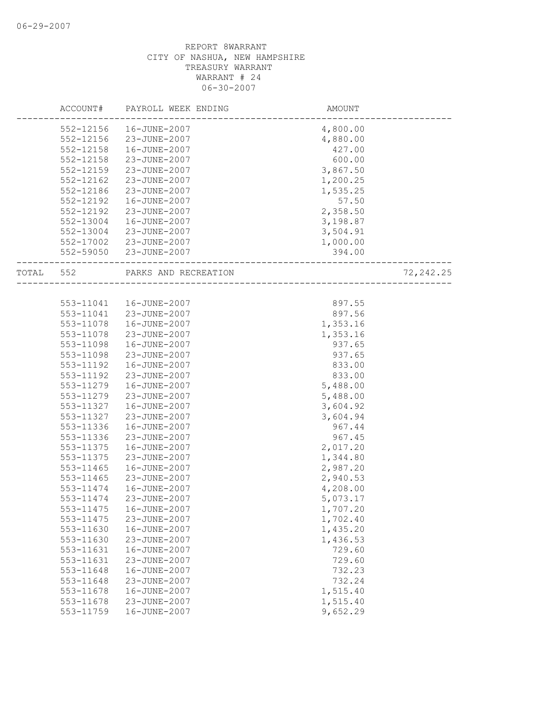|       | ACCOUNT#  | PAYROLL WEEK ENDING  | <b>AMOUNT</b> |            |
|-------|-----------|----------------------|---------------|------------|
|       | 552-12156 | 16-JUNE-2007         | 4,800.00      |            |
|       | 552-12156 | 23-JUNE-2007         | 4,880.00      |            |
|       | 552-12158 | 16-JUNE-2007         | 427.00        |            |
|       | 552-12158 | 23-JUNE-2007         | 600.00        |            |
|       | 552-12159 | 23-JUNE-2007         | 3,867.50      |            |
|       | 552-12162 | 23-JUNE-2007         | 1,200.25      |            |
|       | 552-12186 | 23-JUNE-2007         | 1,535.25      |            |
|       | 552-12192 | 16-JUNE-2007         | 57.50         |            |
|       | 552-12192 | 23-JUNE-2007         | 2,358.50      |            |
|       | 552-13004 | 16-JUNE-2007         | 3,198.87      |            |
|       | 552-13004 | 23-JUNE-2007         | 3,504.91      |            |
|       | 552-17002 | 23-JUNE-2007         | 1,000.00      |            |
|       | 552-59050 | 23-JUNE-2007         | 394.00        |            |
| TOTAL | 552       | PARKS AND RECREATION |               | 72, 242.25 |
|       |           |                      |               |            |
|       | 553-11041 | 16-JUNE-2007         | 897.55        |            |
|       | 553-11041 | 23-JUNE-2007         | 897.56        |            |
|       | 553-11078 | 16-JUNE-2007         | 1,353.16      |            |
|       | 553-11078 | 23-JUNE-2007         | 1,353.16      |            |
|       | 553-11098 | 16-JUNE-2007         | 937.65        |            |
|       | 553-11098 | 23-JUNE-2007         | 937.65        |            |
|       | 553-11192 | 16-JUNE-2007         | 833.00        |            |
|       | 553-11192 | 23-JUNE-2007         | 833.00        |            |
|       | 553-11279 | 16-JUNE-2007         | 5,488.00      |            |
|       | 553-11279 | 23-JUNE-2007         | 5,488.00      |            |
|       | 553-11327 | 16-JUNE-2007         | 3,604.92      |            |
|       | 553-11327 | 23-JUNE-2007         | 3,604.94      |            |
|       | 553-11336 | 16-JUNE-2007         | 967.44        |            |
|       | 553-11336 | 23-JUNE-2007         | 967.45        |            |
|       | 553-11375 | 16-JUNE-2007         | 2,017.20      |            |
|       | 553-11375 | 23-JUNE-2007         | 1,344.80      |            |
|       | 553-11465 | 16-JUNE-2007         | 2,987.20      |            |
|       | 553-11465 | 23-JUNE-2007         | 2,940.53      |            |
|       | 553-11474 | 16-JUNE-2007         | 4,208.00      |            |
|       | 553-11474 | 23-JUNE-2007         | 5,073.17      |            |
|       | 553-11475 | 16-JUNE-2007         | 1,707.20      |            |
|       | 553-11475 | 23-JUNE-2007         | 1,702.40      |            |
|       | 553-11630 | 16-JUNE-2007         | 1,435.20      |            |
|       | 553-11630 | 23-JUNE-2007         | 1,436.53      |            |
|       | 553-11631 | 16-JUNE-2007         | 729.60        |            |
|       | 553-11631 | 23-JUNE-2007         | 729.60        |            |
|       | 553-11648 | 16-JUNE-2007         | 732.23        |            |
|       | 553-11648 | 23-JUNE-2007         | 732.24        |            |
|       | 553-11678 | 16-JUNE-2007         | 1,515.40      |            |
|       | 553-11678 | 23-JUNE-2007         | 1,515.40      |            |
|       | 553-11759 | 16-JUNE-2007         | 9,652.29      |            |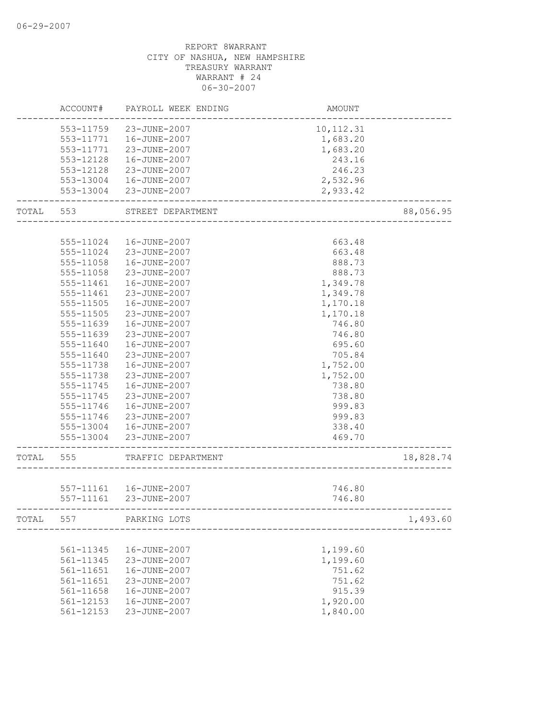|       | ACCOUNT#      | PAYROLL WEEK ENDING     | AMOUNT      |           |
|-------|---------------|-------------------------|-------------|-----------|
|       | 553-11759     | 23-JUNE-2007            | 10, 112. 31 |           |
|       | 553-11771     | 16-JUNE-2007            | 1,683.20    |           |
|       | 553-11771     | 23-JUNE-2007            | 1,683.20    |           |
|       | 553-12128     | 16-JUNE-2007            | 243.16      |           |
|       | 553-12128     | 23-JUNE-2007            | 246.23      |           |
|       | 553-13004     | 16-JUNE-2007            | 2,532.96    |           |
|       | 553-13004     | 23-JUNE-2007            | 2,933.42    |           |
| TOTAL | 553           | STREET DEPARTMENT       |             | 88,056.95 |
|       |               |                         |             |           |
|       | 555-11024     | 16-JUNE-2007            | 663.48      |           |
|       | 555-11024     | 23-JUNE-2007            | 663.48      |           |
|       | 555-11058     | 16-JUNE-2007            | 888.73      |           |
|       | 555-11058     | 23-JUNE-2007            | 888.73      |           |
|       | 555-11461     | 16-JUNE-2007            | 1,349.78    |           |
|       | 555-11461     | 23-JUNE-2007            | 1,349.78    |           |
|       | 555-11505     | 16-JUNE-2007            | 1,170.18    |           |
|       | 555-11505     | 23-JUNE-2007            | 1,170.18    |           |
|       | 555-11639     | 16-JUNE-2007            | 746.80      |           |
|       | 555-11639     | 23-JUNE-2007            | 746.80      |           |
|       | 555-11640     | 16-JUNE-2007            | 695.60      |           |
|       | 555-11640     | 23-JUNE-2007            | 705.84      |           |
|       | 555-11738     | 16-JUNE-2007            | 1,752.00    |           |
|       | 555-11738     | 23-JUNE-2007            | 1,752.00    |           |
|       | 555-11745     | 16-JUNE-2007            | 738.80      |           |
|       | 555-11745     | 23-JUNE-2007            | 738.80      |           |
|       | 555-11746     | 16-JUNE-2007            | 999.83      |           |
|       | 555-11746     | 23-JUNE-2007            | 999.83      |           |
|       | 555-13004     | 16-JUNE-2007            | 338.40      |           |
|       | 555-13004     | 23-JUNE-2007            | 469.70      |           |
| TOTAL | 555           | TRAFFIC DEPARTMENT      |             | 18,828.74 |
|       |               |                         |             |           |
|       |               | 557-11161  16-JUNE-2007 | 746.80      |           |
|       | $557 - 11161$ | 23-JUNE-2007            | 746.80      |           |
| TOTAL | 557           | PARKING LOTS            |             | 1,493.60  |
|       |               |                         |             |           |
|       | 561-11345     | 16-JUNE-2007            | 1,199.60    |           |
|       | 561-11345     | 23-JUNE-2007            | 1,199.60    |           |
|       | 561-11651     | 16-JUNE-2007            | 751.62      |           |
|       | 561-11651     | 23-JUNE-2007            | 751.62      |           |
|       | 561-11658     | 16-JUNE-2007            | 915.39      |           |
|       | 561-12153     | 16-JUNE-2007            | 1,920.00    |           |
|       | $561 - 12153$ | 23-JUNE-2007            | 1,840.00    |           |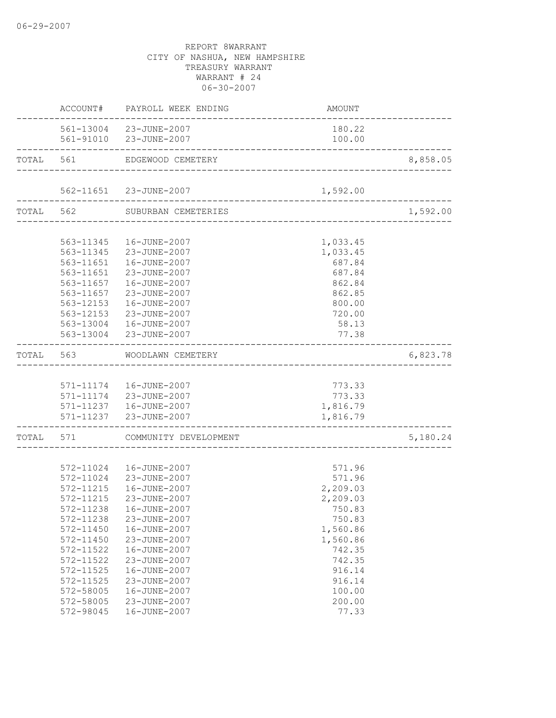|                   | ACCOUNT# PAYROLL WEEK ENDING                           | AMOUNT                        |          |
|-------------------|--------------------------------------------------------|-------------------------------|----------|
|                   | 561-13004 23-JUNE-2007                                 | 180.22                        |          |
|                   | 561-91010 23-JUNE-2007                                 | 100.00                        |          |
|                   | TOTAL 561 EDGEWOOD CEMETERY                            |                               | 8,858.05 |
|                   |                                                        |                               |          |
|                   | 562-11651 23-JUNE-2007<br>.<br>----------------------- | 1,592.00                      |          |
|                   | TOTAL 562 SUBURBAN CEMETERIES                          | ----------------------------- | 1,592.00 |
|                   |                                                        |                               |          |
|                   | 563-11345  16-JUNE-2007                                | 1,033.45                      |          |
|                   | 563-11345 23-JUNE-2007                                 | 1,033.45                      |          |
|                   | 563-11651  16-JUNE-2007                                | 687.84                        |          |
|                   | 563-11651 23-JUNE-2007                                 | 687.84                        |          |
|                   | 563-11657    16-JUNE-2007                              | 862.84                        |          |
| 563-11657         | 23-JUNE-2007                                           | 862.85                        |          |
| 563-12153         | 16-JUNE-2007                                           | 800.00                        |          |
| 563-12153         | 23-JUNE-2007                                           | 720.00                        |          |
|                   | 563-13004  16-JUNE-2007                                | 58.13                         |          |
|                   | 563-13004 23-JUNE-2007                                 | 77.38                         |          |
|                   | TOTAL 563 WOODLAWN CEMETERY                            |                               | 6,823.78 |
|                   |                                                        |                               |          |
|                   | 571-11174   16-JUNE-2007                               | 773.33                        |          |
|                   | 571-11174 23-JUNE-2007<br>571-11237 16-JUNE-2007       | 773.33                        |          |
|                   |                                                        | 1,816.79                      |          |
| _________________ | 571-11237 23-JUNE-2007                                 | 1,816.79                      |          |
|                   | TOTAL 571 COMMUNITY DEVELOPMENT                        |                               | 5,180.24 |
|                   |                                                        |                               |          |
|                   | 572-11024  16-JUNE-2007                                | 571.96                        |          |
|                   | 572-11024 23-JUNE-2007                                 | 571.96                        |          |
|                   | 572-11215  16-JUNE-2007                                | 2,209.03                      |          |
| 572-11215         | 23-JUNE-2007                                           | 2,209.03                      |          |
|                   | 572-11238  16-JUNE-2007                                | 750.83                        |          |
| 572-11238         | 23-JUNE-2007                                           | 750.83                        |          |
| 572-11450         | 16-JUNE-2007                                           | 1,560.86                      |          |
| 572-11450         | 23-JUNE-2007                                           | 1,560.86                      |          |
| 572-11522         | 16-JUNE-2007                                           | 742.35                        |          |
| 572-11522         | 23-JUNE-2007                                           | 742.35                        |          |
| 572-11525         | 16-JUNE-2007                                           | 916.14                        |          |
| 572-11525         | 23-JUNE-2007                                           | 916.14                        |          |
| 572-58005         | 16-JUNE-2007                                           | 100.00                        |          |
| 572-58005         | 23-JUNE-2007                                           | 200.00                        |          |
| 572-98045         | 16-JUNE-2007                                           | 77.33                         |          |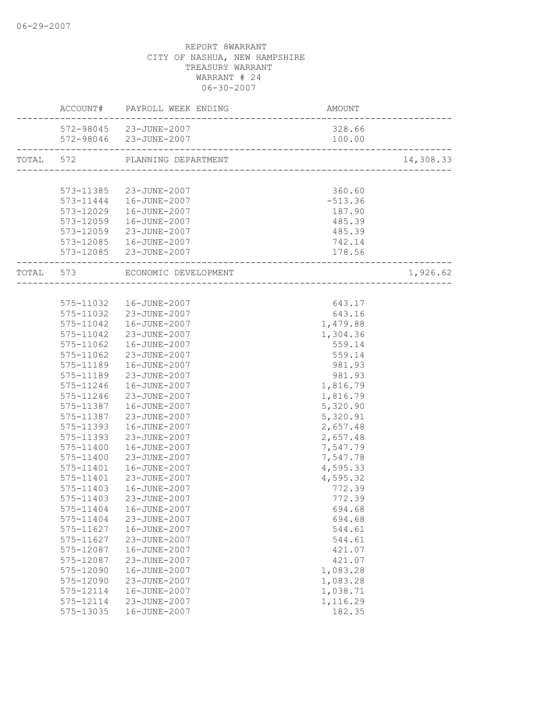|                    | ACCOUNT# PAYROLL WEEK ENDING                                     | AMOUNT                                      |           |
|--------------------|------------------------------------------------------------------|---------------------------------------------|-----------|
|                    | 572-98045 23-JUNE-2007                                           | 328.66                                      |           |
| ------------------ | 572-98046 23-JUNE-2007<br>-------------------------------------- | 100.00                                      |           |
|                    | TOTAL 572 PLANNING DEPARTMENT                                    | ______________________________________      | 14,308.33 |
|                    |                                                                  |                                             |           |
|                    | 573-11385 23-JUNE-2007                                           | 360.60                                      |           |
|                    | 573-11444   16-JUNE-2007                                         | $-513.36$                                   |           |
| 573-12029          | 16-JUNE-2007                                                     | 187.90                                      |           |
| 573-12059          | 16-JUNE-2007                                                     | 485.39                                      |           |
|                    | 573-12059 23-JUNE-2007                                           | 485.39                                      |           |
|                    | 573-12085  16-JUNE-2007                                          | 742.14                                      |           |
|                    | 573-12085 23-JUNE-2007                                           | 178.56<br>--------------------------------- |           |
|                    | TOTAL 573 ECONOMIC DEVELOPMENT                                   |                                             | 1,926.62  |
|                    |                                                                  |                                             |           |
|                    | 575-11032  16-JUNE-2007                                          | 643.17                                      |           |
|                    | 575-11032 23-JUNE-2007                                           | 643.16                                      |           |
|                    | 575-11042  16-JUNE-2007                                          | 1,479.88                                    |           |
|                    | 575-11042 23-JUNE-2007                                           | 1,304.36                                    |           |
|                    | 575-11062  16-JUNE-2007                                          | 559.14                                      |           |
|                    | 575-11062 23-JUNE-2007                                           | 559.14                                      |           |
|                    | 575-11189  16-JUNE-2007                                          | 981.93                                      |           |
| 575-11189          | 23-JUNE-2007                                                     | 981.93                                      |           |
| 575-11246          | 16-JUNE-2007                                                     | 1,816.79                                    |           |
| 575-11246          | 23-JUNE-2007                                                     | 1,816.79                                    |           |
| 575-11387          | 16-JUNE-2007                                                     | 5,320.90                                    |           |
| 575-11387          | 23-JUNE-2007                                                     | 5,320.91                                    |           |
| 575-11393          | 16-JUNE-2007                                                     | 2,657.48                                    |           |
| 575-11393          | 23-JUNE-2007                                                     | 2,657.48                                    |           |
| 575-11400          | 16-JUNE-2007                                                     | 7,547.79                                    |           |
| 575-11400          | 23-JUNE-2007                                                     | 7,547.78                                    |           |
| 575-11401          | 16-JUNE-2007                                                     | 4,595.33                                    |           |
| 575-11401          | 23-JUNE-2007                                                     | 4,595.32                                    |           |
| 575-11403          | 16-JUNE-2007                                                     | 772.39                                      |           |
| 575-11403          | 23-JUNE-2007                                                     | 772.39                                      |           |
|                    | 575-11404  16-JUNE-2007                                          | 694.68                                      |           |
| 575-11404          | 23-JUNE-2007                                                     | 694.68                                      |           |
| 575-11627          | 16-JUNE-2007                                                     | 544.61                                      |           |
| 575-11627          | 23-JUNE-2007                                                     | 544.61                                      |           |
| 575-12087          | 16-JUNE-2007                                                     | 421.07                                      |           |
| 575-12087          | 23-JUNE-2007                                                     | 421.07                                      |           |
| 575-12090          | 16-JUNE-2007                                                     | 1,083.28                                    |           |
| 575-12090          | 23-JUNE-2007                                                     | 1,083.28                                    |           |
| 575-12114          | 16-JUNE-2007                                                     | 1,038.71                                    |           |
| 575-12114          | 23-JUNE-2007                                                     | 1,116.29                                    |           |
| 575-13035          | 16-JUNE-2007                                                     | 182.35                                      |           |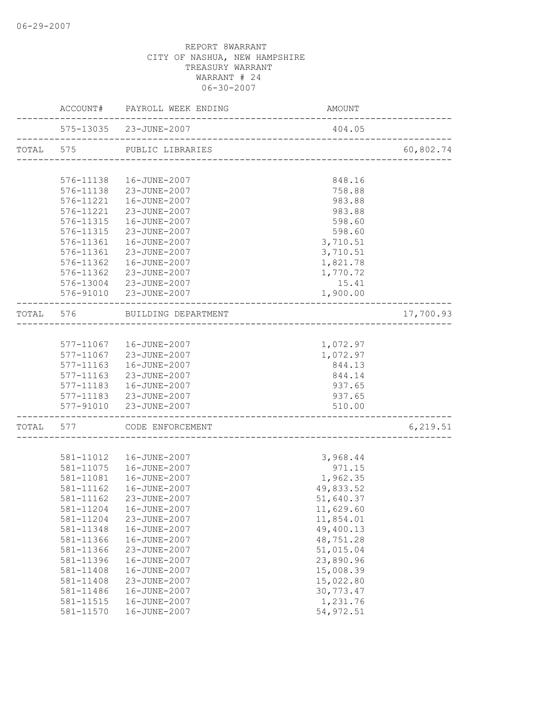|           |                               | ACCOUNT# PAYROLL WEEK ENDING            | AMOUNT                             |           |
|-----------|-------------------------------|-----------------------------------------|------------------------------------|-----------|
|           |                               | 575-13035 23-JUNE-2007                  | 404.05                             |           |
| TOTAL 575 |                               | PUBLIC LIBRARIES                        | ---------------------------------- | 60,802.74 |
|           |                               |                                         |                                    |           |
|           | 576-11138                     | 16-JUNE-2007                            | 848.16                             |           |
|           | 576-11138                     | 23-JUNE-2007                            | 758.88                             |           |
|           | 576-11221                     | 16-JUNE-2007                            | 983.88                             |           |
|           | 576-11221                     | 23-JUNE-2007                            | 983.88                             |           |
|           | 576-11315                     | 16-JUNE-2007                            | 598.60                             |           |
|           | 576-11315                     | 23-JUNE-2007                            | 598.60                             |           |
|           | 576-11361                     | 16-JUNE-2007                            | 3,710.51                           |           |
|           | 576-11361                     | 23-JUNE-2007                            | 3,710.51                           |           |
|           | 576-11362                     | 16-JUNE-2007                            | 1,821.78                           |           |
|           | 576-11362                     | 23-JUNE-2007                            | 1,770.72                           |           |
|           |                               | 576-13004 23-JUNE-2007                  | 15.41                              |           |
|           |                               | 576-91010 23-JUNE-2007                  | 1,900.00                           |           |
|           | TOTAL 576                     | BUILDING DEPARTMENT                     |                                    | 17,700.93 |
|           |                               |                                         |                                    |           |
|           |                               | 577-11067  16-JUNE-2007                 | 1,072.97                           |           |
|           |                               | 577-11067 23-JUNE-2007                  | 1,072.97                           |           |
|           | 577-11163                     | 16-JUNE-2007                            | 844.13                             |           |
|           | 577-11163                     | 23-JUNE-2007                            | 844.14                             |           |
|           | 577-11183                     | 16-JUNE-2007                            | 937.65                             |           |
|           | 577-11183                     | 23-JUNE-2007                            | 937.65                             |           |
|           | 577-91010<br>---------------- | 23-JUNE-2007                            | 510.00                             |           |
|           |                               | TOTAL 577 CODE ENFORCEMENT              | __________________________         | 6, 219.51 |
|           |                               |                                         |                                    |           |
|           | 581-11012                     | 16-JUNE-2007                            | 3,968.44                           |           |
|           | 581-11075                     | 16-JUNE-2007                            | 971.15                             |           |
|           | 581-11081                     | 16-JUNE-2007                            | 1,962.35                           |           |
|           | 581-11162                     | 16-JUNE-2007<br>23-JUNE-2007            | 49,833.52                          |           |
|           | 581-11162                     |                                         | 51,640.37                          |           |
|           |                               | 581-11204  16-JUNE-2007<br>23-JUNE-2007 | 11,629.60<br>11,854.01             |           |
|           | 581-11204<br>581-11348        | 16-JUNE-2007                            | 49,400.13                          |           |
|           | 581-11366                     | 16-JUNE-2007                            | 48,751.28                          |           |
|           | 581-11366                     | 23-JUNE-2007                            | 51,015.04                          |           |
|           | 581-11396                     | 16-JUNE-2007                            | 23,890.96                          |           |
|           | 581-11408                     | 16-JUNE-2007                            | 15,008.39                          |           |
|           | 581-11408                     | 23-JUNE-2007                            | 15,022.80                          |           |
|           | 581-11486                     | 16-JUNE-2007                            | 30,773.47                          |           |
|           | 581-11515                     | 16-JUNE-2007                            | 1,231.76                           |           |
|           | 581-11570                     | 16-JUNE-2007                            | 54, 972.51                         |           |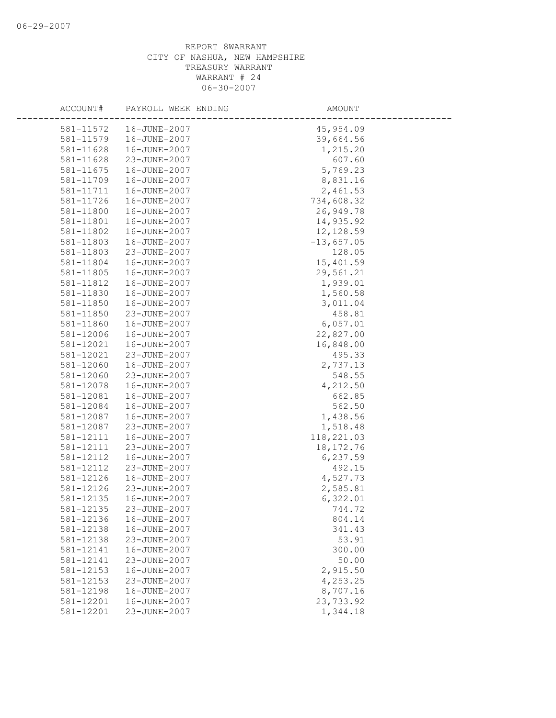| ACCOUNT#  | PAYROLL WEEK ENDING | AMOUNT       |  |
|-----------|---------------------|--------------|--|
| 581-11572 | 16-JUNE-2007        | 45,954.09    |  |
| 581-11579 | 16-JUNE-2007        | 39,664.56    |  |
| 581-11628 | 16-JUNE-2007        | 1,215.20     |  |
| 581-11628 | 23-JUNE-2007        | 607.60       |  |
| 581-11675 | 16-JUNE-2007        | 5,769.23     |  |
| 581-11709 | 16-JUNE-2007        | 8,831.16     |  |
| 581-11711 | 16-JUNE-2007        | 2,461.53     |  |
| 581-11726 | 16-JUNE-2007        | 734,608.32   |  |
| 581-11800 | 16-JUNE-2007        | 26,949.78    |  |
| 581-11801 | 16-JUNE-2007        | 14,935.92    |  |
| 581-11802 | 16-JUNE-2007        | 12,128.59    |  |
| 581-11803 | 16-JUNE-2007        | $-13,657.05$ |  |
| 581-11803 | 23-JUNE-2007        | 128.05       |  |
| 581-11804 | 16-JUNE-2007        | 15,401.59    |  |
| 581-11805 | 16-JUNE-2007        | 29,561.21    |  |
| 581-11812 | 16-JUNE-2007        | 1,939.01     |  |
| 581-11830 | 16-JUNE-2007        | 1,560.58     |  |
| 581-11850 | 16-JUNE-2007        | 3,011.04     |  |
| 581-11850 | 23-JUNE-2007        | 458.81       |  |
| 581-11860 | 16-JUNE-2007        | 6,057.01     |  |
| 581-12006 | 16-JUNE-2007        | 22,827.00    |  |
| 581-12021 | 16-JUNE-2007        | 16,848.00    |  |
| 581-12021 | 23-JUNE-2007        | 495.33       |  |
| 581-12060 | 16-JUNE-2007        | 2,737.13     |  |
| 581-12060 | 23-JUNE-2007        | 548.55       |  |
| 581-12078 | 16-JUNE-2007        | 4,212.50     |  |
| 581-12081 | 16-JUNE-2007        | 662.85       |  |
| 581-12084 | 16-JUNE-2007        | 562.50       |  |
| 581-12087 | 16-JUNE-2007        | 1,438.56     |  |
| 581-12087 | 23-JUNE-2007        | 1,518.48     |  |
| 581-12111 | 16-JUNE-2007        | 118,221.03   |  |
| 581-12111 | 23-JUNE-2007        | 18, 172. 76  |  |
| 581-12112 | 16-JUNE-2007        | 6,237.59     |  |
| 581-12112 | 23-JUNE-2007        | 492.15       |  |
| 581-12126 | 16-JUNE-2007        | 4,527.73     |  |
| 581-12126 | 23-JUNE-2007        | 2,585.81     |  |
| 581-12135 | 16-JUNE-2007        | 6,322.01     |  |
| 581-12135 | 23-JUNE-2007        | 744.72       |  |
| 581-12136 | 16-JUNE-2007        | 804.14       |  |
| 581-12138 | 16-JUNE-2007        | 341.43       |  |
| 581-12138 | 23-JUNE-2007        | 53.91        |  |
| 581-12141 | 16-JUNE-2007        | 300.00       |  |
| 581-12141 | 23-JUNE-2007        | 50.00        |  |
| 581-12153 | 16-JUNE-2007        | 2,915.50     |  |
| 581-12153 | 23-JUNE-2007        | 4,253.25     |  |
| 581-12198 | 16-JUNE-2007        | 8,707.16     |  |
| 581-12201 | 16-JUNE-2007        | 23,733.92    |  |
| 581-12201 | 23-JUNE-2007        | 1,344.18     |  |
|           |                     |              |  |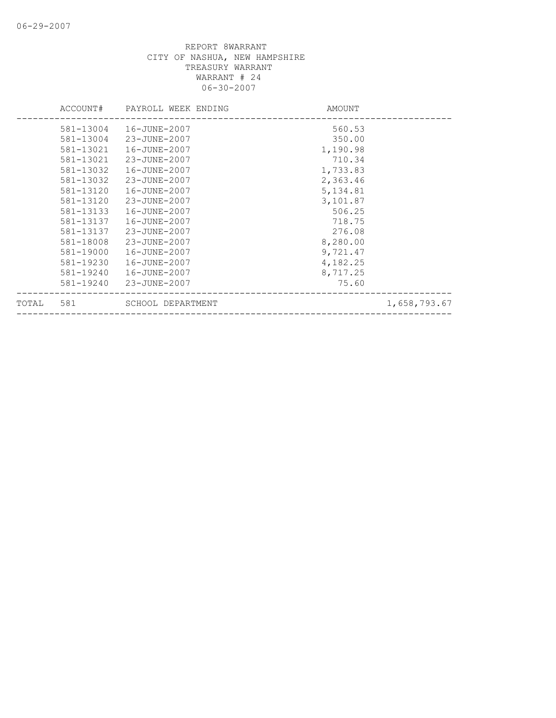|       | ACCOUNT#  | PAYROLL WEEK ENDING | AMOUNT    |              |
|-------|-----------|---------------------|-----------|--------------|
|       | 581-13004 | 16-JUNE-2007        | 560.53    |              |
|       | 581-13004 | 23-JUNE-2007        | 350.00    |              |
|       | 581-13021 | 16-JUNE-2007        | 1,190.98  |              |
|       | 581-13021 | 23-JUNE-2007        | 710.34    |              |
|       | 581-13032 | 16-JUNE-2007        | 1,733.83  |              |
|       | 581-13032 | 23-JUNE-2007        | 2,363.46  |              |
|       | 581-13120 | 16-JUNE-2007        | 5, 134.81 |              |
|       | 581-13120 | 23-JUNE-2007        | 3,101.87  |              |
|       | 581-13133 | 16-JUNE-2007        | 506.25    |              |
|       | 581-13137 | 16-JUNE-2007        | 718.75    |              |
|       | 581-13137 | 23-JUNE-2007        | 276.08    |              |
|       | 581-18008 | 23-JUNE-2007        | 8,280.00  |              |
|       | 581-19000 | 16-JUNE-2007        | 9,721.47  |              |
|       | 581-19230 | 16-JUNE-2007        | 4,182.25  |              |
|       | 581-19240 | 16-JUNE-2007        | 8,717.25  |              |
|       | 581-19240 | 23-JUNE-2007        | 75.60     |              |
| TOTAL | 581       | SCHOOL DEPARTMENT   |           | 1,658,793.67 |
|       |           |                     |           |              |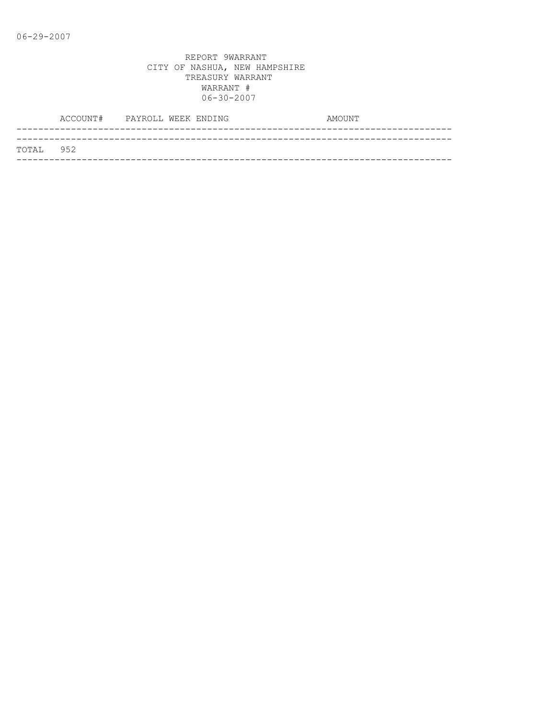|           | ACCOUNT# PAYROLL WEEK ENDING |  | AMOUNT |  |
|-----------|------------------------------|--|--------|--|
|           |                              |  |        |  |
| TOTAL 952 |                              |  |        |  |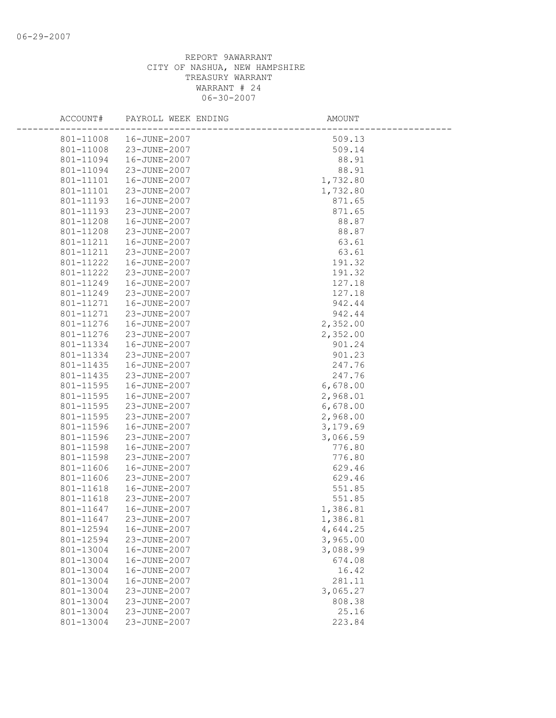| ACCOUNT#  | PAYROLL WEEK ENDING | <b>AMOUNT</b> |
|-----------|---------------------|---------------|
| 801-11008 | 16-JUNE-2007        | 509.13        |
| 801-11008 | 23-JUNE-2007        | 509.14        |
| 801-11094 | 16-JUNE-2007        | 88.91         |
| 801-11094 | 23-JUNE-2007        | 88.91         |
| 801-11101 | 16-JUNE-2007        | 1,732.80      |
| 801-11101 | 23-JUNE-2007        | 1,732.80      |
| 801-11193 | 16-JUNE-2007        | 871.65        |
| 801-11193 | 23-JUNE-2007        | 871.65        |
| 801-11208 | 16-JUNE-2007        | 88.87         |
| 801-11208 | 23-JUNE-2007        | 88.87         |
| 801-11211 | 16-JUNE-2007        | 63.61         |
| 801-11211 | 23-JUNE-2007        | 63.61         |
| 801-11222 | 16-JUNE-2007        | 191.32        |
| 801-11222 | 23-JUNE-2007        | 191.32        |
| 801-11249 | 16-JUNE-2007        | 127.18        |
| 801-11249 | 23-JUNE-2007        | 127.18        |
| 801-11271 | 16-JUNE-2007        | 942.44        |
| 801-11271 | 23-JUNE-2007        | 942.44        |
| 801-11276 | 16-JUNE-2007        | 2,352.00      |
| 801-11276 | 23-JUNE-2007        | 2,352.00      |
| 801-11334 | 16-JUNE-2007        | 901.24        |
| 801-11334 | 23-JUNE-2007        | 901.23        |
| 801-11435 | 16-JUNE-2007        | 247.76        |
| 801-11435 | 23-JUNE-2007        | 247.76        |
| 801-11595 | 16-JUNE-2007        | 6,678.00      |
| 801-11595 | 16-JUNE-2007        | 2,968.01      |
| 801-11595 | 23-JUNE-2007        | 6,678.00      |
| 801-11595 | 23-JUNE-2007        | 2,968.00      |
| 801-11596 | 16-JUNE-2007        | 3,179.69      |
| 801-11596 | 23-JUNE-2007        | 3,066.59      |
| 801-11598 | 16-JUNE-2007        | 776.80        |
| 801-11598 | 23-JUNE-2007        | 776.80        |
| 801-11606 | 16-JUNE-2007        | 629.46        |
| 801-11606 | 23-JUNE-2007        | 629.46        |
| 801-11618 | 16-JUNE-2007        | 551.85        |
| 801-11618 | 23-JUNE-2007        | 551.85        |
| 801-11647 | 16-JUNE-2007        | 1,386.81      |
| 801-11647 | 23-JUNE-2007        | 1,386.81      |
| 801-12594 | 16-JUNE-2007        | 4,644.25      |
| 801-12594 | 23-JUNE-2007        | 3,965.00      |
| 801-13004 | 16-JUNE-2007        | 3,088.99      |
| 801-13004 | 16-JUNE-2007        | 674.08        |
| 801-13004 | 16-JUNE-2007        | 16.42         |
| 801-13004 | 16-JUNE-2007        | 281.11        |
| 801-13004 | 23-JUNE-2007        | 3,065.27      |
| 801-13004 | 23-JUNE-2007        | 808.38        |
| 801-13004 | 23-JUNE-2007        | 25.16         |
| 801-13004 | 23-JUNE-2007        | 223.84        |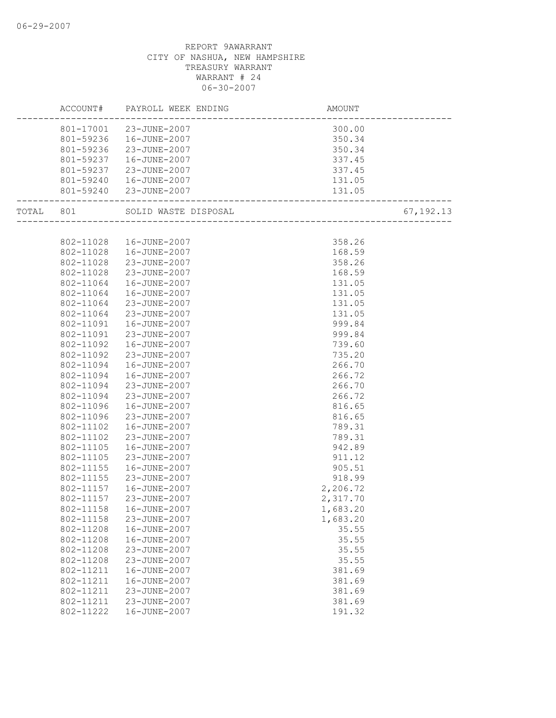|           | ACCOUNT#  | PAYROLL WEEK ENDING     | AMOUNT                                           |             |
|-----------|-----------|-------------------------|--------------------------------------------------|-------------|
|           |           | 801-17001 23-JUNE-2007  | 300.00                                           |             |
|           |           | 801-59236  16-JUNE-2007 | 350.34                                           |             |
|           | 801-59236 | 23-JUNE-2007            | 350.34                                           |             |
|           | 801-59237 | 16-JUNE-2007            | 337.45                                           |             |
|           | 801-59237 | 23-JUNE-2007            | 337.45                                           |             |
|           | 801-59240 | 16-JUNE-2007            | 131.05                                           |             |
|           |           | 801-59240 23-JUNE-2007  | 131.05<br>'.131<br>----------------------------- |             |
| TOTAL 801 |           | SOLID WASTE DISPOSAL    | L<br>----------------------                      | 67, 192. 13 |
|           |           |                         |                                                  |             |
|           | 802-11028 | 16-JUNE-2007            | 358.26                                           |             |
|           | 802-11028 | 16-JUNE-2007            | 168.59                                           |             |
|           | 802-11028 | 23-JUNE-2007            | 358.26                                           |             |
|           | 802-11028 | 23-JUNE-2007            | 168.59                                           |             |
|           | 802-11064 | 16-JUNE-2007            | 131.05                                           |             |
|           | 802-11064 | 16-JUNE-2007            | 131.05                                           |             |
|           | 802-11064 | 23-JUNE-2007            | 131.05                                           |             |
|           | 802-11064 | 23-JUNE-2007            | 131.05                                           |             |
|           | 802-11091 | 16-JUNE-2007            | 999.84                                           |             |
|           | 802-11091 | 23-JUNE-2007            | 999.84                                           |             |
|           | 802-11092 | 16-JUNE-2007            | 739.60                                           |             |
|           | 802-11092 | 23-JUNE-2007            | 735.20                                           |             |
|           | 802-11094 | 16-JUNE-2007            | 266.70                                           |             |
|           | 802-11094 | 16-JUNE-2007            | 266.72                                           |             |
|           | 802-11094 | 23-JUNE-2007            | 266.70                                           |             |
|           | 802-11094 | 23-JUNE-2007            | 266.72                                           |             |
|           | 802-11096 | 16-JUNE-2007            | 816.65                                           |             |
|           | 802-11096 | 23-JUNE-2007            | 816.65                                           |             |
|           | 802-11102 | 16-JUNE-2007            | 789.31                                           |             |
|           | 802-11102 | 23-JUNE-2007            | 789.31                                           |             |
|           | 802-11105 | 16-JUNE-2007            | 942.89                                           |             |
|           | 802-11105 | 23-JUNE-2007            | 911.12                                           |             |
|           | 802-11155 | 16-JUNE-2007            | 905.51                                           |             |
|           | 802-11155 | 23-JUNE-2007            | 918.99                                           |             |
|           | 802-11157 | 16-JUNE-2007            | 2,206.72                                         |             |
|           | 802-11157 | 23-JUNE-2007            | 2,317.70                                         |             |
|           | 802-11158 | 16-JUNE-2007            | 1,683.20                                         |             |
|           | 802-11158 | 23-JUNE-2007            | 1,683.20                                         |             |
|           | 802-11208 | 16-JUNE-2007            | 35.55                                            |             |
|           | 802-11208 | 16-JUNE-2007            | 35.55                                            |             |
|           | 802-11208 | 23-JUNE-2007            | 35.55                                            |             |
|           | 802-11208 | 23-JUNE-2007            | 35.55                                            |             |
|           | 802-11211 | 16-JUNE-2007            | 381.69                                           |             |
|           | 802-11211 | 16-JUNE-2007            | 381.69                                           |             |
|           | 802-11211 | 23-JUNE-2007            | 381.69                                           |             |
|           | 802-11211 | 23-JUNE-2007            | 381.69                                           |             |
|           | 802-11222 | 16-JUNE-2007            | 191.32                                           |             |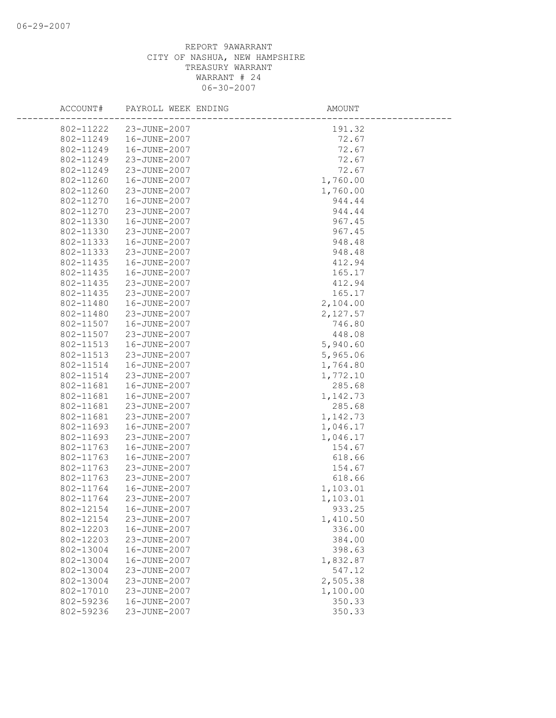| ACCOUNT#               | PAYROLL WEEK ENDING          | AMOUNT             |
|------------------------|------------------------------|--------------------|
| 802-11222              | 23-JUNE-2007                 | 191.32             |
| 802-11249              | 16-JUNE-2007                 | 72.67              |
| 802-11249              | 16-JUNE-2007                 | 72.67              |
| 802-11249              | 23-JUNE-2007                 | 72.67              |
| 802-11249              | 23-JUNE-2007                 | 72.67              |
| 802-11260              | 16-JUNE-2007                 | 1,760.00           |
| 802-11260              | 23-JUNE-2007                 | 1,760.00           |
| 802-11270              | 16-JUNE-2007                 | 944.44             |
| 802-11270              | 23-JUNE-2007                 | 944.44             |
| 802-11330              | 16-JUNE-2007                 | 967.45             |
| 802-11330              | 23-JUNE-2007                 | 967.45             |
| 802-11333              | 16-JUNE-2007                 | 948.48             |
| 802-11333              | 23-JUNE-2007                 | 948.48             |
| 802-11435              | 16-JUNE-2007                 | 412.94             |
| 802-11435              | 16-JUNE-2007                 | 165.17             |
| 802-11435              | 23-JUNE-2007                 | 412.94             |
| 802-11435              | 23-JUNE-2007                 | 165.17             |
| 802-11480              | 16-JUNE-2007                 | 2,104.00           |
| 802-11480              | 23-JUNE-2007                 | 2,127.57           |
| 802-11507              | 16-JUNE-2007                 | 746.80             |
| 802-11507              | 23-JUNE-2007                 | 448.08             |
| 802-11513              | 16-JUNE-2007                 | 5,940.60           |
| 802-11513              | 23-JUNE-2007                 | 5,965.06           |
| 802-11514              | 16-JUNE-2007                 | 1,764.80           |
| 802-11514              | 23-JUNE-2007                 | 1,772.10           |
| 802-11681              | 16-JUNE-2007                 | 285.68             |
| 802-11681              | 16-JUNE-2007                 | 1,142.73           |
| 802-11681              | 23-JUNE-2007                 | 285.68             |
| 802-11681              | 23-JUNE-2007                 | 1,142.73           |
| 802-11693              | 16-JUNE-2007                 | 1,046.17           |
| 802-11693              | 23-JUNE-2007                 | 1,046.17           |
| 802-11763              | 16-JUNE-2007                 | 154.67             |
| 802-11763              | 16-JUNE-2007                 | 618.66             |
| 802-11763              | 23-JUNE-2007                 | 154.67             |
| 802-11763<br>802-11764 | 23-JUNE-2007<br>16-JUNE-2007 | 618.66             |
| 802-11764              | 23-JUNE-2007                 | 1,103.01           |
|                        |                              | 1,103.01           |
| 802-12154              | 16-JUNE-2007                 | 933.25             |
| 802-12154<br>802-12203 | 23-JUNE-2007<br>16-JUNE-2007 | 1,410.50<br>336.00 |
| 802-12203              | 23-JUNE-2007                 | 384.00             |
| 802-13004              | 16-JUNE-2007                 | 398.63             |
| 802-13004              | 16-JUNE-2007                 | 1,832.87           |
| 802-13004              | 23-JUNE-2007                 | 547.12             |
| 802-13004              | 23-JUNE-2007                 | 2,505.38           |
| 802-17010              | 23-JUNE-2007                 | 1,100.00           |
| 802-59236              | 16-JUNE-2007                 | 350.33             |
| 802-59236              | 23-JUNE-2007                 | 350.33             |
|                        |                              |                    |